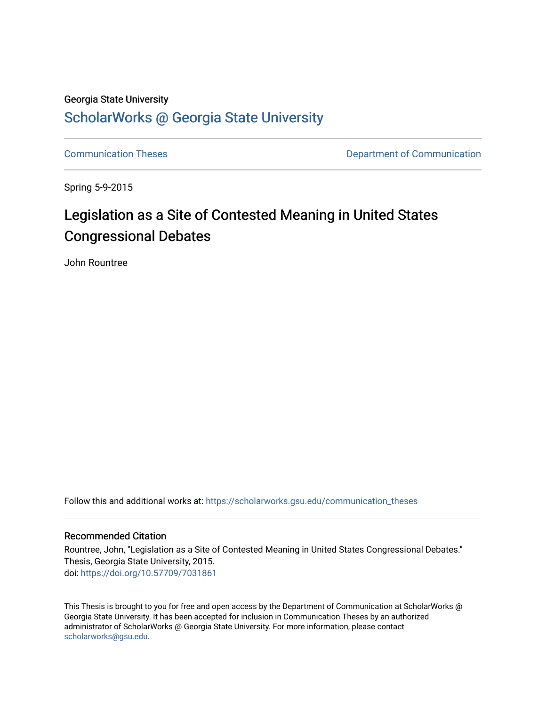## Georgia State University

# [ScholarWorks @ Georgia State University](https://scholarworks.gsu.edu/)

[Communication Theses](https://scholarworks.gsu.edu/communication_theses) **Communication Communication** 

Spring 5-9-2015

# Legislation as a Site of Contested Meaning in United States Congressional Debates

John Rountree

Follow this and additional works at: [https://scholarworks.gsu.edu/communication\\_theses](https://scholarworks.gsu.edu/communication_theses?utm_source=scholarworks.gsu.edu%2Fcommunication_theses%2F113&utm_medium=PDF&utm_campaign=PDFCoverPages) 

## Recommended Citation

Rountree, John, "Legislation as a Site of Contested Meaning in United States Congressional Debates." Thesis, Georgia State University, 2015. doi: <https://doi.org/10.57709/7031861>

This Thesis is brought to you for free and open access by the Department of Communication at ScholarWorks @ Georgia State University. It has been accepted for inclusion in Communication Theses by an authorized administrator of ScholarWorks @ Georgia State University. For more information, please contact [scholarworks@gsu.edu.](mailto:scholarworks@gsu.edu)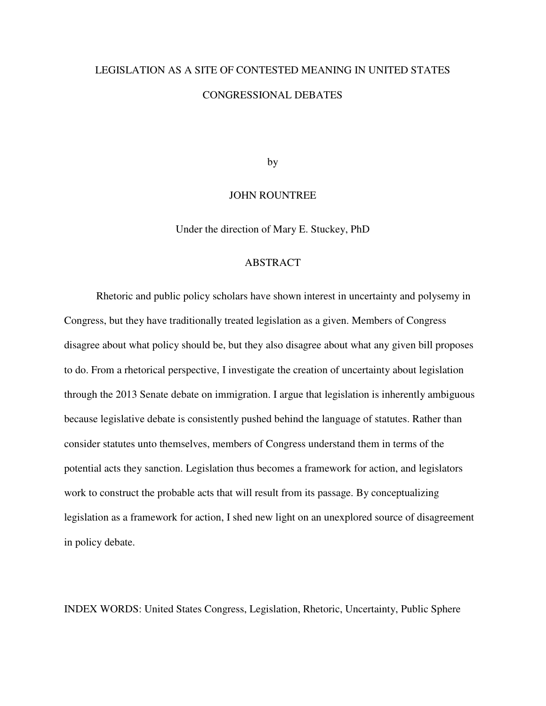# LEGISLATION AS A SITE OF CONTESTED MEANING IN UNITED STATES

#### CONGRESSIONAL DEBATES

by

#### JOHN ROUNTREE

Under the direction of Mary E. Stuckey, PhD

#### ABSTRACT

 Rhetoric and public policy scholars have shown interest in uncertainty and polysemy in Congress, but they have traditionally treated legislation as a given. Members of Congress disagree about what policy should be, but they also disagree about what any given bill proposes to do. From a rhetorical perspective, I investigate the creation of uncertainty about legislation through the 2013 Senate debate on immigration. I argue that legislation is inherently ambiguous because legislative debate is consistently pushed behind the language of statutes. Rather than consider statutes unto themselves, members of Congress understand them in terms of the potential acts they sanction. Legislation thus becomes a framework for action, and legislators work to construct the probable acts that will result from its passage. By conceptualizing legislation as a framework for action, I shed new light on an unexplored source of disagreement in policy debate.

INDEX WORDS: United States Congress, Legislation, Rhetoric, Uncertainty, Public Sphere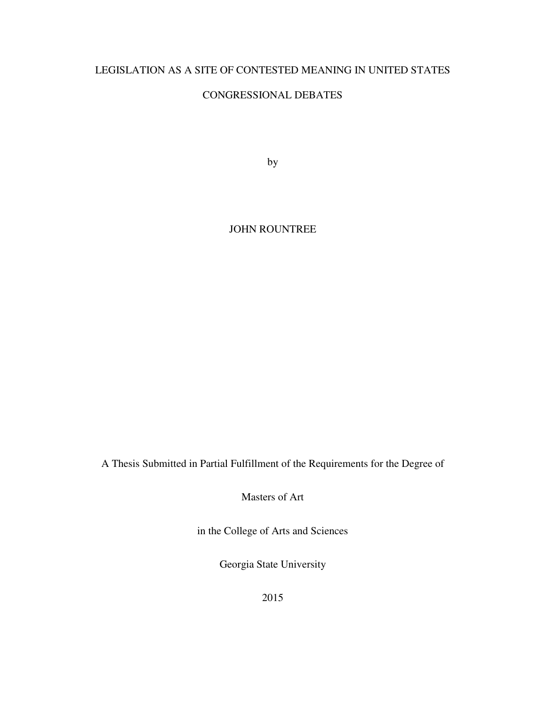# LEGISLATION AS A SITE OF CONTESTED MEANING IN UNITED STATES

# CONGRESSIONAL DEBATES

by

JOHN ROUNTREE

A Thesis Submitted in Partial Fulfillment of the Requirements for the Degree of

Masters of Art

in the College of Arts and Sciences

Georgia State University

2015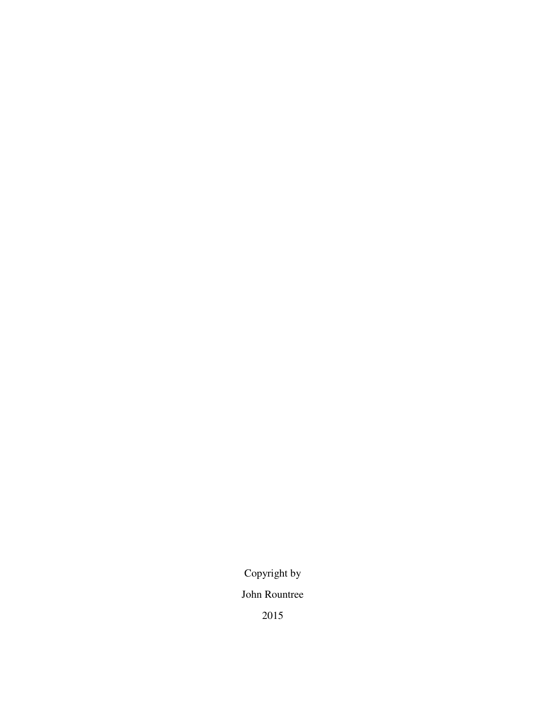Copyright by

John Rountree

2015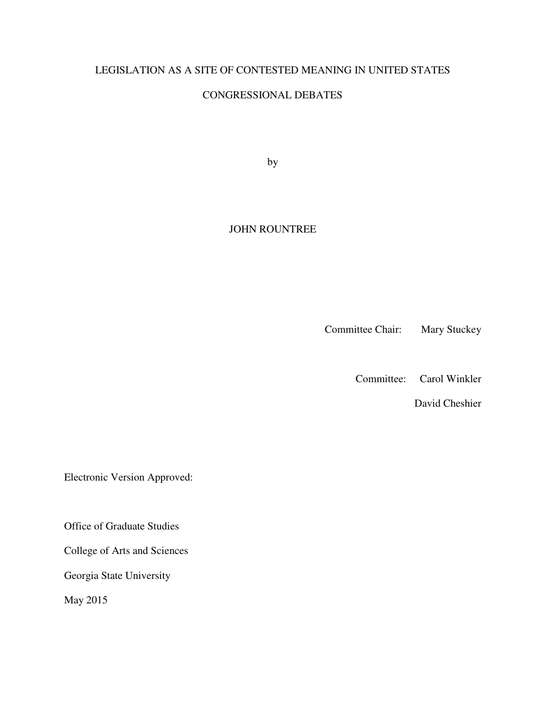# LEGISLATION AS A SITE OF CONTESTED MEANING IN UNITED STATES

# CONGRESSIONAL DEBATES

by

## JOHN ROUNTREE

Committee Chair: Mary Stuckey

Committee: Carol Winkler

David Cheshier

Electronic Version Approved:

Office of Graduate Studies

College of Arts and Sciences

Georgia State University

May 2015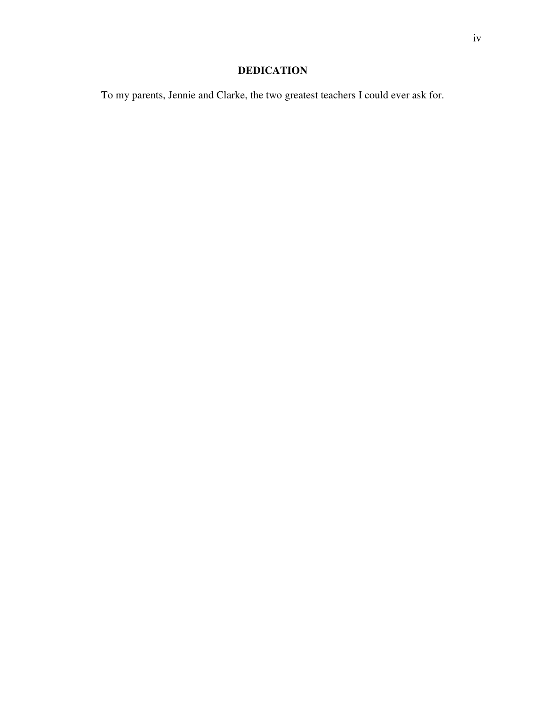# **DEDICATION**

To my parents, Jennie and Clarke, the two greatest teachers I could ever ask for.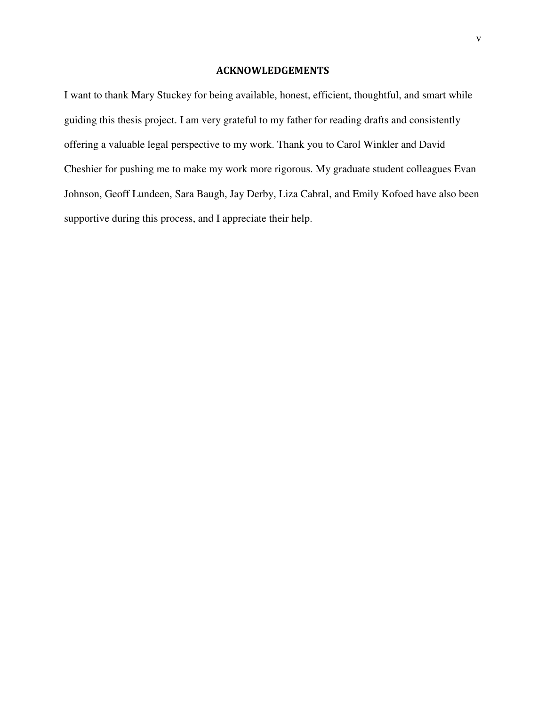## ACKNOWLEDGEMENTS

I want to thank Mary Stuckey for being available, honest, efficient, thoughtful, and smart while guiding this thesis project. I am very grateful to my father for reading drafts and consistently offering a valuable legal perspective to my work. Thank you to Carol Winkler and David Cheshier for pushing me to make my work more rigorous. My graduate student colleagues Evan Johnson, Geoff Lundeen, Sara Baugh, Jay Derby, Liza Cabral, and Emily Kofoed have also been supportive during this process, and I appreciate their help.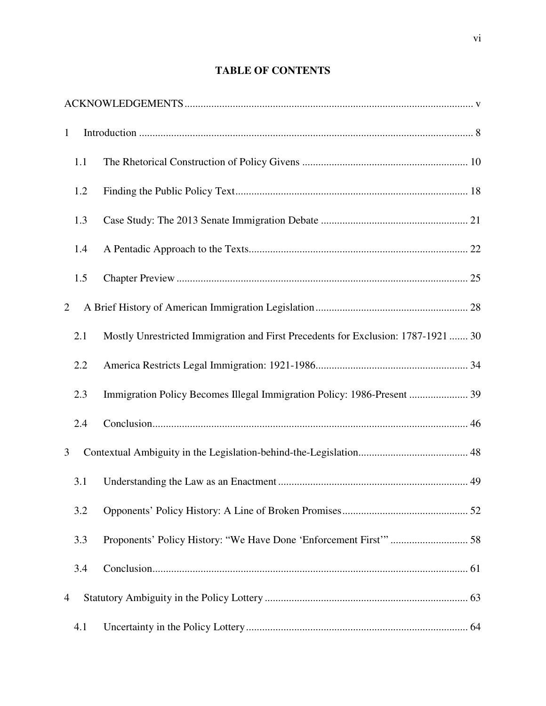# **TABLE OF CONTENTS**

| $\mathbf{1}$   |                                                                                   |  |
|----------------|-----------------------------------------------------------------------------------|--|
| 1.1            |                                                                                   |  |
| 1.2            |                                                                                   |  |
| 1.3            |                                                                                   |  |
| 1.4            |                                                                                   |  |
| 1.5            |                                                                                   |  |
| 2              |                                                                                   |  |
| 2.1            | Mostly Unrestricted Immigration and First Precedents for Exclusion: 1787-1921  30 |  |
| 2.2            |                                                                                   |  |
| 2.3            | Immigration Policy Becomes Illegal Immigration Policy: 1986-Present  39           |  |
| 2.4            |                                                                                   |  |
| 3              |                                                                                   |  |
| 3.1            |                                                                                   |  |
| 3.2            |                                                                                   |  |
| 3.3            |                                                                                   |  |
| 3.4            |                                                                                   |  |
| $\overline{4}$ |                                                                                   |  |
| 4.1            |                                                                                   |  |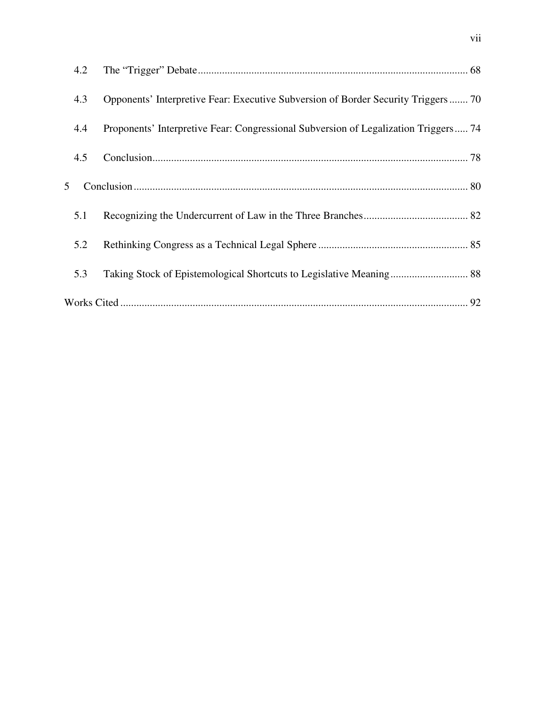| 4.2 |                                                                                     |  |
|-----|-------------------------------------------------------------------------------------|--|
| 4.3 | Opponents' Interpretive Fear: Executive Subversion of Border Security Triggers 70   |  |
| 4.4 | Proponents' Interpretive Fear: Congressional Subversion of Legalization Triggers 74 |  |
| 4.5 |                                                                                     |  |
| 5   |                                                                                     |  |
| 5.1 |                                                                                     |  |
| 5.2 |                                                                                     |  |
| 5.3 |                                                                                     |  |
|     |                                                                                     |  |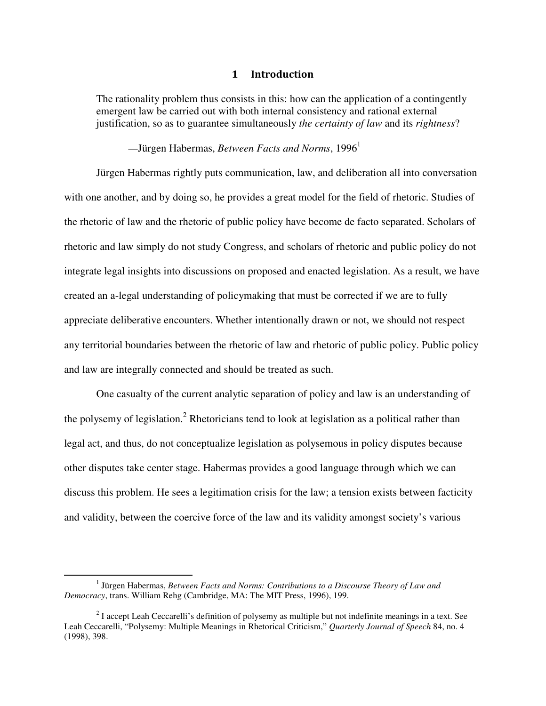## 1 Introduction

The rationality problem thus consists in this: how can the application of a contingently emergent law be carried out with both internal consistency and rational external justification, so as to guarantee simultaneously *the certainty of law* and its *rightness*?

# *—J*ürgen Habermas, *Between Facts and Norms*, 1996<sup>1</sup>

Jürgen Habermas rightly puts communication, law, and deliberation all into conversation with one another, and by doing so, he provides a great model for the field of rhetoric. Studies of the rhetoric of law and the rhetoric of public policy have become de facto separated. Scholars of rhetoric and law simply do not study Congress, and scholars of rhetoric and public policy do not integrate legal insights into discussions on proposed and enacted legislation. As a result, we have created an a-legal understanding of policymaking that must be corrected if we are to fully appreciate deliberative encounters. Whether intentionally drawn or not, we should not respect any territorial boundaries between the rhetoric of law and rhetoric of public policy. Public policy and law are integrally connected and should be treated as such.

One casualty of the current analytic separation of policy and law is an understanding of the polysemy of legislation.<sup>2</sup> Rhetoricians tend to look at legislation as a political rather than legal act, and thus, do not conceptualize legislation as polysemous in policy disputes because other disputes take center stage. Habermas provides a good language through which we can discuss this problem. He sees a legitimation crisis for the law; a tension exists between facticity and validity, between the coercive force of the law and its validity amongst society's various

-

<sup>&</sup>lt;sup>1</sup> Jürgen Habermas, *Between Facts and Norms: Contributions to a Discourse Theory of Law and Democracy*, trans. William Rehg (Cambridge, MA: The MIT Press, 1996), 199.

 $2^{2}$  I accept Leah Ceccarelli's definition of polysemy as multiple but not indefinite meanings in a text. See Leah Ceccarelli, "Polysemy: Multiple Meanings in Rhetorical Criticism," *Quarterly Journal of Speech* 84, no. 4 (1998), 398.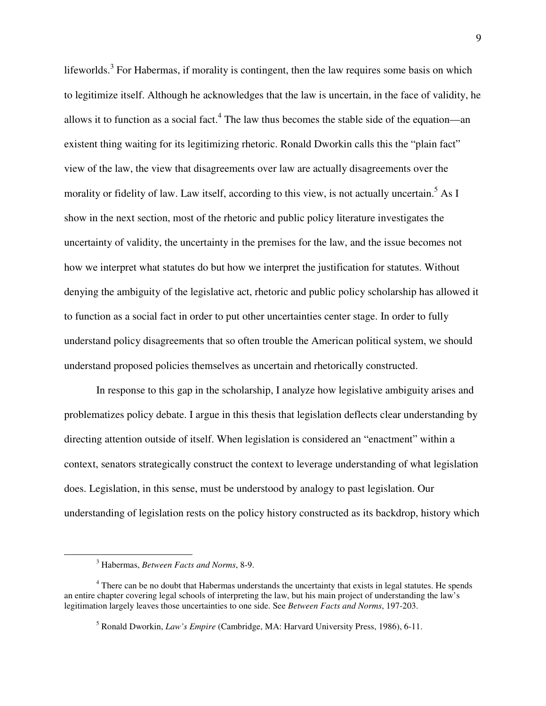lifeworlds.<sup>3</sup> For Habermas, if morality is contingent, then the law requires some basis on which to legitimize itself. Although he acknowledges that the law is uncertain, in the face of validity, he allows it to function as a social fact.<sup>4</sup> The law thus becomes the stable side of the equation—an existent thing waiting for its legitimizing rhetoric. Ronald Dworkin calls this the "plain fact" view of the law, the view that disagreements over law are actually disagreements over the morality or fidelity of law. Law itself, according to this view, is not actually uncertain.<sup>5</sup> As I show in the next section, most of the rhetoric and public policy literature investigates the uncertainty of validity, the uncertainty in the premises for the law, and the issue becomes not how we interpret what statutes do but how we interpret the justification for statutes. Without denying the ambiguity of the legislative act, rhetoric and public policy scholarship has allowed it to function as a social fact in order to put other uncertainties center stage. In order to fully understand policy disagreements that so often trouble the American political system, we should understand proposed policies themselves as uncertain and rhetorically constructed.

In response to this gap in the scholarship, I analyze how legislative ambiguity arises and problematizes policy debate. I argue in this thesis that legislation deflects clear understanding by directing attention outside of itself. When legislation is considered an "enactment" within a context, senators strategically construct the context to leverage understanding of what legislation does. Legislation, in this sense, must be understood by analogy to past legislation. Our understanding of legislation rests on the policy history constructed as its backdrop, history which

<sup>3</sup> Habermas, *Between Facts and Norms*, 8-9.

<sup>&</sup>lt;sup>4</sup> There can be no doubt that Habermas understands the uncertainty that exists in legal statutes. He spends an entire chapter covering legal schools of interpreting the law, but his main project of understanding the law's legitimation largely leaves those uncertainties to one side. See *Between Facts and Norms*, 197-203.

<sup>5</sup> Ronald Dworkin, *Law's Empire* (Cambridge, MA: Harvard University Press, 1986), 6-11.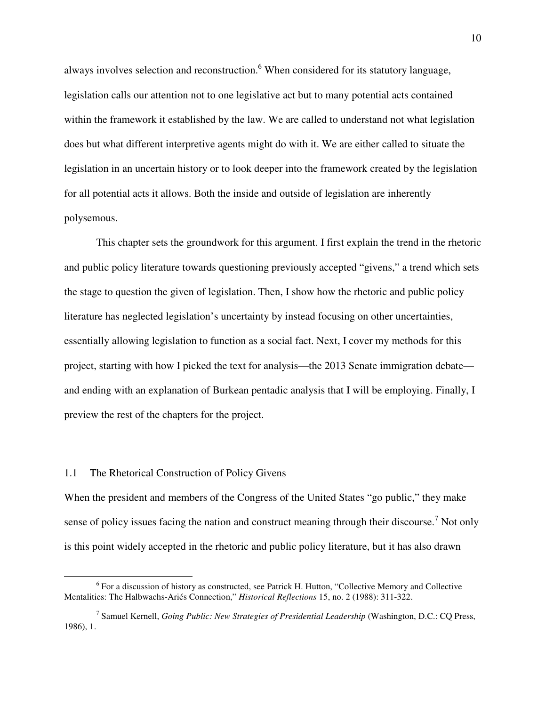always involves selection and reconstruction.<sup>6</sup> When considered for its statutory language, legislation calls our attention not to one legislative act but to many potential acts contained within the framework it established by the law. We are called to understand not what legislation does but what different interpretive agents might do with it. We are either called to situate the legislation in an uncertain history or to look deeper into the framework created by the legislation for all potential acts it allows. Both the inside and outside of legislation are inherently polysemous.

This chapter sets the groundwork for this argument. I first explain the trend in the rhetoric and public policy literature towards questioning previously accepted "givens," a trend which sets the stage to question the given of legislation. Then, I show how the rhetoric and public policy literature has neglected legislation's uncertainty by instead focusing on other uncertainties, essentially allowing legislation to function as a social fact. Next, I cover my methods for this project, starting with how I picked the text for analysis—the 2013 Senate immigration debate and ending with an explanation of Burkean pentadic analysis that I will be employing. Finally, I preview the rest of the chapters for the project.

#### 1.1 The Rhetorical Construction of Policy Givens

<u>.</u>

When the president and members of the Congress of the United States "go public," they make sense of policy issues facing the nation and construct meaning through their discourse.<sup>7</sup> Not only is this point widely accepted in the rhetoric and public policy literature, but it has also drawn

<sup>&</sup>lt;sup>6</sup> For a discussion of history as constructed, see Patrick H. Hutton, "Collective Memory and Collective Mentalities: The Halbwachs-Ariés Connection," *Historical Reflections* 15, no. 2 (1988): 311-322.

<sup>&</sup>lt;sup>7</sup> Samuel Kernell, *Going Public: New Strategies of Presidential Leadership* (Washington, D.C.: CQ Press, 1986), 1.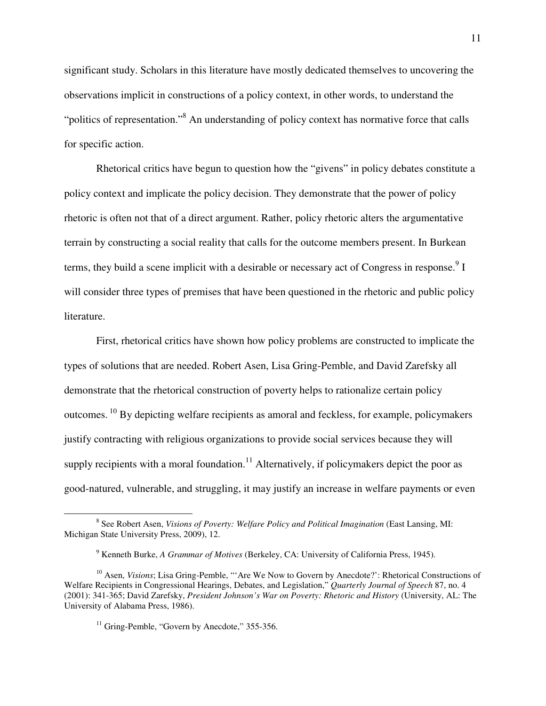significant study. Scholars in this literature have mostly dedicated themselves to uncovering the observations implicit in constructions of a policy context, in other words, to understand the "politics of representation."<sup>8</sup> An understanding of policy context has normative force that calls for specific action.

 Rhetorical critics have begun to question how the "givens" in policy debates constitute a policy context and implicate the policy decision. They demonstrate that the power of policy rhetoric is often not that of a direct argument. Rather, policy rhetoric alters the argumentative terrain by constructing a social reality that calls for the outcome members present. In Burkean terms, they build a scene implicit with a desirable or necessary act of Congress in response.  $9<sup>9</sup>$  I will consider three types of premises that have been questioned in the rhetoric and public policy literature.

First, rhetorical critics have shown how policy problems are constructed to implicate the types of solutions that are needed. Robert Asen, Lisa Gring-Pemble, and David Zarefsky all demonstrate that the rhetorical construction of poverty helps to rationalize certain policy outcomes.<sup>10</sup> By depicting welfare recipients as amoral and feckless, for example, policymakers justify contracting with religious organizations to provide social services because they will supply recipients with a moral foundation.<sup>11</sup> Alternatively, if policymakers depict the poor as good-natured, vulnerable, and struggling, it may justify an increase in welfare payments or even

-

<sup>&</sup>lt;sup>8</sup> See Robert Asen, *Visions of Poverty: Welfare Policy and Political Imagination* (East Lansing, MI: Michigan State University Press, 2009), 12.

<sup>9</sup> Kenneth Burke, *A Grammar of Motives* (Berkeley, CA: University of California Press, 1945).

<sup>&</sup>lt;sup>10</sup> Asen, *Visions*; Lisa Gring-Pemble, "'Are We Now to Govern by Anecdote?': Rhetorical Constructions of Welfare Recipients in Congressional Hearings, Debates, and Legislation," *Quarterly Journal of Speech* 87, no. 4 (2001): 341-365; David Zarefsky, *President Johnson's War on Poverty: Rhetoric and History* (University, AL: The University of Alabama Press, 1986).

 $11$  Gring-Pemble, "Govern by Anecdote," 355-356.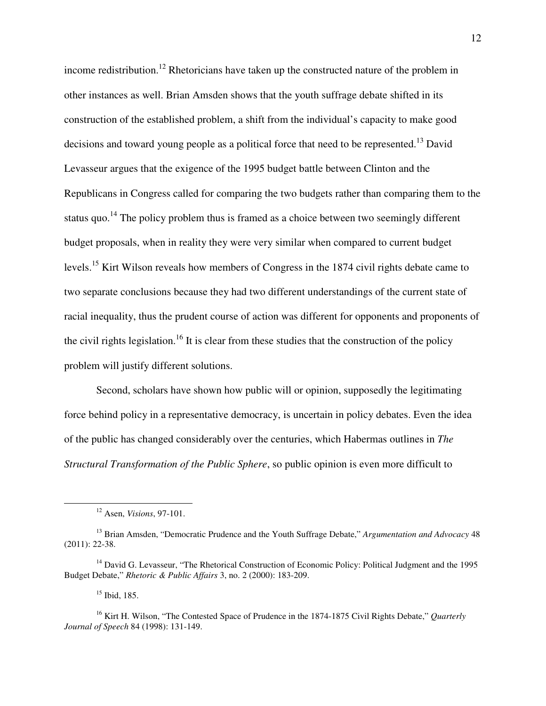income redistribution.<sup>12</sup> Rhetoricians have taken up the constructed nature of the problem in other instances as well. Brian Amsden shows that the youth suffrage debate shifted in its construction of the established problem, a shift from the individual's capacity to make good decisions and toward young people as a political force that need to be represented.<sup>13</sup> David Levasseur argues that the exigence of the 1995 budget battle between Clinton and the Republicans in Congress called for comparing the two budgets rather than comparing them to the status quo.<sup>14</sup> The policy problem thus is framed as a choice between two seemingly different budget proposals, when in reality they were very similar when compared to current budget levels.<sup>15</sup> Kirt Wilson reveals how members of Congress in the 1874 civil rights debate came to two separate conclusions because they had two different understandings of the current state of racial inequality, thus the prudent course of action was different for opponents and proponents of the civil rights legislation.<sup>16</sup> It is clear from these studies that the construction of the policy problem will justify different solutions.

Second, scholars have shown how public will or opinion, supposedly the legitimating force behind policy in a representative democracy, is uncertain in policy debates. Even the idea of the public has changed considerably over the centuries, which Habermas outlines in *The Structural Transformation of the Public Sphere*, so public opinion is even more difficult to

<u>.</u>

<sup>12</sup> Asen, *Visions*, 97-101.

<sup>13</sup> Brian Amsden, "Democratic Prudence and the Youth Suffrage Debate," *Argumentation and Advocacy* 48 (2011): 22-38.

<sup>&</sup>lt;sup>14</sup> David G. Levasseur, "The Rhetorical Construction of Economic Policy: Political Judgment and the 1995 Budget Debate," *Rhetoric & Public Affairs* 3, no. 2 (2000): 183-209.

 $15$  Ibid, 185.

<sup>16</sup> Kirt H. Wilson, "The Contested Space of Prudence in the 1874-1875 Civil Rights Debate," *Quarterly Journal of Speech* 84 (1998): 131-149.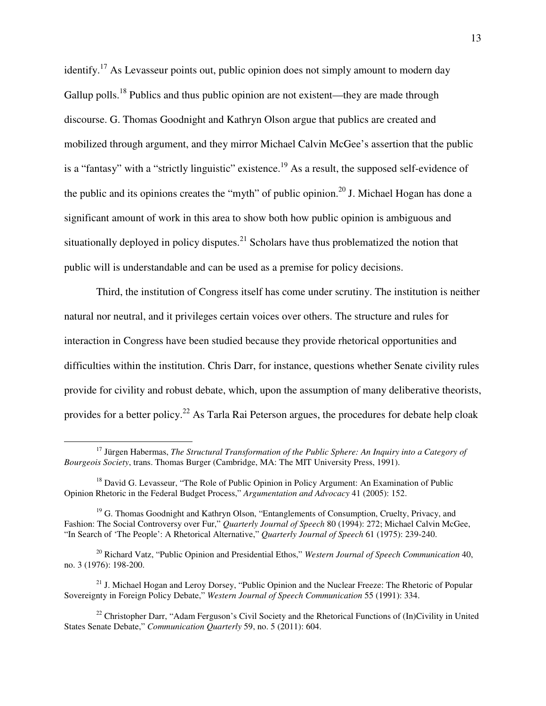identify.<sup>17</sup> As Levasseur points out, public opinion does not simply amount to modern day Gallup polls.<sup>18</sup> Publics and thus public opinion are not existent—they are made through discourse. G. Thomas Goodnight and Kathryn Olson argue that publics are created and mobilized through argument, and they mirror Michael Calvin McGee's assertion that the public is a "fantasy" with a "strictly linguistic" existence.<sup>19</sup> As a result, the supposed self-evidence of the public and its opinions creates the "myth" of public opinion.<sup>20</sup> J. Michael Hogan has done a significant amount of work in this area to show both how public opinion is ambiguous and situationally deployed in policy disputes.<sup>21</sup> Scholars have thus problematized the notion that public will is understandable and can be used as a premise for policy decisions.

Third, the institution of Congress itself has come under scrutiny. The institution is neither natural nor neutral, and it privileges certain voices over others. The structure and rules for interaction in Congress have been studied because they provide rhetorical opportunities and difficulties within the institution. Chris Darr, for instance, questions whether Senate civility rules provide for civility and robust debate, which, upon the assumption of many deliberative theorists, provides for a better policy.<sup>22</sup> As Tarla Rai Peterson argues, the procedures for debate help cloak

<sup>&</sup>lt;sup>17</sup> Jürgen Habermas, *The Structural Transformation of the Public Sphere: An Inquiry into a Category of Bourgeois Society*, trans. Thomas Burger (Cambridge, MA: The MIT University Press, 1991).

<sup>&</sup>lt;sup>18</sup> David G. Levasseur, "The Role of Public Opinion in Policy Argument: An Examination of Public Opinion Rhetoric in the Federal Budget Process," *Argumentation and Advocacy* 41 (2005): 152.

<sup>&</sup>lt;sup>19</sup> G. Thomas Goodnight and Kathryn Olson, "Entanglements of Consumption, Cruelty, Privacy, and Fashion: The Social Controversy over Fur," *Quarterly Journal of Speech* 80 (1994): 272; Michael Calvin McGee, "In Search of 'The People': A Rhetorical Alternative," *Quarterly Journal of Speech* 61 (1975): 239-240.

<sup>20</sup> Richard Vatz, "Public Opinion and Presidential Ethos," *Western Journal of Speech Communication* 40, no. 3 (1976): 198-200.

<sup>&</sup>lt;sup>21</sup> J. Michael Hogan and Leroy Dorsey, "Public Opinion and the Nuclear Freeze: The Rhetoric of Popular Sovereignty in Foreign Policy Debate," *Western Journal of Speech Communication* 55 (1991): 334.

<sup>&</sup>lt;sup>22</sup> Christopher Darr, "Adam Ferguson's Civil Society and the Rhetorical Functions of  $(In)$ Civility in United States Senate Debate," *Communication Quarterly* 59, no. 5 (2011): 604.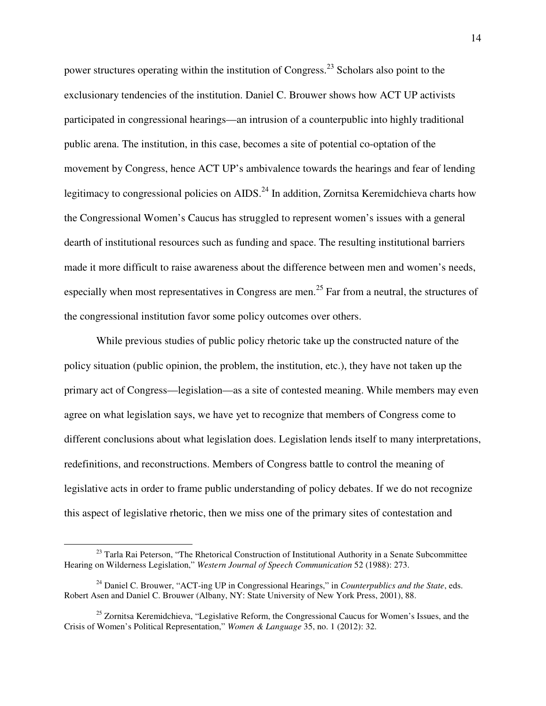power structures operating within the institution of Congress.<sup>23</sup> Scholars also point to the exclusionary tendencies of the institution. Daniel C. Brouwer shows how ACT UP activists participated in congressional hearings—an intrusion of a counterpublic into highly traditional public arena. The institution, in this case, becomes a site of potential co-optation of the movement by Congress, hence ACT UP's ambivalence towards the hearings and fear of lending legitimacy to congressional policies on  $AIDS<sup>24</sup>$  In addition, Zornitsa Keremidchieva charts how the Congressional Women's Caucus has struggled to represent women's issues with a general dearth of institutional resources such as funding and space. The resulting institutional barriers made it more difficult to raise awareness about the difference between men and women's needs, especially when most representatives in Congress are men.<sup>25</sup> Far from a neutral, the structures of the congressional institution favor some policy outcomes over others.

 While previous studies of public policy rhetoric take up the constructed nature of the policy situation (public opinion, the problem, the institution, etc.), they have not taken up the primary act of Congress—legislation—as a site of contested meaning. While members may even agree on what legislation says, we have yet to recognize that members of Congress come to different conclusions about what legislation does. Legislation lends itself to many interpretations, redefinitions, and reconstructions. Members of Congress battle to control the meaning of legislative acts in order to frame public understanding of policy debates. If we do not recognize this aspect of legislative rhetoric, then we miss one of the primary sites of contestation and

<u>.</u>

<sup>&</sup>lt;sup>23</sup> Tarla Rai Peterson, "The Rhetorical Construction of Institutional Authority in a Senate Subcommittee Hearing on Wilderness Legislation," *Western Journal of Speech Communication* 52 (1988): 273.

<sup>24</sup> Daniel C. Brouwer, "ACT-ing UP in Congressional Hearings," in *Counterpublics and the State*, eds. Robert Asen and Daniel C. Brouwer (Albany, NY: State University of New York Press, 2001), 88.

<sup>&</sup>lt;sup>25</sup> Zornitsa Keremidchieva, "Legislative Reform, the Congressional Caucus for Women's Issues, and the Crisis of Women's Political Representation," *Women & Language* 35, no. 1 (2012): 32.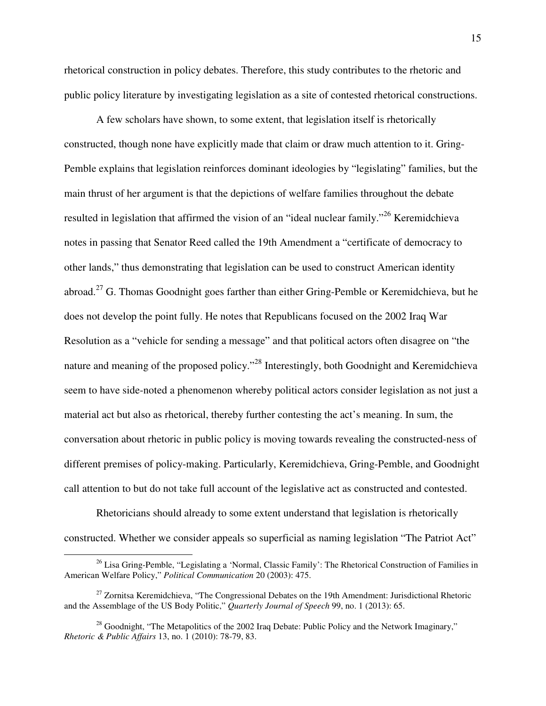rhetorical construction in policy debates. Therefore, this study contributes to the rhetoric and public policy literature by investigating legislation as a site of contested rhetorical constructions.

A few scholars have shown, to some extent, that legislation itself is rhetorically constructed, though none have explicitly made that claim or draw much attention to it. Gring-Pemble explains that legislation reinforces dominant ideologies by "legislating" families, but the main thrust of her argument is that the depictions of welfare families throughout the debate resulted in legislation that affirmed the vision of an "ideal nuclear family."<sup>26</sup> Keremidchieva notes in passing that Senator Reed called the 19th Amendment a "certificate of democracy to other lands," thus demonstrating that legislation can be used to construct American identity abroad.<sup>27</sup> G. Thomas Goodnight goes farther than either Gring-Pemble or Keremidchieva, but he does not develop the point fully. He notes that Republicans focused on the 2002 Iraq War Resolution as a "vehicle for sending a message" and that political actors often disagree on "the nature and meaning of the proposed policy."<sup>28</sup> Interestingly, both Goodnight and Keremidchieva seem to have side-noted a phenomenon whereby political actors consider legislation as not just a material act but also as rhetorical, thereby further contesting the act's meaning. In sum, the conversation about rhetoric in public policy is moving towards revealing the constructed-ness of different premises of policy-making. Particularly, Keremidchieva, Gring-Pemble, and Goodnight call attention to but do not take full account of the legislative act as constructed and contested.

Rhetoricians should already to some extent understand that legislation is rhetorically constructed. Whether we consider appeals so superficial as naming legislation "The Patriot Act"

 $^{26}$  Lisa Gring-Pemble, "Legislating a 'Normal, Classic Family': The Rhetorical Construction of Families in American Welfare Policy," *Political Communication* 20 (2003): 475.

 $27$  Zornitsa Keremidchieva, "The Congressional Debates on the 19th Amendment: Jurisdictional Rhetoric and the Assemblage of the US Body Politic," *Quarterly Journal of Speech* 99, no. 1 (2013): 65.

 $^{28}$  Goodnight, "The Metapolitics of the 2002 Iraq Debate: Public Policy and the Network Imaginary," *Rhetoric & Public Affairs* 13, no. 1 (2010): 78-79, 83.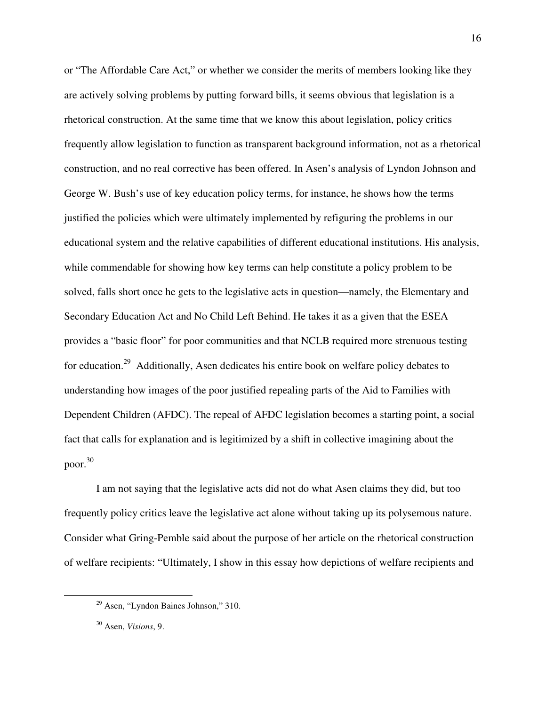or "The Affordable Care Act," or whether we consider the merits of members looking like they are actively solving problems by putting forward bills, it seems obvious that legislation is a rhetorical construction. At the same time that we know this about legislation, policy critics frequently allow legislation to function as transparent background information, not as a rhetorical construction, and no real corrective has been offered. In Asen's analysis of Lyndon Johnson and George W. Bush's use of key education policy terms, for instance, he shows how the terms justified the policies which were ultimately implemented by refiguring the problems in our educational system and the relative capabilities of different educational institutions. His analysis, while commendable for showing how key terms can help constitute a policy problem to be solved, falls short once he gets to the legislative acts in question—namely, the Elementary and Secondary Education Act and No Child Left Behind. He takes it as a given that the ESEA provides a "basic floor" for poor communities and that NCLB required more strenuous testing for education.<sup>29</sup> Additionally, Asen dedicates his entire book on welfare policy debates to understanding how images of the poor justified repealing parts of the Aid to Families with Dependent Children (AFDC). The repeal of AFDC legislation becomes a starting point, a social fact that calls for explanation and is legitimized by a shift in collective imagining about the poor.<sup>30</sup>

I am not saying that the legislative acts did not do what Asen claims they did, but too frequently policy critics leave the legislative act alone without taking up its polysemous nature. Consider what Gring-Pemble said about the purpose of her article on the rhetorical construction of welfare recipients: "Ultimately, I show in this essay how depictions of welfare recipients and

 $29$  Asen, "Lyndon Baines Johnson," 310.

<sup>30</sup> Asen, *Visions*, 9.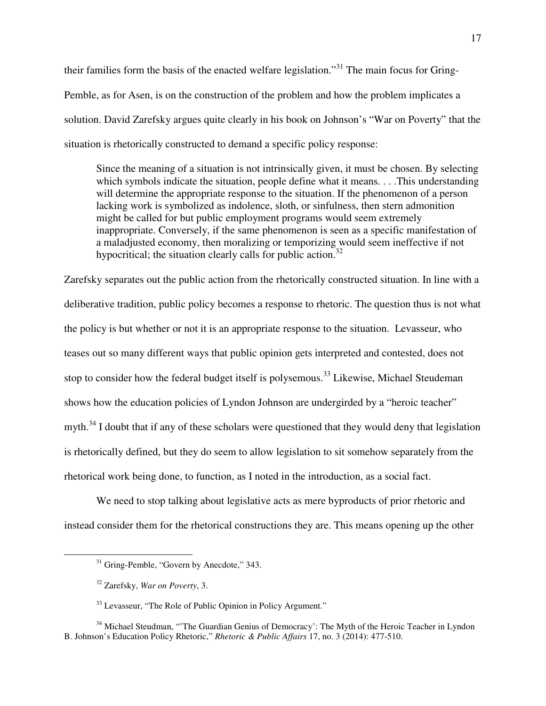their families form the basis of the enacted welfare legislation."<sup>31</sup> The main focus for Gring-Pemble, as for Asen, is on the construction of the problem and how the problem implicates a solution. David Zarefsky argues quite clearly in his book on Johnson's "War on Poverty" that the situation is rhetorically constructed to demand a specific policy response:

Since the meaning of a situation is not intrinsically given, it must be chosen. By selecting which symbols indicate the situation, people define what it means. . . . This understanding will determine the appropriate response to the situation. If the phenomenon of a person lacking work is symbolized as indolence, sloth, or sinfulness, then stern admonition might be called for but public employment programs would seem extremely inappropriate. Conversely, if the same phenomenon is seen as a specific manifestation of a maladjusted economy, then moralizing or temporizing would seem ineffective if not hypocritical; the situation clearly calls for public action.<sup>32</sup>

Zarefsky separates out the public action from the rhetorically constructed situation. In line with a deliberative tradition, public policy becomes a response to rhetoric. The question thus is not what the policy is but whether or not it is an appropriate response to the situation. Levasseur, who teases out so many different ways that public opinion gets interpreted and contested, does not stop to consider how the federal budget itself is polysemous.<sup>33</sup> Likewise, Michael Steudeman shows how the education policies of Lyndon Johnson are undergirded by a "heroic teacher" myth. $34$  I doubt that if any of these scholars were questioned that they would deny that legislation is rhetorically defined, but they do seem to allow legislation to sit somehow separately from the rhetorical work being done, to function, as I noted in the introduction, as a social fact.

We need to stop talking about legislative acts as mere byproducts of prior rhetoric and instead consider them for the rhetorical constructions they are. This means opening up the other

<sup>&</sup>lt;sup>31</sup> Gring-Pemble, "Govern by Anecdote," 343.

<sup>32</sup> Zarefsky, *War on Poverty*, 3.

<sup>&</sup>lt;sup>33</sup> Levasseur, "The Role of Public Opinion in Policy Argument."

<sup>&</sup>lt;sup>34</sup> Michael Steudman, "The Guardian Genius of Democracy': The Myth of the Heroic Teacher in Lyndon B. Johnson's Education Policy Rhetoric," *Rhetoric & Public Affairs* 17, no. 3 (2014): 477-510.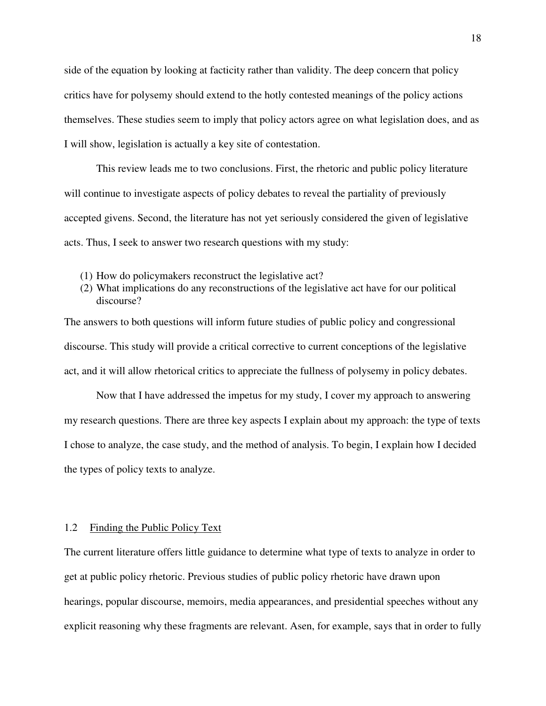side of the equation by looking at facticity rather than validity. The deep concern that policy critics have for polysemy should extend to the hotly contested meanings of the policy actions themselves. These studies seem to imply that policy actors agree on what legislation does, and as I will show, legislation is actually a key site of contestation.

This review leads me to two conclusions. First, the rhetoric and public policy literature will continue to investigate aspects of policy debates to reveal the partiality of previously accepted givens. Second, the literature has not yet seriously considered the given of legislative acts. Thus, I seek to answer two research questions with my study:

- (1) How do policymakers reconstruct the legislative act?
- (2) What implications do any reconstructions of the legislative act have for our political discourse?

The answers to both questions will inform future studies of public policy and congressional discourse. This study will provide a critical corrective to current conceptions of the legislative act, and it will allow rhetorical critics to appreciate the fullness of polysemy in policy debates.

 Now that I have addressed the impetus for my study, I cover my approach to answering my research questions. There are three key aspects I explain about my approach: the type of texts I chose to analyze, the case study, and the method of analysis. To begin, I explain how I decided the types of policy texts to analyze.

#### 1.2 Finding the Public Policy Text

The current literature offers little guidance to determine what type of texts to analyze in order to get at public policy rhetoric. Previous studies of public policy rhetoric have drawn upon hearings, popular discourse, memoirs, media appearances, and presidential speeches without any explicit reasoning why these fragments are relevant. Asen, for example, says that in order to fully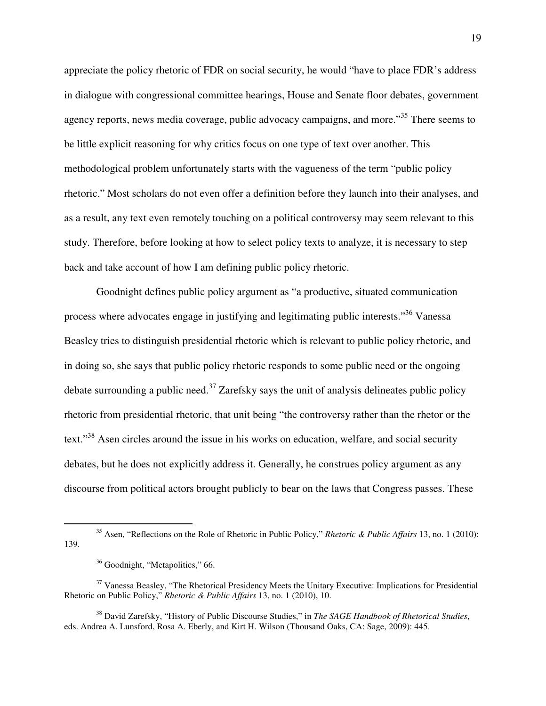appreciate the policy rhetoric of FDR on social security, he would "have to place FDR's address in dialogue with congressional committee hearings, House and Senate floor debates, government agency reports, news media coverage, public advocacy campaigns, and more."<sup>35</sup> There seems to be little explicit reasoning for why critics focus on one type of text over another. This methodological problem unfortunately starts with the vagueness of the term "public policy rhetoric." Most scholars do not even offer a definition before they launch into their analyses, and as a result, any text even remotely touching on a political controversy may seem relevant to this study. Therefore, before looking at how to select policy texts to analyze, it is necessary to step back and take account of how I am defining public policy rhetoric.

 Goodnight defines public policy argument as "a productive, situated communication process where advocates engage in justifying and legitimating public interests."<sup>36</sup> Vanessa Beasley tries to distinguish presidential rhetoric which is relevant to public policy rhetoric, and in doing so, she says that public policy rhetoric responds to some public need or the ongoing debate surrounding a public need.<sup>37</sup> Zarefsky says the unit of analysis delineates public policy rhetoric from presidential rhetoric, that unit being "the controversy rather than the rhetor or the text."<sup>38</sup> Asen circles around the issue in his works on education, welfare, and social security debates, but he does not explicitly address it. Generally, he construes policy argument as any discourse from political actors brought publicly to bear on the laws that Congress passes. These

<sup>-</sup><sup>35</sup> Asen, "Reflections on the Role of Rhetoric in Public Policy," *Rhetoric & Public Affairs* 13, no. 1 (2010): 139.

<sup>&</sup>lt;sup>36</sup> Goodnight, "Metapolitics," 66.

<sup>&</sup>lt;sup>37</sup> Vanessa Beasley, "The Rhetorical Presidency Meets the Unitary Executive: Implications for Presidential Rhetoric on Public Policy," *Rhetoric & Public Affairs* 13, no. 1 (2010), 10.

<sup>38</sup> David Zarefsky, "History of Public Discourse Studies," in *The SAGE Handbook of Rhetorical Studies*, eds. Andrea A. Lunsford, Rosa A. Eberly, and Kirt H. Wilson (Thousand Oaks, CA: Sage, 2009): 445.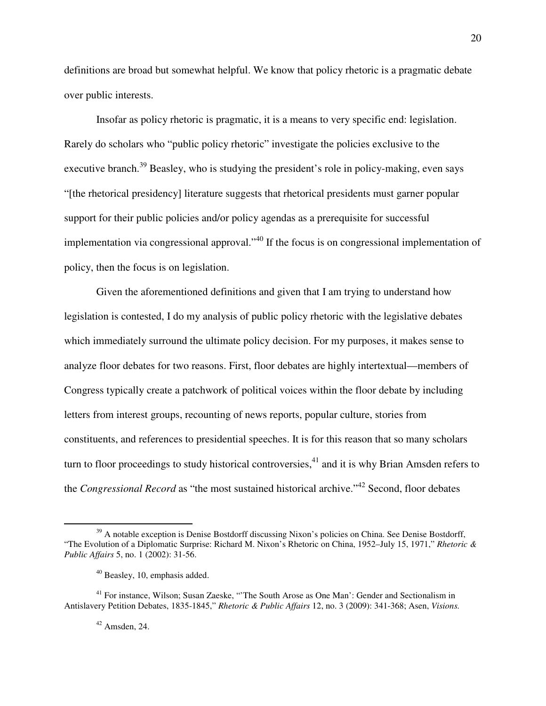definitions are broad but somewhat helpful. We know that policy rhetoric is a pragmatic debate over public interests.

Insofar as policy rhetoric is pragmatic, it is a means to very specific end: legislation. Rarely do scholars who "public policy rhetoric" investigate the policies exclusive to the executive branch.<sup>39</sup> Beasley, who is studying the president's role in policy-making, even says "[the rhetorical presidency] literature suggests that rhetorical presidents must garner popular support for their public policies and/or policy agendas as a prerequisite for successful implementation via congressional approval."<sup>40</sup> If the focus is on congressional implementation of policy, then the focus is on legislation.

Given the aforementioned definitions and given that I am trying to understand how legislation is contested, I do my analysis of public policy rhetoric with the legislative debates which immediately surround the ultimate policy decision. For my purposes, it makes sense to analyze floor debates for two reasons. First, floor debates are highly intertextual—members of Congress typically create a patchwork of political voices within the floor debate by including letters from interest groups, recounting of news reports, popular culture, stories from constituents, and references to presidential speeches. It is for this reason that so many scholars turn to floor proceedings to study historical controversies,  $^{41}$  and it is why Brian Amsden refers to the *Congressional Record* as "the most sustained historical archive."<sup>42</sup> Second, floor debates

<sup>&</sup>lt;sup>39</sup> A notable exception is Denise Bostdorff discussing Nixon's policies on China. See Denise Bostdorff, "The Evolution of a Diplomatic Surprise: Richard M. Nixon's Rhetoric on China, 1952–July 15, 1971," *Rhetoric & Public Affairs* 5, no. 1 (2002): 31-56.

 $40$  Beasley, 10, emphasis added.

<sup>41</sup> For instance, Wilson; Susan Zaeske, "'The South Arose as One Man': Gender and Sectionalism in Antislavery Petition Debates, 1835-1845," *Rhetoric & Public Affairs* 12, no. 3 (2009): 341-368; Asen, *Visions.* 

 $42$  Amsden, 24.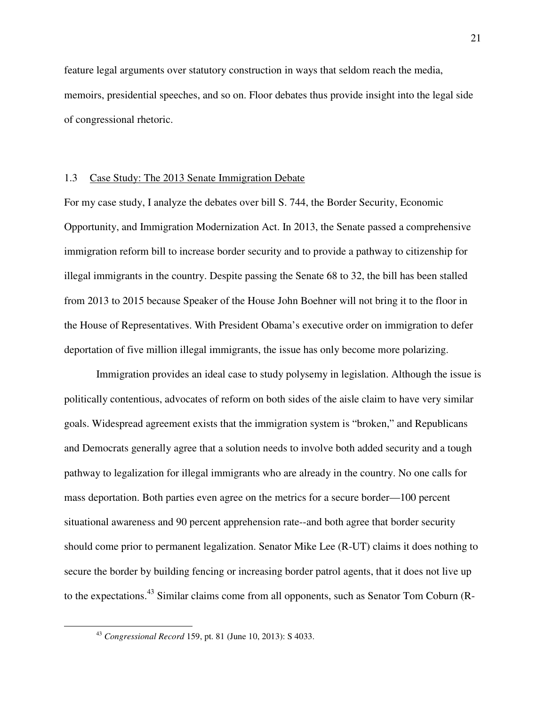feature legal arguments over statutory construction in ways that seldom reach the media, memoirs, presidential speeches, and so on. Floor debates thus provide insight into the legal side of congressional rhetoric.

#### 1.3 Case Study: The 2013 Senate Immigration Debate

For my case study, I analyze the debates over bill S. 744, the Border Security, Economic Opportunity, and Immigration Modernization Act. In 2013, the Senate passed a comprehensive immigration reform bill to increase border security and to provide a pathway to citizenship for illegal immigrants in the country. Despite passing the Senate 68 to 32, the bill has been stalled from 2013 to 2015 because Speaker of the House John Boehner will not bring it to the floor in the House of Representatives. With President Obama's executive order on immigration to defer deportation of five million illegal immigrants, the issue has only become more polarizing.

Immigration provides an ideal case to study polysemy in legislation. Although the issue is politically contentious, advocates of reform on both sides of the aisle claim to have very similar goals. Widespread agreement exists that the immigration system is "broken," and Republicans and Democrats generally agree that a solution needs to involve both added security and a tough pathway to legalization for illegal immigrants who are already in the country. No one calls for mass deportation. Both parties even agree on the metrics for a secure border—100 percent situational awareness and 90 percent apprehension rate--and both agree that border security should come prior to permanent legalization. Senator Mike Lee (R-UT) claims it does nothing to secure the border by building fencing or increasing border patrol agents, that it does not live up to the expectations.<sup>43</sup> Similar claims come from all opponents, such as Senator Tom Coburn (R-

<sup>43</sup> *Congressional Record* 159, pt. 81 (June 10, 2013): S 4033.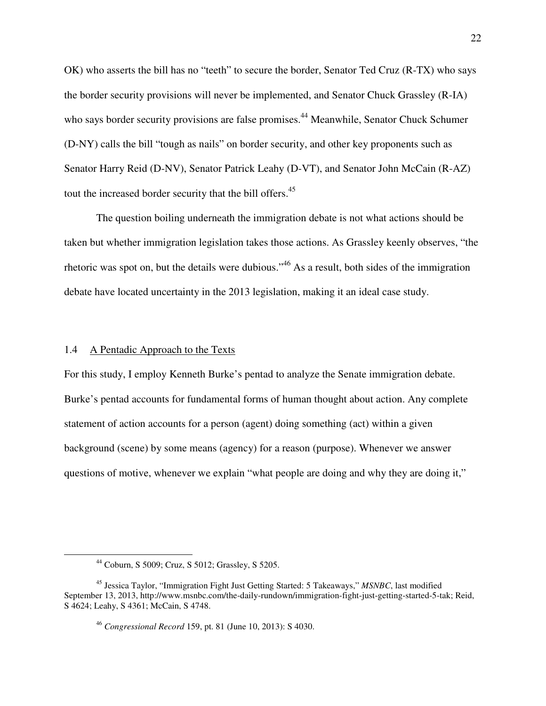OK) who asserts the bill has no "teeth" to secure the border, Senator Ted Cruz (R-TX) who says the border security provisions will never be implemented, and Senator Chuck Grassley (R-IA) who says border security provisions are false promises.<sup>44</sup> Meanwhile, Senator Chuck Schumer (D-NY) calls the bill "tough as nails" on border security, and other key proponents such as Senator Harry Reid (D-NV), Senator Patrick Leahy (D-VT), and Senator John McCain (R-AZ) tout the increased border security that the bill offers.<sup>45</sup>

 The question boiling underneath the immigration debate is not what actions should be taken but whether immigration legislation takes those actions. As Grassley keenly observes, "the rhetoric was spot on, but the details were dubious."<sup>46</sup> As a result, both sides of the immigration debate have located uncertainty in the 2013 legislation, making it an ideal case study.

#### 1.4 A Pentadic Approach to the Texts

For this study, I employ Kenneth Burke's pentad to analyze the Senate immigration debate. Burke's pentad accounts for fundamental forms of human thought about action. Any complete statement of action accounts for a person (agent) doing something (act) within a given background (scene) by some means (agency) for a reason (purpose). Whenever we answer questions of motive, whenever we explain "what people are doing and why they are doing it,"

<sup>44</sup> Coburn, S 5009; Cruz, S 5012; Grassley, S 5205.

<sup>45</sup> Jessica Taylor, "Immigration Fight Just Getting Started: 5 Takeaways," *MSNBC*, last modified September 13, 2013, http://www.msnbc.com/the-daily-rundown/immigration-fight-just-getting-started-5-tak; Reid, S 4624; Leahy, S 4361; McCain, S 4748.

<sup>46</sup> *Congressional Record* 159, pt. 81 (June 10, 2013): S 4030.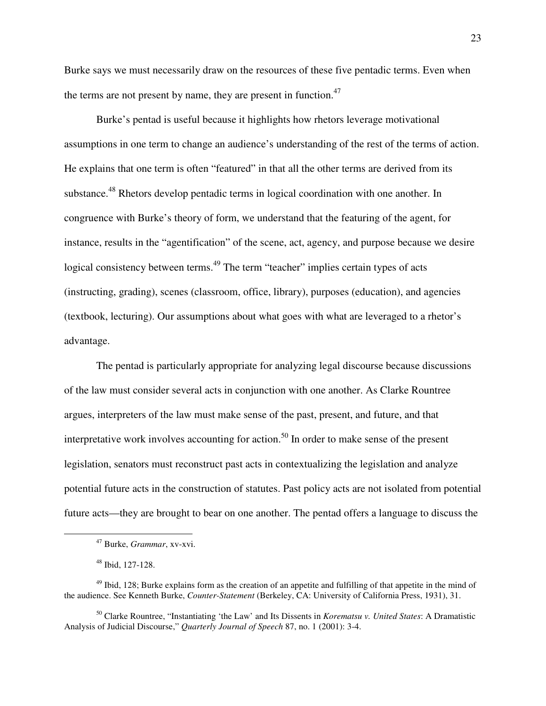Burke says we must necessarily draw on the resources of these five pentadic terms. Even when the terms are not present by name, they are present in function. $47$ 

 Burke's pentad is useful because it highlights how rhetors leverage motivational assumptions in one term to change an audience's understanding of the rest of the terms of action. He explains that one term is often "featured" in that all the other terms are derived from its substance.<sup>48</sup> Rhetors develop pentadic terms in logical coordination with one another. In congruence with Burke's theory of form, we understand that the featuring of the agent, for instance, results in the "agentification" of the scene, act, agency, and purpose because we desire logical consistency between terms.<sup>49</sup> The term "teacher" implies certain types of acts (instructing, grading), scenes (classroom, office, library), purposes (education), and agencies (textbook, lecturing). Our assumptions about what goes with what are leveraged to a rhetor's advantage.

 The pentad is particularly appropriate for analyzing legal discourse because discussions of the law must consider several acts in conjunction with one another. As Clarke Rountree argues, interpreters of the law must make sense of the past, present, and future, and that interpretative work involves accounting for action.<sup>50</sup> In order to make sense of the present legislation, senators must reconstruct past acts in contextualizing the legislation and analyze potential future acts in the construction of statutes. Past policy acts are not isolated from potential future acts—they are brought to bear on one another. The pentad offers a language to discuss the

 $\overline{a}$ 

<sup>50</sup> Clarke Rountree, "Instantiating 'the Law' and Its Dissents in *Korematsu v. United States*: A Dramatistic Analysis of Judicial Discourse," *Quarterly Journal of Speech* 87, no. 1 (2001): 3-4.

<sup>47</sup> Burke, *Grammar*, xv-xvi.

<sup>48</sup> Ibid, 127-128.

<sup>&</sup>lt;sup>49</sup> Ibid, 128; Burke explains form as the creation of an appetite and fulfilling of that appetite in the mind of the audience. See Kenneth Burke, *Counter-Statement* (Berkeley, CA: University of California Press, 1931), 31.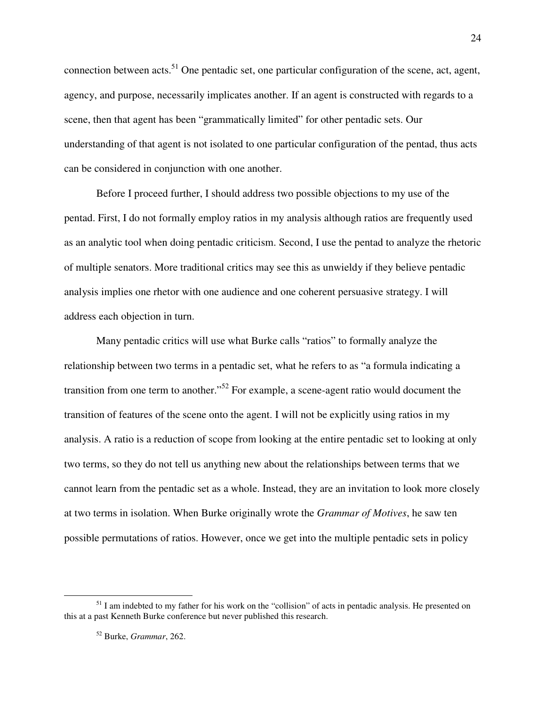connection between acts.<sup>51</sup> One pentadic set, one particular configuration of the scene, act, agent, agency, and purpose, necessarily implicates another. If an agent is constructed with regards to a scene, then that agent has been "grammatically limited" for other pentadic sets. Our understanding of that agent is not isolated to one particular configuration of the pentad, thus acts can be considered in conjunction with one another.

Before I proceed further, I should address two possible objections to my use of the pentad. First, I do not formally employ ratios in my analysis although ratios are frequently used as an analytic tool when doing pentadic criticism. Second, I use the pentad to analyze the rhetoric of multiple senators. More traditional critics may see this as unwieldy if they believe pentadic analysis implies one rhetor with one audience and one coherent persuasive strategy. I will address each objection in turn.

Many pentadic critics will use what Burke calls "ratios" to formally analyze the relationship between two terms in a pentadic set, what he refers to as "a formula indicating a transition from one term to another."<sup>52</sup> For example, a scene-agent ratio would document the transition of features of the scene onto the agent. I will not be explicitly using ratios in my analysis. A ratio is a reduction of scope from looking at the entire pentadic set to looking at only two terms, so they do not tell us anything new about the relationships between terms that we cannot learn from the pentadic set as a whole. Instead, they are an invitation to look more closely at two terms in isolation. When Burke originally wrote the *Grammar of Motives*, he saw ten possible permutations of ratios. However, once we get into the multiple pentadic sets in policy

 $<sup>51</sup>$  I am indebted to my father for his work on the "collision" of acts in pentadic analysis. He presented on</sup> this at a past Kenneth Burke conference but never published this research.

<sup>52</sup> Burke, *Grammar*, 262.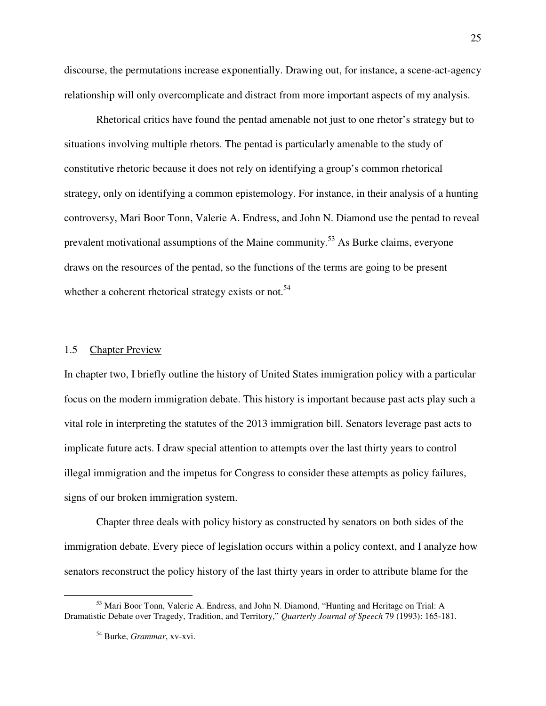discourse, the permutations increase exponentially. Drawing out, for instance, a scene-act-agency relationship will only overcomplicate and distract from more important aspects of my analysis.

Rhetorical critics have found the pentad amenable not just to one rhetor's strategy but to situations involving multiple rhetors. The pentad is particularly amenable to the study of constitutive rhetoric because it does not rely on identifying a group's common rhetorical strategy, only on identifying a common epistemology. For instance, in their analysis of a hunting controversy, Mari Boor Tonn, Valerie A. Endress, and John N. Diamond use the pentad to reveal prevalent motivational assumptions of the Maine community.<sup>53</sup> As Burke claims, everyone draws on the resources of the pentad, so the functions of the terms are going to be present whether a coherent rhetorical strategy exists or not.<sup>54</sup>

#### 1.5 Chapter Preview

In chapter two, I briefly outline the history of United States immigration policy with a particular focus on the modern immigration debate. This history is important because past acts play such a vital role in interpreting the statutes of the 2013 immigration bill. Senators leverage past acts to implicate future acts. I draw special attention to attempts over the last thirty years to control illegal immigration and the impetus for Congress to consider these attempts as policy failures, signs of our broken immigration system.

 Chapter three deals with policy history as constructed by senators on both sides of the immigration debate. Every piece of legislation occurs within a policy context, and I analyze how senators reconstruct the policy history of the last thirty years in order to attribute blame for the

<sup>&</sup>lt;sup>53</sup> Mari Boor Tonn, Valerie A. Endress, and John N. Diamond, "Hunting and Heritage on Trial: A Dramatistic Debate over Tragedy, Tradition, and Territory," *Quarterly Journal of Speech* 79 (1993): 165-181.

<sup>54</sup> Burke, *Grammar*, xv-xvi.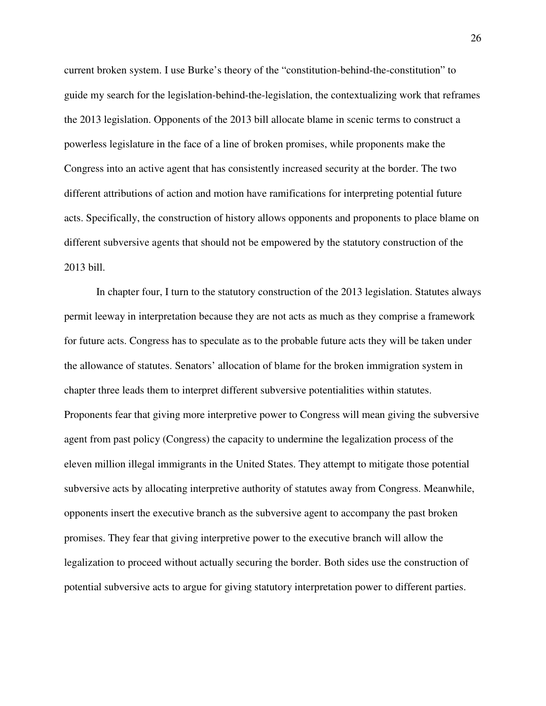current broken system. I use Burke's theory of the "constitution-behind-the-constitution" to guide my search for the legislation-behind-the-legislation, the contextualizing work that reframes the 2013 legislation. Opponents of the 2013 bill allocate blame in scenic terms to construct a powerless legislature in the face of a line of broken promises, while proponents make the Congress into an active agent that has consistently increased security at the border. The two different attributions of action and motion have ramifications for interpreting potential future acts. Specifically, the construction of history allows opponents and proponents to place blame on different subversive agents that should not be empowered by the statutory construction of the 2013 bill.

 In chapter four, I turn to the statutory construction of the 2013 legislation. Statutes always permit leeway in interpretation because they are not acts as much as they comprise a framework for future acts. Congress has to speculate as to the probable future acts they will be taken under the allowance of statutes. Senators' allocation of blame for the broken immigration system in chapter three leads them to interpret different subversive potentialities within statutes. Proponents fear that giving more interpretive power to Congress will mean giving the subversive agent from past policy (Congress) the capacity to undermine the legalization process of the eleven million illegal immigrants in the United States. They attempt to mitigate those potential subversive acts by allocating interpretive authority of statutes away from Congress. Meanwhile, opponents insert the executive branch as the subversive agent to accompany the past broken promises. They fear that giving interpretive power to the executive branch will allow the legalization to proceed without actually securing the border. Both sides use the construction of potential subversive acts to argue for giving statutory interpretation power to different parties.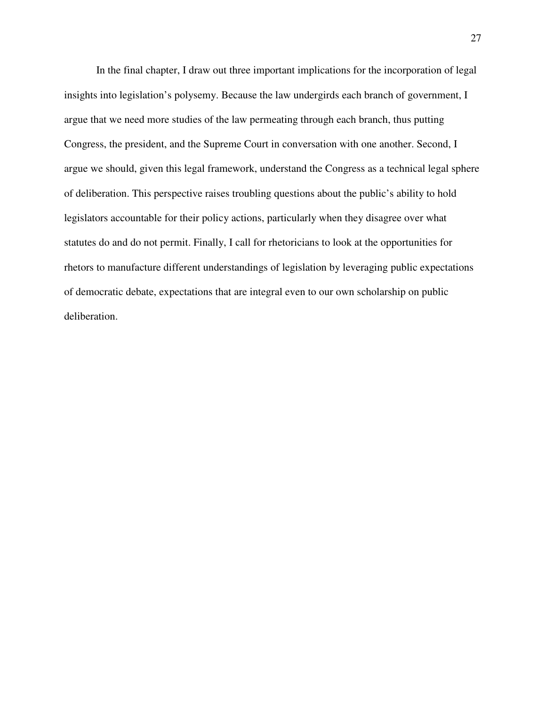In the final chapter, I draw out three important implications for the incorporation of legal insights into legislation's polysemy. Because the law undergirds each branch of government, I argue that we need more studies of the law permeating through each branch, thus putting Congress, the president, and the Supreme Court in conversation with one another. Second, I argue we should, given this legal framework, understand the Congress as a technical legal sphere of deliberation. This perspective raises troubling questions about the public's ability to hold legislators accountable for their policy actions, particularly when they disagree over what statutes do and do not permit. Finally, I call for rhetoricians to look at the opportunities for rhetors to manufacture different understandings of legislation by leveraging public expectations of democratic debate, expectations that are integral even to our own scholarship on public deliberation.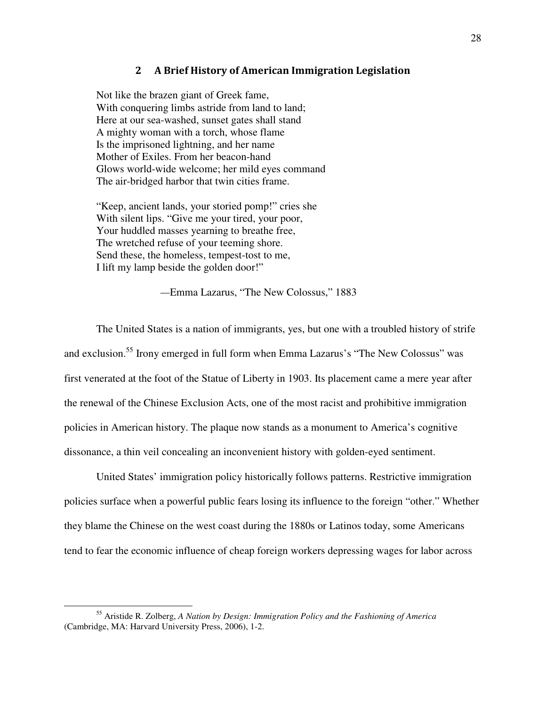#### 2 A Brief History of American Immigration Legislation

Not like the brazen giant of Greek fame, With conquering limbs astride from land to land; Here at our sea-washed, sunset gates shall stand A mighty woman with a torch, whose flame Is the imprisoned lightning, and her name Mother of Exiles. From her beacon-hand Glows world-wide welcome; her mild eyes command The air-bridged harbor that twin cities frame.

"Keep, ancient lands, your storied pomp!" cries she With silent lips. "Give me your tired, your poor, Your huddled masses yearning to breathe free, The wretched refuse of your teeming shore. Send these, the homeless, tempest-tost to me, I lift my lamp beside the golden door!"

*—*Emma Lazarus, "The New Colossus," 1883

 The United States is a nation of immigrants, yes, but one with a troubled history of strife and exclusion.<sup>55</sup> Irony emerged in full form when Emma Lazarus's "The New Colossus" was first venerated at the foot of the Statue of Liberty in 1903. Its placement came a mere year after the renewal of the Chinese Exclusion Acts, one of the most racist and prohibitive immigration policies in American history. The plaque now stands as a monument to America's cognitive dissonance, a thin veil concealing an inconvenient history with golden-eyed sentiment.

United States' immigration policy historically follows patterns. Restrictive immigration policies surface when a powerful public fears losing its influence to the foreign "other." Whether they blame the Chinese on the west coast during the 1880s or Latinos today, some Americans tend to fear the economic influence of cheap foreign workers depressing wages for labor across

<sup>55</sup> Aristide R. Zolberg, *A Nation by Design: Immigration Policy and the Fashioning of America*  (Cambridge, MA: Harvard University Press, 2006), 1-2.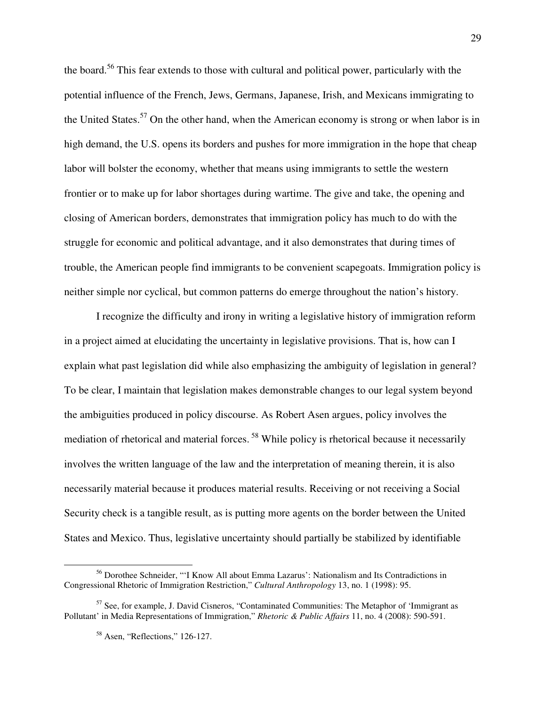the board.<sup>56</sup> This fear extends to those with cultural and political power, particularly with the potential influence of the French, Jews, Germans, Japanese, Irish, and Mexicans immigrating to the United States.<sup>57</sup> On the other hand, when the American economy is strong or when labor is in high demand, the U.S. opens its borders and pushes for more immigration in the hope that cheap labor will bolster the economy, whether that means using immigrants to settle the western frontier or to make up for labor shortages during wartime. The give and take, the opening and closing of American borders, demonstrates that immigration policy has much to do with the struggle for economic and political advantage, and it also demonstrates that during times of trouble, the American people find immigrants to be convenient scapegoats. Immigration policy is neither simple nor cyclical, but common patterns do emerge throughout the nation's history.

I recognize the difficulty and irony in writing a legislative history of immigration reform in a project aimed at elucidating the uncertainty in legislative provisions. That is, how can I explain what past legislation did while also emphasizing the ambiguity of legislation in general? To be clear, I maintain that legislation makes demonstrable changes to our legal system beyond the ambiguities produced in policy discourse. As Robert Asen argues, policy involves the mediation of rhetorical and material forces.<sup>58</sup> While policy is rhetorical because it necessarily involves the written language of the law and the interpretation of meaning therein, it is also necessarily material because it produces material results. Receiving or not receiving a Social Security check is a tangible result, as is putting more agents on the border between the United States and Mexico. Thus, legislative uncertainty should partially be stabilized by identifiable

<sup>56</sup> Dorothee Schneider, "'I Know All about Emma Lazarus': Nationalism and Its Contradictions in Congressional Rhetoric of Immigration Restriction," *Cultural Anthropology* 13, no. 1 (1998): 95.

<sup>&</sup>lt;sup>57</sup> See, for example, J. David Cisneros, "Contaminated Communities: The Metaphor of 'Immigrant as Pollutant' in Media Representations of Immigration," *Rhetoric & Public Affairs* 11, no. 4 (2008): 590-591.

<sup>&</sup>lt;sup>58</sup> Asen, "Reflections," 126-127.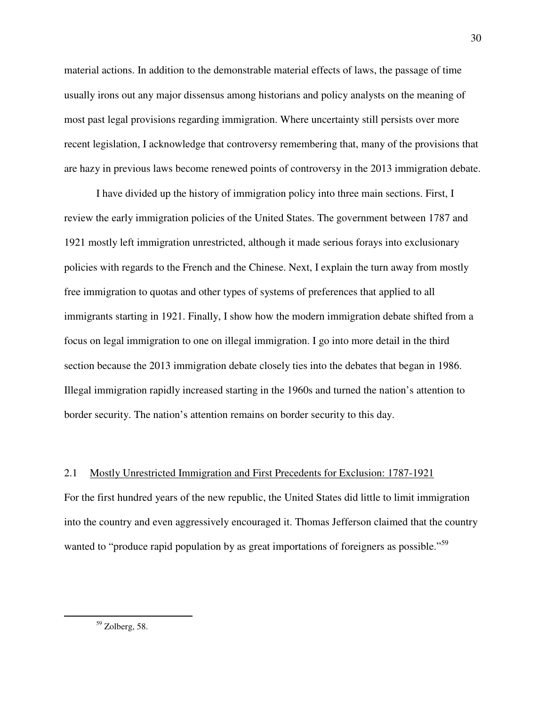material actions. In addition to the demonstrable material effects of laws, the passage of time usually irons out any major dissensus among historians and policy analysts on the meaning of most past legal provisions regarding immigration. Where uncertainty still persists over more recent legislation, I acknowledge that controversy remembering that, many of the provisions that are hazy in previous laws become renewed points of controversy in the 2013 immigration debate.

I have divided up the history of immigration policy into three main sections. First, I review the early immigration policies of the United States. The government between 1787 and 1921 mostly left immigration unrestricted, although it made serious forays into exclusionary policies with regards to the French and the Chinese. Next, I explain the turn away from mostly free immigration to quotas and other types of systems of preferences that applied to all immigrants starting in 1921. Finally, I show how the modern immigration debate shifted from a focus on legal immigration to one on illegal immigration. I go into more detail in the third section because the 2013 immigration debate closely ties into the debates that began in 1986. Illegal immigration rapidly increased starting in the 1960s and turned the nation's attention to border security. The nation's attention remains on border security to this day.

## 2.1 Mostly Unrestricted Immigration and First Precedents for Exclusion: 1787-1921

For the first hundred years of the new republic, the United States did little to limit immigration into the country and even aggressively encouraged it. Thomas Jefferson claimed that the country wanted to "produce rapid population by as great importations of foreigners as possible."<sup>59</sup>

 $59$  Zolberg, 58.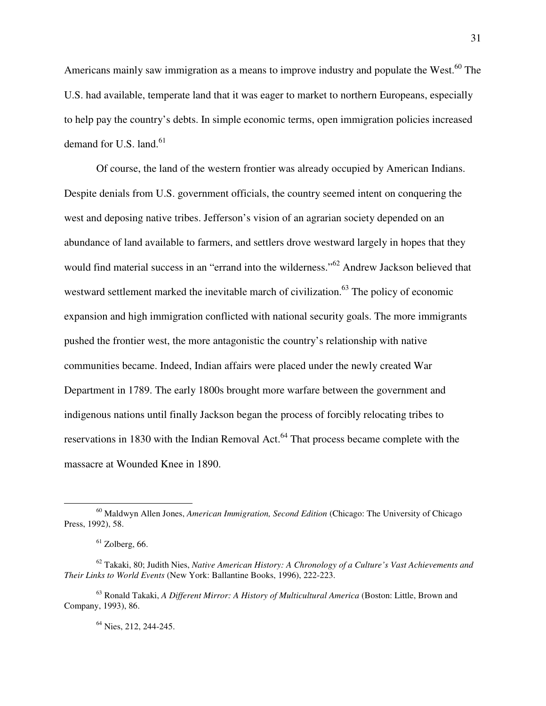Americans mainly saw immigration as a means to improve industry and populate the West.<sup>60</sup> The U.S. had available, temperate land that it was eager to market to northern Europeans, especially to help pay the country's debts. In simple economic terms, open immigration policies increased demand for U.S. land. $61$ 

 Of course, the land of the western frontier was already occupied by American Indians. Despite denials from U.S. government officials, the country seemed intent on conquering the west and deposing native tribes. Jefferson's vision of an agrarian society depended on an abundance of land available to farmers, and settlers drove westward largely in hopes that they would find material success in an "errand into the wilderness."<sup>62</sup> Andrew Jackson believed that westward settlement marked the inevitable march of civilization.<sup>63</sup> The policy of economic expansion and high immigration conflicted with national security goals. The more immigrants pushed the frontier west, the more antagonistic the country's relationship with native communities became. Indeed, Indian affairs were placed under the newly created War Department in 1789. The early 1800s brought more warfare between the government and indigenous nations until finally Jackson began the process of forcibly relocating tribes to reservations in 1830 with the Indian Removal Act.<sup>64</sup> That process became complete with the massacre at Wounded Knee in 1890.

 $\overline{a}$ 

<sup>64</sup> Nies, 212, 244-245.

<sup>60</sup> Maldwyn Allen Jones, *American Immigration, Second Edition* (Chicago: The University of Chicago Press, 1992), 58.

 $61$  Zolberg, 66.

<sup>62</sup> Takaki, 80; Judith Nies, *Native American History: A Chronology of a Culture's Vast Achievements and Their Links to World Events* (New York: Ballantine Books, 1996), 222-223.

<sup>63</sup> Ronald Takaki, *A Different Mirror: A History of Multicultural America* (Boston: Little, Brown and Company, 1993), 86.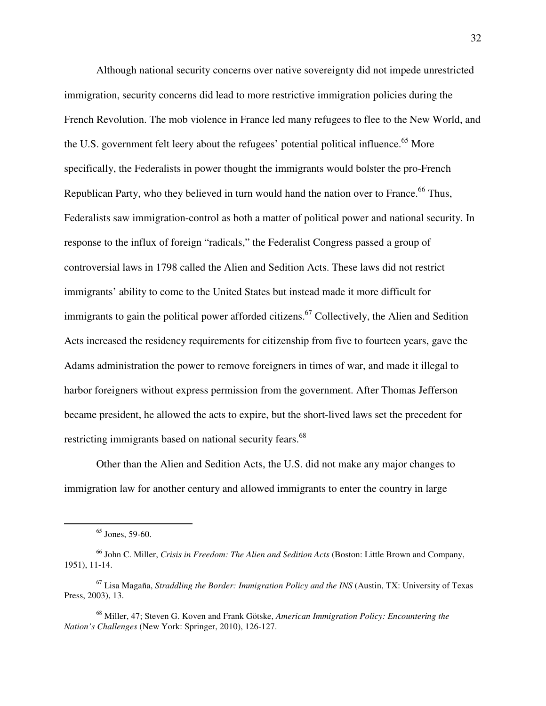Although national security concerns over native sovereignty did not impede unrestricted immigration, security concerns did lead to more restrictive immigration policies during the French Revolution. The mob violence in France led many refugees to flee to the New World, and the U.S. government felt leery about the refugees' potential political influence.<sup>65</sup> More specifically, the Federalists in power thought the immigrants would bolster the pro-French Republican Party, who they believed in turn would hand the nation over to France.<sup>66</sup> Thus, Federalists saw immigration-control as both a matter of political power and national security. In response to the influx of foreign "radicals," the Federalist Congress passed a group of controversial laws in 1798 called the Alien and Sedition Acts. These laws did not restrict immigrants' ability to come to the United States but instead made it more difficult for immigrants to gain the political power afforded citizens.<sup>67</sup> Collectively, the Alien and Sedition Acts increased the residency requirements for citizenship from five to fourteen years, gave the Adams administration the power to remove foreigners in times of war, and made it illegal to harbor foreigners without express permission from the government. After Thomas Jefferson became president, he allowed the acts to expire, but the short-lived laws set the precedent for restricting immigrants based on national security fears.<sup>68</sup>

Other than the Alien and Sedition Acts, the U.S. did not make any major changes to immigration law for another century and allowed immigrants to enter the country in large

 $65$  Jones, 59-60.

<sup>66</sup> John C. Miller, *Crisis in Freedom: The Alien and Sedition Acts* (Boston: Little Brown and Company, 1951), 11-14.

<sup>67</sup> Lisa Magaña, *Straddling the Border: Immigration Policy and the INS* (Austin, TX: University of Texas Press, 2003), 13.

<sup>68</sup> Miller, 47; Steven G. Koven and Frank Götske, *American Immigration Policy: Encountering the Nation's Challenges* (New York: Springer, 2010), 126-127.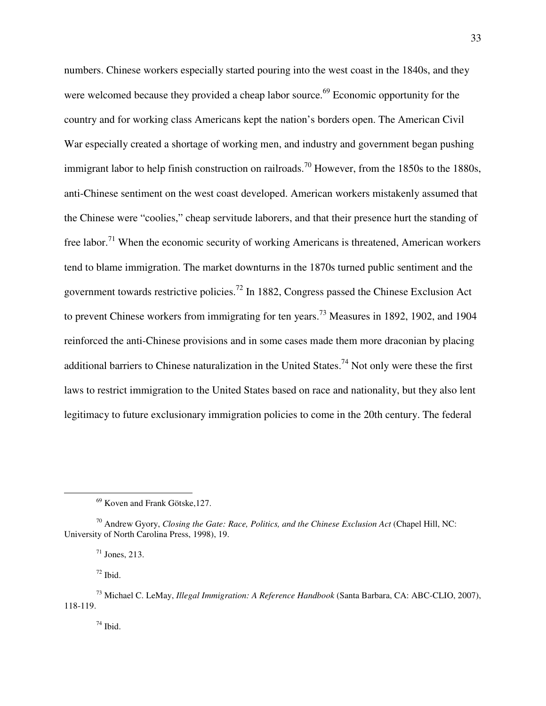numbers. Chinese workers especially started pouring into the west coast in the 1840s, and they were welcomed because they provided a cheap labor source.<sup>69</sup> Economic opportunity for the country and for working class Americans kept the nation's borders open. The American Civil War especially created a shortage of working men, and industry and government began pushing immigrant labor to help finish construction on railroads.<sup>70</sup> However, from the 1850s to the 1880s, anti-Chinese sentiment on the west coast developed. American workers mistakenly assumed that the Chinese were "coolies," cheap servitude laborers, and that their presence hurt the standing of free labor.<sup>71</sup> When the economic security of working Americans is threatened, American workers tend to blame immigration. The market downturns in the 1870s turned public sentiment and the government towards restrictive policies.<sup>72</sup> In 1882, Congress passed the Chinese Exclusion Act to prevent Chinese workers from immigrating for ten years.<sup>73</sup> Measures in 1892, 1902, and 1904 reinforced the anti-Chinese provisions and in some cases made them more draconian by placing additional barriers to Chinese naturalization in the United States.<sup>74</sup> Not only were these the first laws to restrict immigration to the United States based on race and nationality, but they also lent legitimacy to future exclusionary immigration policies to come in the 20th century. The federal

 $72$  Ibid.

 $\overline{a}$ 

 $74$  Ibid.

 $69$  Koven and Frank Götske, 127.

<sup>&</sup>lt;sup>70</sup> Andrew Gyory, *Closing the Gate: Race, Politics, and the Chinese Exclusion Act* (Chapel Hill, NC: University of North Carolina Press, 1998), 19.

 $71$  Jones, 213.

<sup>73</sup> Michael C. LeMay, *Illegal Immigration: A Reference Handbook* (Santa Barbara, CA: ABC-CLIO, 2007), 118-119.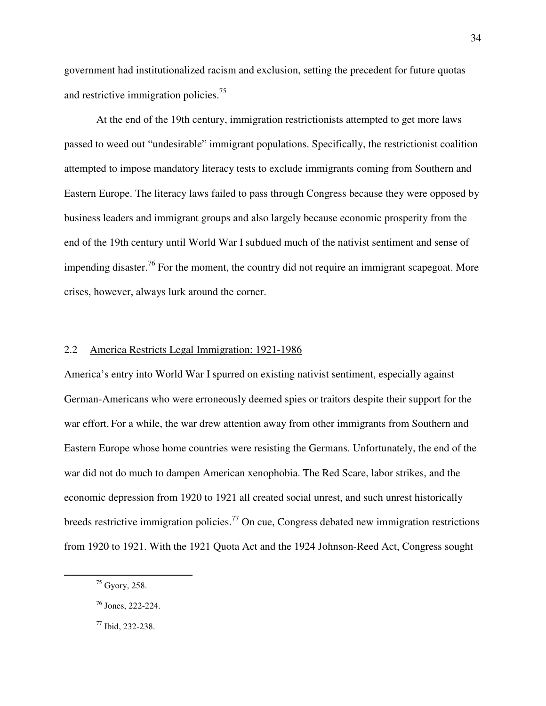government had institutionalized racism and exclusion, setting the precedent for future quotas and restrictive immigration policies.<sup>75</sup>

At the end of the 19th century, immigration restrictionists attempted to get more laws passed to weed out "undesirable" immigrant populations. Specifically, the restrictionist coalition attempted to impose mandatory literacy tests to exclude immigrants coming from Southern and Eastern Europe. The literacy laws failed to pass through Congress because they were opposed by business leaders and immigrant groups and also largely because economic prosperity from the end of the 19th century until World War I subdued much of the nativist sentiment and sense of impending disaster.<sup>76</sup> For the moment, the country did not require an immigrant scapegoat. More crises, however, always lurk around the corner.

#### 2.2 America Restricts Legal Immigration: 1921-1986

America's entry into World War I spurred on existing nativist sentiment, especially against German-Americans who were erroneously deemed spies or traitors despite their support for the war effort. For a while, the war drew attention away from other immigrants from Southern and Eastern Europe whose home countries were resisting the Germans. Unfortunately, the end of the war did not do much to dampen American xenophobia. The Red Scare, labor strikes, and the economic depression from 1920 to 1921 all created social unrest, and such unrest historically breeds restrictive immigration policies.<sup>77</sup> On cue, Congress debated new immigration restrictions from 1920 to 1921. With the 1921 Quota Act and the 1924 Johnson-Reed Act, Congress sought

-

<sup>75</sup> Gyory, 258.

<sup>76</sup> Jones, 222-224.

<sup>77</sup> Ibid, 232-238.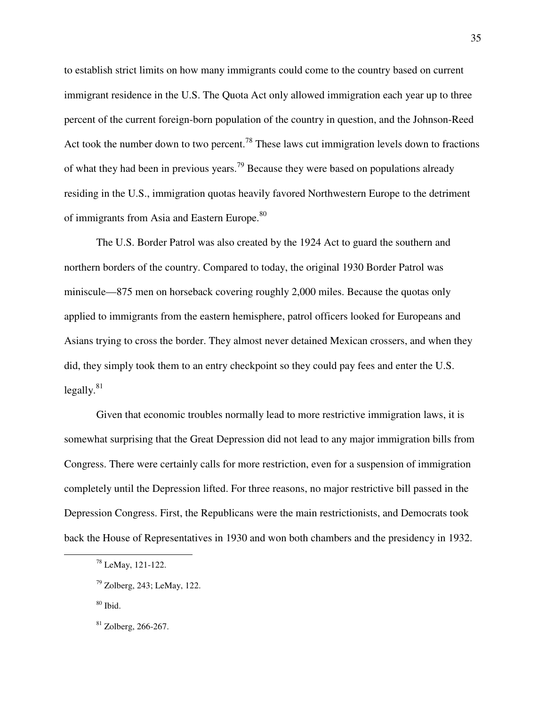to establish strict limits on how many immigrants could come to the country based on current immigrant residence in the U.S. The Quota Act only allowed immigration each year up to three percent of the current foreign-born population of the country in question, and the Johnson-Reed Act took the number down to two percent.<sup>78</sup> These laws cut immigration levels down to fractions of what they had been in previous years.<sup>79</sup> Because they were based on populations already residing in the U.S., immigration quotas heavily favored Northwestern Europe to the detriment of immigrants from Asia and Eastern Europe.<sup>80</sup>

The U.S. Border Patrol was also created by the 1924 Act to guard the southern and northern borders of the country. Compared to today, the original 1930 Border Patrol was miniscule—875 men on horseback covering roughly 2,000 miles. Because the quotas only applied to immigrants from the eastern hemisphere, patrol officers looked for Europeans and Asians trying to cross the border. They almost never detained Mexican crossers, and when they did, they simply took them to an entry checkpoint so they could pay fees and enter the U.S.  $legally.<sup>81</sup>$ 

 Given that economic troubles normally lead to more restrictive immigration laws, it is somewhat surprising that the Great Depression did not lead to any major immigration bills from Congress. There were certainly calls for more restriction, even for a suspension of immigration completely until the Depression lifted. For three reasons, no major restrictive bill passed in the Depression Congress. First, the Republicans were the main restrictionists, and Democrats took back the House of Representatives in 1930 and won both chambers and the presidency in 1932.

 $80$  Ibid.

<sup>78</sup> LeMay, 121-122.

<sup>79</sup> Zolberg, 243; LeMay, 122.

 $81$  Zolberg, 266-267.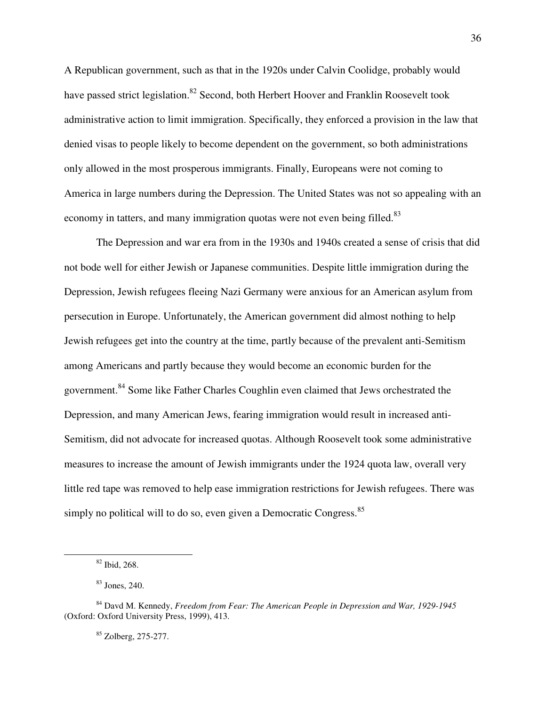A Republican government, such as that in the 1920s under Calvin Coolidge, probably would have passed strict legislation.<sup>82</sup> Second, both Herbert Hoover and Franklin Roosevelt took administrative action to limit immigration. Specifically, they enforced a provision in the law that denied visas to people likely to become dependent on the government, so both administrations only allowed in the most prosperous immigrants. Finally, Europeans were not coming to America in large numbers during the Depression. The United States was not so appealing with an economy in tatters, and many immigration quotas were not even being filled.<sup>83</sup>

 The Depression and war era from in the 1930s and 1940s created a sense of crisis that did not bode well for either Jewish or Japanese communities. Despite little immigration during the Depression, Jewish refugees fleeing Nazi Germany were anxious for an American asylum from persecution in Europe. Unfortunately, the American government did almost nothing to help Jewish refugees get into the country at the time, partly because of the prevalent anti-Semitism among Americans and partly because they would become an economic burden for the government.<sup>84</sup> Some like Father Charles Coughlin even claimed that Jews orchestrated the Depression, and many American Jews, fearing immigration would result in increased anti-Semitism, did not advocate for increased quotas. Although Roosevelt took some administrative measures to increase the amount of Jewish immigrants under the 1924 quota law, overall very little red tape was removed to help ease immigration restrictions for Jewish refugees. There was simply no political will to do so, even given a Democratic Congress.<sup>85</sup>

<sup>82</sup> Ibid, 268.

<sup>83</sup> Jones, 240.

<sup>84</sup> Davd M. Kennedy, *Freedom from Fear: The American People in Depression and War, 1929-1945*  (Oxford: Oxford University Press, 1999), 413.

<sup>85</sup> Zolberg, 275-277.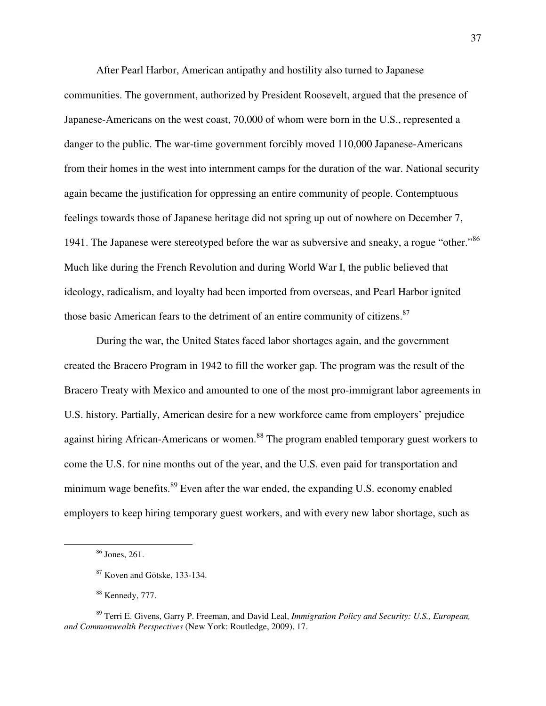After Pearl Harbor, American antipathy and hostility also turned to Japanese communities. The government, authorized by President Roosevelt, argued that the presence of Japanese-Americans on the west coast, 70,000 of whom were born in the U.S., represented a danger to the public. The war-time government forcibly moved 110,000 Japanese-Americans from their homes in the west into internment camps for the duration of the war. National security again became the justification for oppressing an entire community of people. Contemptuous feelings towards those of Japanese heritage did not spring up out of nowhere on December 7, 1941. The Japanese were stereotyped before the war as subversive and sneaky, a rogue "other."<sup>86</sup> Much like during the French Revolution and during World War I, the public believed that ideology, radicalism, and loyalty had been imported from overseas, and Pearl Harbor ignited those basic American fears to the detriment of an entire community of citizens.<sup>87</sup>

During the war, the United States faced labor shortages again, and the government created the Bracero Program in 1942 to fill the worker gap. The program was the result of the Bracero Treaty with Mexico and amounted to one of the most pro-immigrant labor agreements in U.S. history. Partially, American desire for a new workforce came from employers' prejudice against hiring African-Americans or women.<sup>88</sup> The program enabled temporary guest workers to come the U.S. for nine months out of the year, and the U.S. even paid for transportation and minimum wage benefits. $89$  Even after the war ended, the expanding U.S. economy enabled employers to keep hiring temporary guest workers, and with every new labor shortage, such as

<sup>86</sup> Jones, 261.

<sup>87</sup> Koven and Götske, 133-134.

<sup>88</sup> Kennedy, 777.

<sup>89</sup> Terri E. Givens, Garry P. Freeman, and David Leal, *Immigration Policy and Security: U.S., European, and Commonwealth Perspectives* (New York: Routledge, 2009), 17.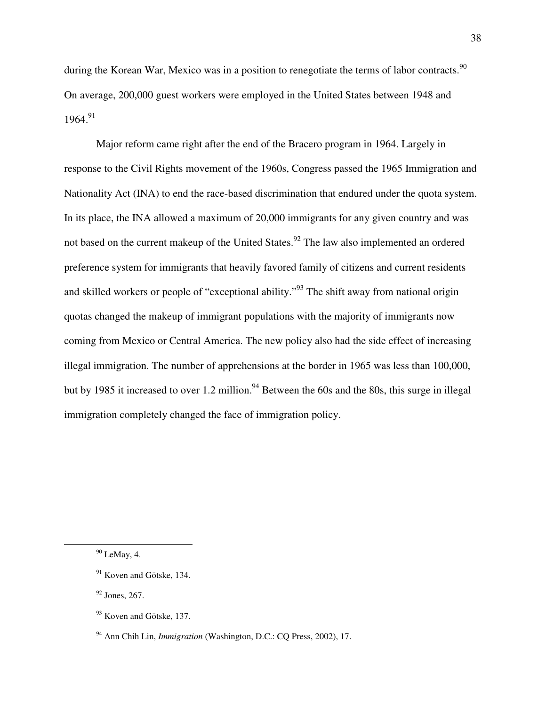during the Korean War, Mexico was in a position to renegotiate the terms of labor contracts.<sup>90</sup> On average, 200,000 guest workers were employed in the United States between 1948 and  $1964.<sup>91</sup>$ 

 Major reform came right after the end of the Bracero program in 1964. Largely in response to the Civil Rights movement of the 1960s, Congress passed the 1965 Immigration and Nationality Act (INA) to end the race-based discrimination that endured under the quota system. In its place, the INA allowed a maximum of 20,000 immigrants for any given country and was not based on the current makeup of the United States.<sup>92</sup> The law also implemented an ordered preference system for immigrants that heavily favored family of citizens and current residents and skilled workers or people of "exceptional ability."<sup>93</sup> The shift away from national origin quotas changed the makeup of immigrant populations with the majority of immigrants now coming from Mexico or Central America. The new policy also had the side effect of increasing illegal immigration. The number of apprehensions at the border in 1965 was less than 100,000, but by 1985 it increased to over 1.2 million.<sup>94</sup> Between the 60s and the 80s, this surge in illegal immigration completely changed the face of immigration policy.

 $\overline{a}$ 

 $92$  Jones, 267.

 $90$  LeMay, 4.

 $91$  Koven and Götske, 134.

 $93$  Koven and Götske, 137.

<sup>94</sup> Ann Chih Lin, *Immigration* (Washington, D.C.: CQ Press, 2002), 17.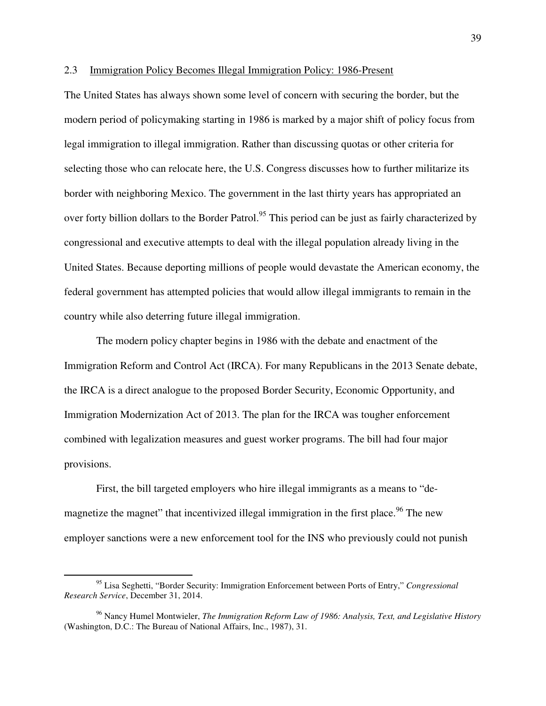## 2.3 Immigration Policy Becomes Illegal Immigration Policy: 1986-Present

The United States has always shown some level of concern with securing the border, but the modern period of policymaking starting in 1986 is marked by a major shift of policy focus from legal immigration to illegal immigration. Rather than discussing quotas or other criteria for selecting those who can relocate here, the U.S. Congress discusses how to further militarize its border with neighboring Mexico. The government in the last thirty years has appropriated an over forty billion dollars to the Border Patrol.<sup>95</sup> This period can be just as fairly characterized by congressional and executive attempts to deal with the illegal population already living in the United States. Because deporting millions of people would devastate the American economy, the federal government has attempted policies that would allow illegal immigrants to remain in the country while also deterring future illegal immigration.

 The modern policy chapter begins in 1986 with the debate and enactment of the Immigration Reform and Control Act (IRCA). For many Republicans in the 2013 Senate debate, the IRCA is a direct analogue to the proposed Border Security, Economic Opportunity, and Immigration Modernization Act of 2013. The plan for the IRCA was tougher enforcement combined with legalization measures and guest worker programs. The bill had four major provisions.

First, the bill targeted employers who hire illegal immigrants as a means to "demagnetize the magnet" that incentivized illegal immigration in the first place.<sup>96</sup> The new employer sanctions were a new enforcement tool for the INS who previously could not punish

<sup>95</sup> Lisa Seghetti, "Border Security: Immigration Enforcement between Ports of Entry," *Congressional Research Service*, December 31, 2014.

<sup>96</sup> Nancy Humel Montwieler, *The Immigration Reform Law of 1986: Analysis, Text, and Legislative History*  (Washington, D.C.: The Bureau of National Affairs, Inc., 1987), 31.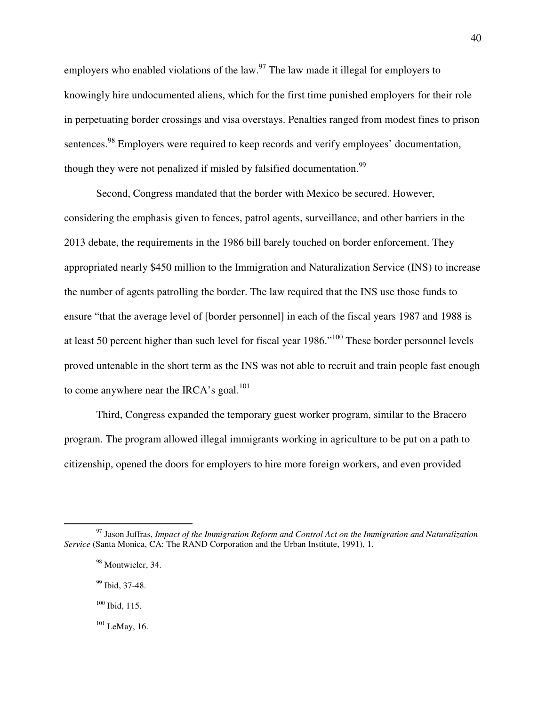employers who enabled violations of the law.<sup>97</sup> The law made it illegal for employers to knowingly hire undocumented aliens, which for the first time punished employers for their role in perpetuating border crossings and visa overstays. Penalties ranged from modest fines to prison sentences.<sup>98</sup> Employers were required to keep records and verify employees' documentation, though they were not penalized if misled by falsified documentation.<sup>99</sup>

Second, Congress mandated that the border with Mexico be secured. However, considering the emphasis given to fences, patrol agents, surveillance, and other barriers in the 2013 debate, the requirements in the 1986 bill barely touched on border enforcement. They appropriated nearly \$450 million to the Immigration and Naturalization Service (INS) to increase the number of agents patrolling the border. The law required that the INS use those funds to ensure "that the average level of [border personnel] in each of the fiscal years 1987 and 1988 is at least 50 percent higher than such level for fiscal year 1986."<sup>100</sup> These border personnel levels proved untenable in the short term as the INS was not able to recruit and train people fast enough to come anywhere near the IRCA's goal. $101$ 

Third, Congress expanded the temporary guest worker program, similar to the Bracero program. The program allowed illegal immigrants working in agriculture to be put on a path to citizenship, opened the doors for employers to hire more foreign workers, and even provided

<sup>-</sup><sup>97</sup> Jason Juffras, *Impact of the Immigration Reform and Control Act on the Immigration and Naturalization Service* (Santa Monica, CA: The RAND Corporation and the Urban Institute, 1991), 1.

<sup>&</sup>lt;sup>98</sup> Montwieler, 34.

<sup>99</sup> Ibid, 37-48.

 $100$  Ibid, 115.

 $101$  LeMay, 16.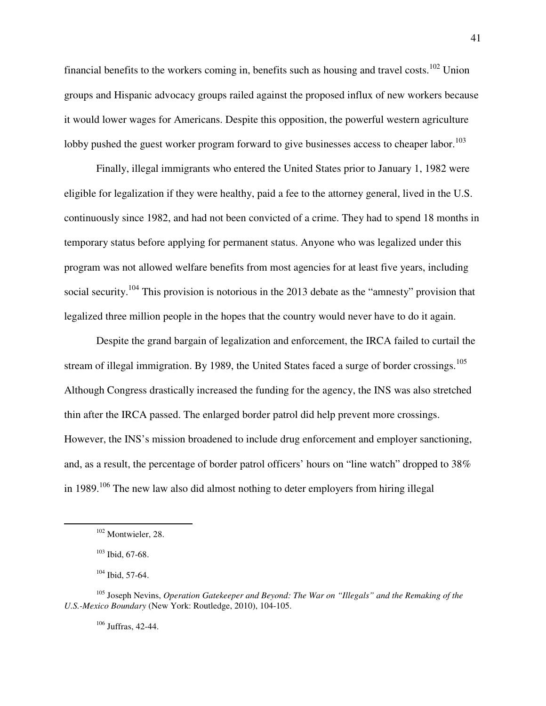financial benefits to the workers coming in, benefits such as housing and travel costs.<sup>102</sup> Union groups and Hispanic advocacy groups railed against the proposed influx of new workers because it would lower wages for Americans. Despite this opposition, the powerful western agriculture lobby pushed the guest worker program forward to give businesses access to cheaper labor.<sup>103</sup>

Finally, illegal immigrants who entered the United States prior to January 1, 1982 were eligible for legalization if they were healthy, paid a fee to the attorney general, lived in the U.S. continuously since 1982, and had not been convicted of a crime. They had to spend 18 months in temporary status before applying for permanent status. Anyone who was legalized under this program was not allowed welfare benefits from most agencies for at least five years, including social security.<sup>104</sup> This provision is notorious in the 2013 debate as the "amnesty" provision that legalized three million people in the hopes that the country would never have to do it again.

Despite the grand bargain of legalization and enforcement, the IRCA failed to curtail the stream of illegal immigration. By 1989, the United States faced a surge of border crossings.<sup>105</sup> Although Congress drastically increased the funding for the agency, the INS was also stretched thin after the IRCA passed. The enlarged border patrol did help prevent more crossings. However, the INS's mission broadened to include drug enforcement and employer sanctioning, and, as a result, the percentage of border patrol officers' hours on "line watch" dropped to 38% in 1989.<sup>106</sup> The new law also did almost nothing to deter employers from hiring illegal

-

<sup>106</sup> Juffras, 42-44.

<sup>&</sup>lt;sup>102</sup> Montwieler, 28.

 $103$  Ibid, 67-68.

 $104$  Ibid, 57-64.

<sup>105</sup> Joseph Nevins, *Operation Gatekeeper and Beyond: The War on "Illegals" and the Remaking of the U.S.-Mexico Boundary* (New York: Routledge, 2010), 104-105.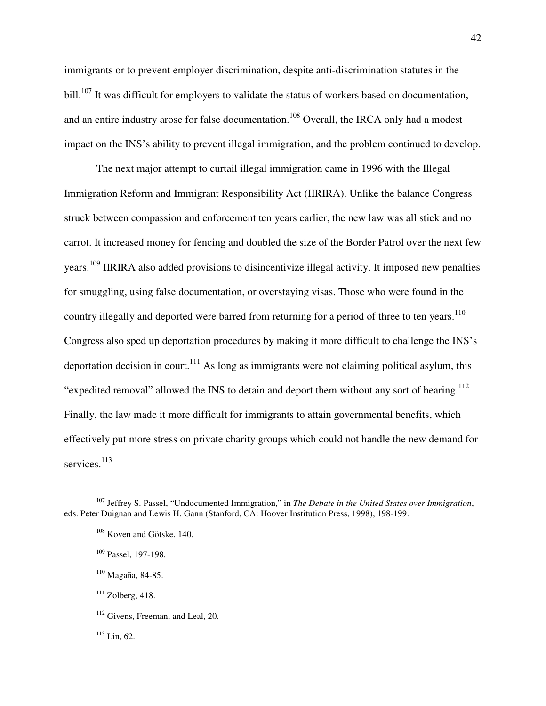immigrants or to prevent employer discrimination, despite anti-discrimination statutes in the bill.<sup>107</sup> It was difficult for employers to validate the status of workers based on documentation, and an entire industry arose for false documentation.<sup>108</sup> Overall, the IRCA only had a modest impact on the INS's ability to prevent illegal immigration, and the problem continued to develop.

The next major attempt to curtail illegal immigration came in 1996 with the Illegal Immigration Reform and Immigrant Responsibility Act (IIRIRA). Unlike the balance Congress struck between compassion and enforcement ten years earlier, the new law was all stick and no carrot. It increased money for fencing and doubled the size of the Border Patrol over the next few years.<sup>109</sup> IIRIRA also added provisions to disincentivize illegal activity. It imposed new penalties for smuggling, using false documentation, or overstaying visas. Those who were found in the country illegally and deported were barred from returning for a period of three to ten years.<sup>110</sup> Congress also sped up deportation procedures by making it more difficult to challenge the INS's deportation decision in court.<sup>111</sup> As long as immigrants were not claiming political asylum, this "expedited removal" allowed the INS to detain and deport them without any sort of hearing.<sup>112</sup> Finally, the law made it more difficult for immigrants to attain governmental benefits, which effectively put more stress on private charity groups which could not handle the new demand for services.<sup>113</sup>

<sup>107</sup> Jeffrey S. Passel, "Undocumented Immigration," in *The Debate in the United States over Immigration*, eds. Peter Duignan and Lewis H. Gann (Stanford, CA: Hoover Institution Press, 1998), 198-199.

<sup>&</sup>lt;sup>108</sup> Koven and Götske, 140.

<sup>109</sup> Passel, 197-198.

<sup>110</sup> Magaña, 84-85.

 $111$  Zolberg, 418.

<sup>&</sup>lt;sup>112</sup> Givens, Freeman, and Leal, 20.

 $113$  Lin, 62.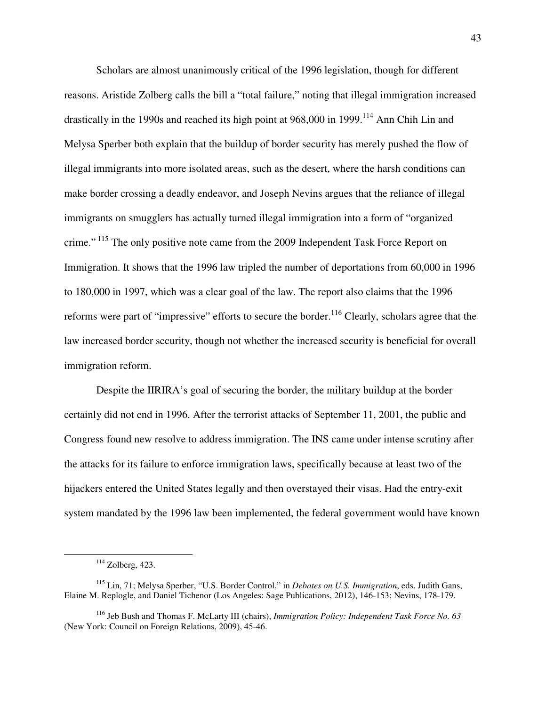Scholars are almost unanimously critical of the 1996 legislation, though for different reasons. Aristide Zolberg calls the bill a "total failure," noting that illegal immigration increased drastically in the 1990s and reached its high point at 968,000 in 1999.<sup>114</sup> Ann Chih Lin and Melysa Sperber both explain that the buildup of border security has merely pushed the flow of illegal immigrants into more isolated areas, such as the desert, where the harsh conditions can make border crossing a deadly endeavor, and Joseph Nevins argues that the reliance of illegal immigrants on smugglers has actually turned illegal immigration into a form of "organized crime."<sup>115</sup> The only positive note came from the 2009 Independent Task Force Report on Immigration. It shows that the 1996 law tripled the number of deportations from 60,000 in 1996 to 180,000 in 1997, which was a clear goal of the law. The report also claims that the 1996 reforms were part of "impressive" efforts to secure the border.<sup>116</sup> Clearly, scholars agree that the law increased border security, though not whether the increased security is beneficial for overall immigration reform.

Despite the IIRIRA's goal of securing the border, the military buildup at the border certainly did not end in 1996. After the terrorist attacks of September 11, 2001, the public and Congress found new resolve to address immigration. The INS came under intense scrutiny after the attacks for its failure to enforce immigration laws, specifically because at least two of the hijackers entered the United States legally and then overstayed their visas. Had the entry-exit system mandated by the 1996 law been implemented, the federal government would have known

 $114$  Zolberg, 423.

<sup>115</sup> Lin, 71; Melysa Sperber, "U.S. Border Control," in *Debates on U.S. Immigration*, eds. Judith Gans, Elaine M. Replogle, and Daniel Tichenor (Los Angeles: Sage Publications, 2012), 146-153; Nevins, 178-179.

<sup>116</sup> Jeb Bush and Thomas F. McLarty III (chairs), *Immigration Policy: Independent Task Force No. 63*  (New York: Council on Foreign Relations, 2009), 45-46.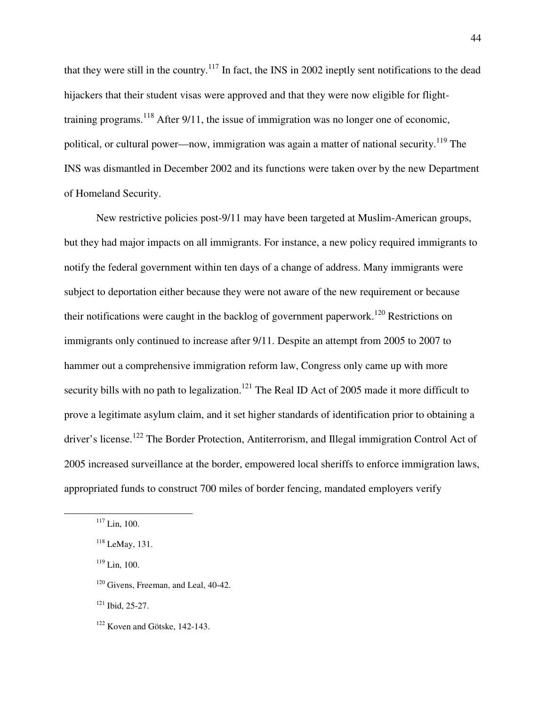that they were still in the country.<sup>117</sup> In fact, the INS in 2002 ineptly sent notifications to the dead hijackers that their student visas were approved and that they were now eligible for flighttraining programs.<sup>118</sup> After 9/11, the issue of immigration was no longer one of economic, political, or cultural power—now, immigration was again a matter of national security.<sup>119</sup> The INS was dismantled in December 2002 and its functions were taken over by the new Department of Homeland Security.

New restrictive policies post-9/11 may have been targeted at Muslim-American groups, but they had major impacts on all immigrants. For instance, a new policy required immigrants to notify the federal government within ten days of a change of address. Many immigrants were subject to deportation either because they were not aware of the new requirement or because their notifications were caught in the backlog of government paperwork.<sup>120</sup> Restrictions on immigrants only continued to increase after 9/11. Despite an attempt from 2005 to 2007 to hammer out a comprehensive immigration reform law, Congress only came up with more security bills with no path to legalization.<sup>121</sup> The Real ID Act of 2005 made it more difficult to prove a legitimate asylum claim, and it set higher standards of identification prior to obtaining a driver's license.<sup>122</sup> The Border Protection, Antiterrorism, and Illegal immigration Control Act of 2005 increased surveillance at the border, empowered local sheriffs to enforce immigration laws, appropriated funds to construct 700 miles of border fencing, mandated employers verify

 $\overline{a}$ 

<sup>120</sup> Givens, Freeman, and Leal, 40-42.

<sup>121</sup> Ibid, 25-27.

 $117$  Lin, 100.

<sup>118</sup> LeMay, 131.

<sup>119</sup> Lin, 100.

 $122$  Koven and Götske, 142-143.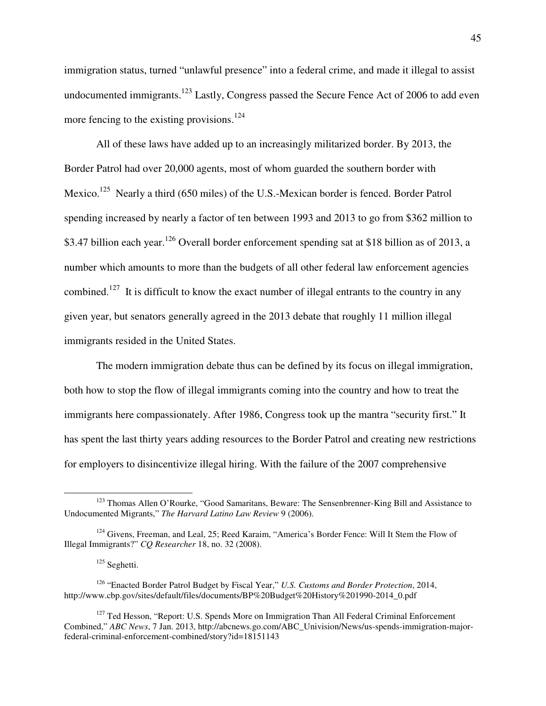immigration status, turned "unlawful presence" into a federal crime, and made it illegal to assist undocumented immigrants.<sup>123</sup> Lastly, Congress passed the Secure Fence Act of 2006 to add even more fencing to the existing provisions.<sup>124</sup>

All of these laws have added up to an increasingly militarized border. By 2013, the Border Patrol had over 20,000 agents, most of whom guarded the southern border with Mexico.<sup>125</sup> Nearly a third (650 miles) of the U.S.-Mexican border is fenced. Border Patrol spending increased by nearly a factor of ten between 1993 and 2013 to go from \$362 million to \$3.47 billion each year.<sup>126</sup> Overall border enforcement spending sat at \$18 billion as of 2013, a number which amounts to more than the budgets of all other federal law enforcement agencies combined.<sup>127</sup> It is difficult to know the exact number of illegal entrants to the country in any given year, but senators generally agreed in the 2013 debate that roughly 11 million illegal immigrants resided in the United States.

The modern immigration debate thus can be defined by its focus on illegal immigration, both how to stop the flow of illegal immigrants coming into the country and how to treat the immigrants here compassionately. After 1986, Congress took up the mantra "security first." It has spent the last thirty years adding resources to the Border Patrol and creating new restrictions for employers to disincentivize illegal hiring. With the failure of the 2007 comprehensive

<sup>&</sup>lt;sup>123</sup> Thomas Allen O'Rourke, "Good Samaritans, Beware: The Sensenbrenner-King Bill and Assistance to Undocumented Migrants," *The Harvard Latino Law Review* 9 (2006).

<sup>&</sup>lt;sup>124</sup> Givens, Freeman, and Leal, 25; Reed Karaim, "America's Border Fence: Will It Stem the Flow of Illegal Immigrants?" *CQ Researcher* 18, no. 32 (2008).

<sup>&</sup>lt;sup>125</sup> Seghetti.

<sup>126</sup> "Enacted Border Patrol Budget by Fiscal Year," *U.S. Customs and Border Protection*, 2014, http://www.cbp.gov/sites/default/files/documents/BP%20Budget%20History%201990-2014\_0.pdf

<sup>&</sup>lt;sup>127</sup> Ted Hesson, "Report: U.S. Spends More on Immigration Than All Federal Criminal Enforcement Combined," *ABC News*, 7 Jan. 2013, http://abcnews.go.com/ABC\_Univision/News/us-spends-immigration-majorfederal-criminal-enforcement-combined/story?id=18151143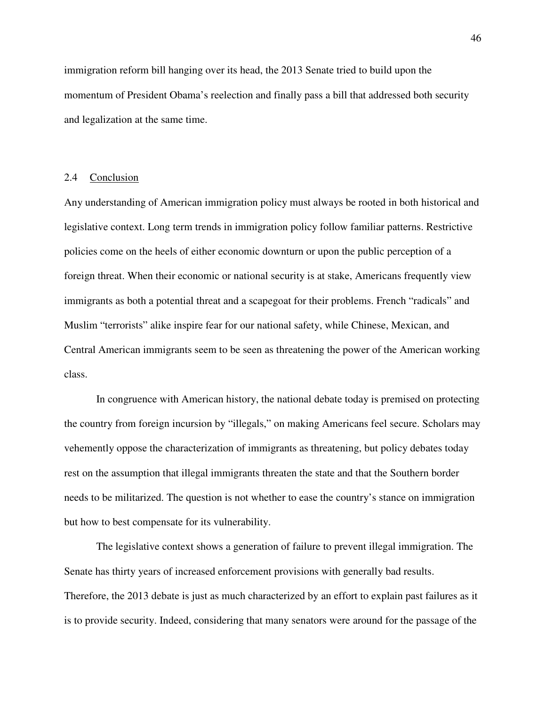immigration reform bill hanging over its head, the 2013 Senate tried to build upon the momentum of President Obama's reelection and finally pass a bill that addressed both security and legalization at the same time.

#### 2.4 Conclusion

Any understanding of American immigration policy must always be rooted in both historical and legislative context. Long term trends in immigration policy follow familiar patterns. Restrictive policies come on the heels of either economic downturn or upon the public perception of a foreign threat. When their economic or national security is at stake, Americans frequently view immigrants as both a potential threat and a scapegoat for their problems. French "radicals" and Muslim "terrorists" alike inspire fear for our national safety, while Chinese, Mexican, and Central American immigrants seem to be seen as threatening the power of the American working class.

 In congruence with American history, the national debate today is premised on protecting the country from foreign incursion by "illegals," on making Americans feel secure. Scholars may vehemently oppose the characterization of immigrants as threatening, but policy debates today rest on the assumption that illegal immigrants threaten the state and that the Southern border needs to be militarized. The question is not whether to ease the country's stance on immigration but how to best compensate for its vulnerability.

 The legislative context shows a generation of failure to prevent illegal immigration. The Senate has thirty years of increased enforcement provisions with generally bad results. Therefore, the 2013 debate is just as much characterized by an effort to explain past failures as it is to provide security. Indeed, considering that many senators were around for the passage of the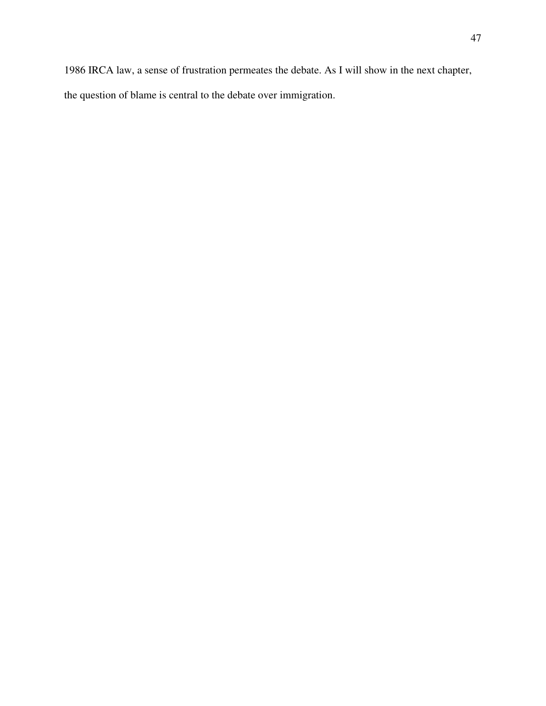1986 IRCA law, a sense of frustration permeates the debate. As I will show in the next chapter,

the question of blame is central to the debate over immigration.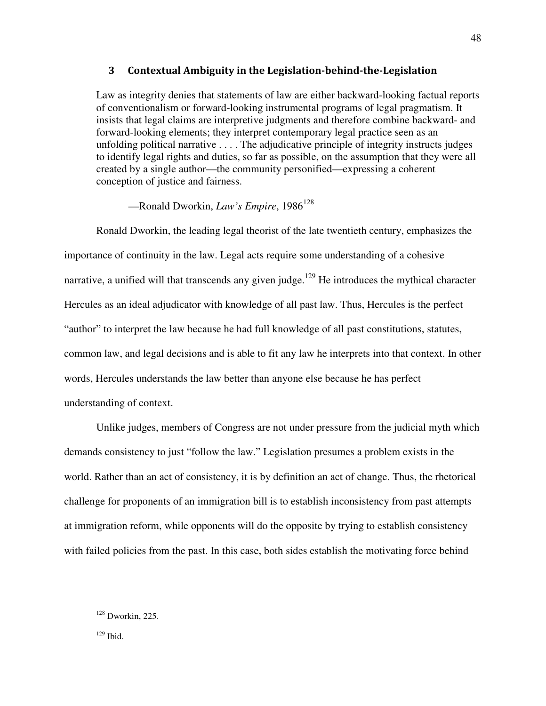### 3 Contextual Ambiguity in the Legislation-behind-the-Legislation

Law as integrity denies that statements of law are either backward-looking factual reports of conventionalism or forward-looking instrumental programs of legal pragmatism. It insists that legal claims are interpretive judgments and therefore combine backward- and forward-looking elements; they interpret contemporary legal practice seen as an unfolding political narrative . . . . The adjudicative principle of integrity instructs judges to identify legal rights and duties, so far as possible, on the assumption that they were all created by a single author—the community personified—expressing a coherent conception of justice and fairness.

—Ronald Dworkin, *Law's Empire*, 1986<sup>128</sup>

 Ronald Dworkin, the leading legal theorist of the late twentieth century, emphasizes the importance of continuity in the law. Legal acts require some understanding of a cohesive narrative, a unified will that transcends any given judge.<sup>129</sup> He introduces the mythical character Hercules as an ideal adjudicator with knowledge of all past law. Thus, Hercules is the perfect "author" to interpret the law because he had full knowledge of all past constitutions, statutes, common law, and legal decisions and is able to fit any law he interprets into that context. In other words, Hercules understands the law better than anyone else because he has perfect understanding of context.

 Unlike judges, members of Congress are not under pressure from the judicial myth which demands consistency to just "follow the law." Legislation presumes a problem exists in the world. Rather than an act of consistency, it is by definition an act of change. Thus, the rhetorical challenge for proponents of an immigration bill is to establish inconsistency from past attempts at immigration reform, while opponents will do the opposite by trying to establish consistency with failed policies from the past. In this case, both sides establish the motivating force behind

48

 $129$  Ibid.

 $128$  Dworkin, 225.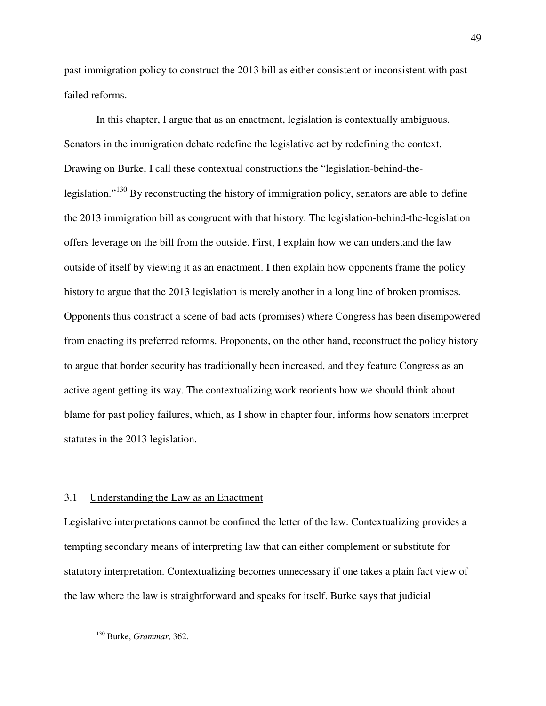past immigration policy to construct the 2013 bill as either consistent or inconsistent with past failed reforms.

In this chapter, I argue that as an enactment, legislation is contextually ambiguous. Senators in the immigration debate redefine the legislative act by redefining the context. Drawing on Burke, I call these contextual constructions the "legislation-behind-thelegislation."<sup>130</sup> By reconstructing the history of immigration policy, senators are able to define the 2013 immigration bill as congruent with that history. The legislation-behind-the-legislation offers leverage on the bill from the outside. First, I explain how we can understand the law outside of itself by viewing it as an enactment. I then explain how opponents frame the policy history to argue that the 2013 legislation is merely another in a long line of broken promises. Opponents thus construct a scene of bad acts (promises) where Congress has been disempowered from enacting its preferred reforms. Proponents, on the other hand, reconstruct the policy history to argue that border security has traditionally been increased, and they feature Congress as an active agent getting its way. The contextualizing work reorients how we should think about blame for past policy failures, which, as I show in chapter four, informs how senators interpret statutes in the 2013 legislation.

## 3.1 Understanding the Law as an Enactment

Legislative interpretations cannot be confined the letter of the law. Contextualizing provides a tempting secondary means of interpreting law that can either complement or substitute for statutory interpretation. Contextualizing becomes unnecessary if one takes a plain fact view of the law where the law is straightforward and speaks for itself. Burke says that judicial

<sup>130</sup> Burke, *Grammar*, 362.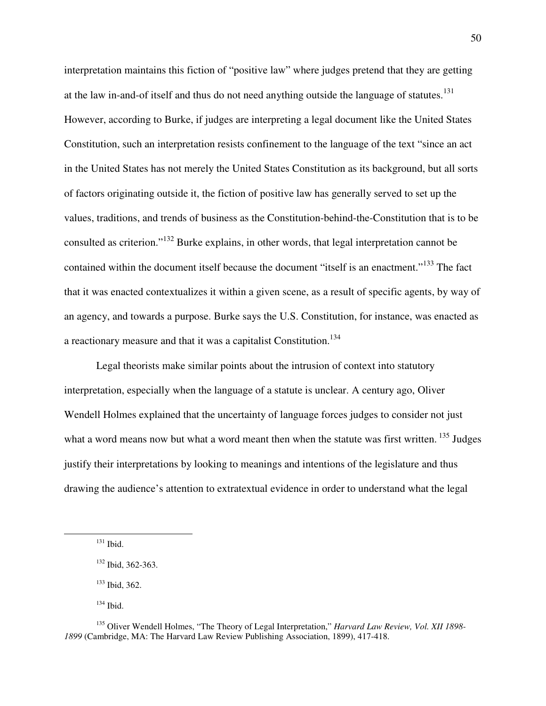interpretation maintains this fiction of "positive law" where judges pretend that they are getting at the law in-and-of itself and thus do not need anything outside the language of statutes.<sup>131</sup> However, according to Burke, if judges are interpreting a legal document like the United States Constitution, such an interpretation resists confinement to the language of the text "since an act in the United States has not merely the United States Constitution as its background, but all sorts of factors originating outside it, the fiction of positive law has generally served to set up the values, traditions, and trends of business as the Constitution-behind-the-Constitution that is to be consulted as criterion."<sup>132</sup> Burke explains, in other words, that legal interpretation cannot be contained within the document itself because the document "itself is an enactment."<sup>133</sup> The fact that it was enacted contextualizes it within a given scene, as a result of specific agents, by way of an agency, and towards a purpose. Burke says the U.S. Constitution, for instance, was enacted as a reactionary measure and that it was a capitalist Constitution.<sup>134</sup>

Legal theorists make similar points about the intrusion of context into statutory interpretation, especially when the language of a statute is unclear. A century ago, Oliver Wendell Holmes explained that the uncertainty of language forces judges to consider not just what a word means now but what a word meant then when the statute was first written.<sup>135</sup> Judges justify their interpretations by looking to meanings and intentions of the legislature and thus drawing the audience's attention to extratextual evidence in order to understand what the legal

<u>.</u>

<sup>133</sup> Ibid, 362.

<sup>131</sup> Ibid.

<sup>132</sup> Ibid, 362-363.

 $134$  Ibid.

<sup>135</sup> Oliver Wendell Holmes, "The Theory of Legal Interpretation," *Harvard Law Review, Vol. XII 1898- 1899* (Cambridge, MA: The Harvard Law Review Publishing Association, 1899), 417-418.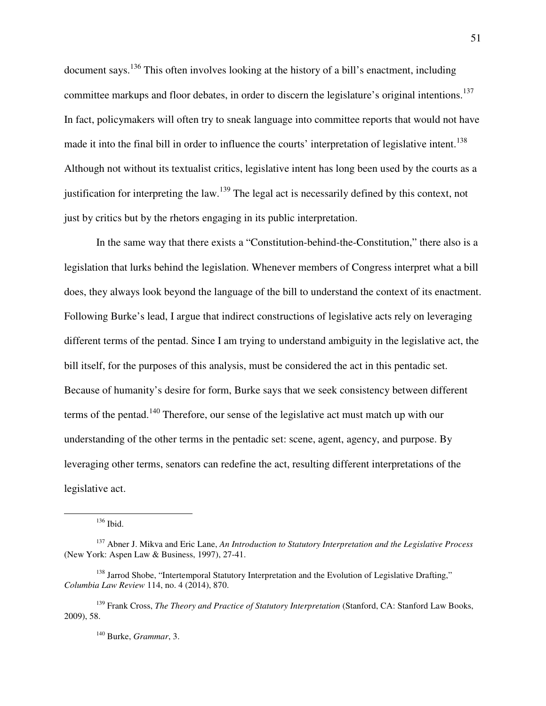document says.<sup>136</sup> This often involves looking at the history of a bill's enactment, including committee markups and floor debates, in order to discern the legislature's original intentions.<sup>137</sup> In fact, policymakers will often try to sneak language into committee reports that would not have made it into the final bill in order to influence the courts' interpretation of legislative intent.<sup>138</sup> Although not without its textualist critics, legislative intent has long been used by the courts as a justification for interpreting the law.<sup>139</sup> The legal act is necessarily defined by this context, not just by critics but by the rhetors engaging in its public interpretation.

In the same way that there exists a "Constitution-behind-the-Constitution," there also is a legislation that lurks behind the legislation. Whenever members of Congress interpret what a bill does, they always look beyond the language of the bill to understand the context of its enactment. Following Burke's lead, I argue that indirect constructions of legislative acts rely on leveraging different terms of the pentad. Since I am trying to understand ambiguity in the legislative act, the bill itself, for the purposes of this analysis, must be considered the act in this pentadic set. Because of humanity's desire for form, Burke says that we seek consistency between different terms of the pentad.<sup>140</sup> Therefore, our sense of the legislative act must match up with our understanding of the other terms in the pentadic set: scene, agent, agency, and purpose. By leveraging other terms, senators can redefine the act, resulting different interpretations of the legislative act.

<sup>136</sup> Ibid.

-

<sup>140</sup> Burke, *Grammar*, 3.

<sup>137</sup> Abner J. Mikva and Eric Lane, *An Introduction to Statutory Interpretation and the Legislative Process*  (New York: Aspen Law & Business, 1997), 27-41.

<sup>&</sup>lt;sup>138</sup> Jarrod Shobe, "Intertemporal Statutory Interpretation and the Evolution of Legislative Drafting," *Columbia Law Review* 114, no. 4 (2014), 870.

<sup>139</sup> Frank Cross, *The Theory and Practice of Statutory Interpretation* (Stanford, CA: Stanford Law Books, 2009), 58.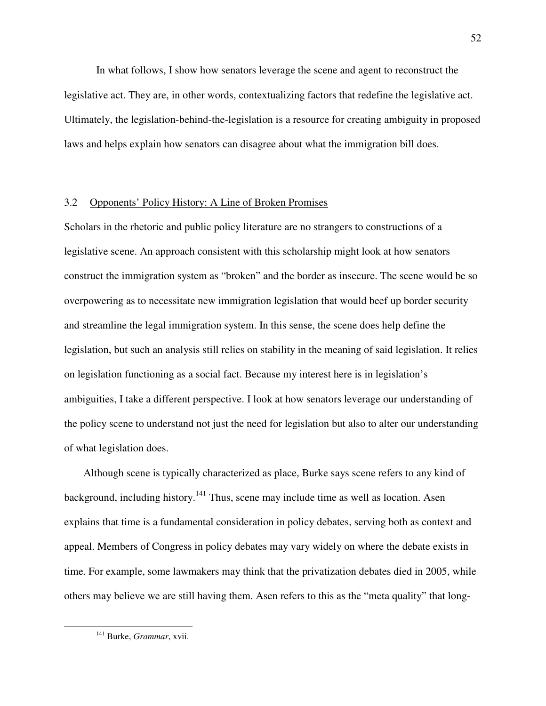In what follows, I show how senators leverage the scene and agent to reconstruct the legislative act. They are, in other words, contextualizing factors that redefine the legislative act. Ultimately, the legislation-behind-the-legislation is a resource for creating ambiguity in proposed laws and helps explain how senators can disagree about what the immigration bill does.

# 3.2 Opponents' Policy History: A Line of Broken Promises

Scholars in the rhetoric and public policy literature are no strangers to constructions of a legislative scene. An approach consistent with this scholarship might look at how senators construct the immigration system as "broken" and the border as insecure. The scene would be so overpowering as to necessitate new immigration legislation that would beef up border security and streamline the legal immigration system. In this sense, the scene does help define the legislation, but such an analysis still relies on stability in the meaning of said legislation. It relies on legislation functioning as a social fact. Because my interest here is in legislation's ambiguities, I take a different perspective. I look at how senators leverage our understanding of the policy scene to understand not just the need for legislation but also to alter our understanding of what legislation does.

Although scene is typically characterized as place, Burke says scene refers to any kind of background, including history.<sup>141</sup> Thus, scene may include time as well as location. Asen explains that time is a fundamental consideration in policy debates, serving both as context and appeal. Members of Congress in policy debates may vary widely on where the debate exists in time. For example, some lawmakers may think that the privatization debates died in 2005, while others may believe we are still having them. Asen refers to this as the "meta quality" that long-

<sup>141</sup> Burke, *Grammar*, xvii.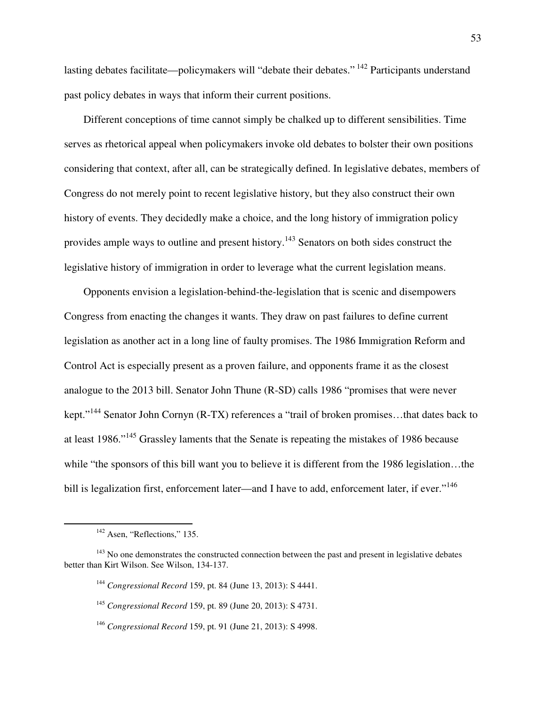lasting debates facilitate—policymakers will "debate their debates."<sup>142</sup> Participants understand past policy debates in ways that inform their current positions.

Different conceptions of time cannot simply be chalked up to different sensibilities. Time serves as rhetorical appeal when policymakers invoke old debates to bolster their own positions considering that context, after all, can be strategically defined. In legislative debates, members of Congress do not merely point to recent legislative history, but they also construct their own history of events. They decidedly make a choice, and the long history of immigration policy provides ample ways to outline and present history.<sup>143</sup> Senators on both sides construct the legislative history of immigration in order to leverage what the current legislation means.

Opponents envision a legislation-behind-the-legislation that is scenic and disempowers Congress from enacting the changes it wants. They draw on past failures to define current legislation as another act in a long line of faulty promises. The 1986 Immigration Reform and Control Act is especially present as a proven failure, and opponents frame it as the closest analogue to the 2013 bill. Senator John Thune (R-SD) calls 1986 "promises that were never kept."<sup>144</sup> Senator John Cornyn (R-TX) references a "trail of broken promises...that dates back to at least 1986."<sup>145</sup> Grassley laments that the Senate is repeating the mistakes of 1986 because while "the sponsors of this bill want you to believe it is different from the 1986 legislation…the bill is legalization first, enforcement later—and I have to add, enforcement later, if ever."<sup>146</sup>

-

<sup>&</sup>lt;sup>142</sup> Asen, "Reflections," 135.

 $143$  No one demonstrates the constructed connection between the past and present in legislative debates better than Kirt Wilson. See Wilson, 134-137.

<sup>144</sup> *Congressional Record* 159, pt. 84 (June 13, 2013): S 4441.

<sup>145</sup> *Congressional Record* 159, pt. 89 (June 20, 2013): S 4731.

<sup>146</sup> *Congressional Record* 159, pt. 91 (June 21, 2013): S 4998.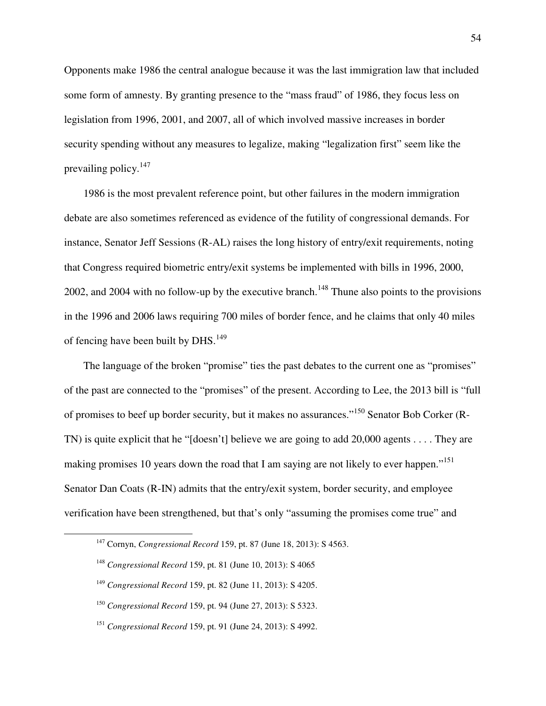Opponents make 1986 the central analogue because it was the last immigration law that included some form of amnesty. By granting presence to the "mass fraud" of 1986, they focus less on legislation from 1996, 2001, and 2007, all of which involved massive increases in border security spending without any measures to legalize, making "legalization first" seem like the prevailing policy.<sup>147</sup>

1986 is the most prevalent reference point, but other failures in the modern immigration debate are also sometimes referenced as evidence of the futility of congressional demands. For instance, Senator Jeff Sessions (R-AL) raises the long history of entry/exit requirements, noting that Congress required biometric entry/exit systems be implemented with bills in 1996, 2000, 2002, and 2004 with no follow-up by the executive branch.<sup>148</sup> Thune also points to the provisions in the 1996 and 2006 laws requiring 700 miles of border fence, and he claims that only 40 miles of fencing have been built by DHS. $^{149}$ 

The language of the broken "promise" ties the past debates to the current one as "promises" of the past are connected to the "promises" of the present. According to Lee, the 2013 bill is "full of promises to beef up border security, but it makes no assurances."<sup>150</sup> Senator Bob Corker (R-TN) is quite explicit that he "[doesn't] believe we are going to add 20,000 agents . . . . They are making promises 10 years down the road that I am saying are not likely to ever happen."<sup>151</sup> Senator Dan Coats (R-IN) admits that the entry/exit system, border security, and employee verification have been strengthened, but that's only "assuming the promises come true" and

<sup>147</sup> Cornyn, *Congressional Record* 159, pt. 87 (June 18, 2013): S 4563.

<sup>148</sup> *Congressional Record* 159, pt. 81 (June 10, 2013): S 4065

<sup>149</sup> *Congressional Record* 159, pt. 82 (June 11, 2013): S 4205.

<sup>150</sup> *Congressional Record* 159, pt. 94 (June 27, 2013): S 5323.

<sup>151</sup> *Congressional Record* 159, pt. 91 (June 24, 2013): S 4992.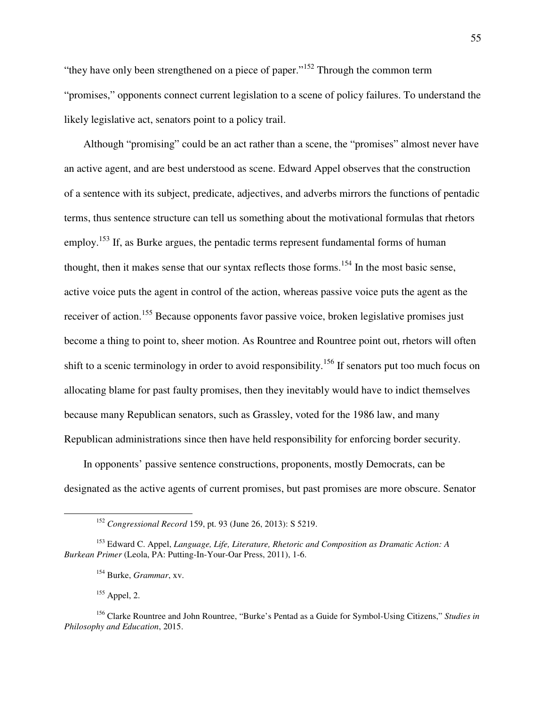"they have only been strengthened on a piece of paper."<sup>152</sup> Through the common term "promises," opponents connect current legislation to a scene of policy failures. To understand the likely legislative act, senators point to a policy trail.

Although "promising" could be an act rather than a scene, the "promises" almost never have an active agent, and are best understood as scene. Edward Appel observes that the construction of a sentence with its subject, predicate, adjectives, and adverbs mirrors the functions of pentadic terms, thus sentence structure can tell us something about the motivational formulas that rhetors employ.<sup>153</sup> If, as Burke argues, the pentadic terms represent fundamental forms of human thought, then it makes sense that our syntax reflects those forms.<sup>154</sup> In the most basic sense, active voice puts the agent in control of the action, whereas passive voice puts the agent as the receiver of action.<sup>155</sup> Because opponents favor passive voice, broken legislative promises just become a thing to point to, sheer motion. As Rountree and Rountree point out, rhetors will often shift to a scenic terminology in order to avoid responsibility.<sup>156</sup> If senators put too much focus on allocating blame for past faulty promises, then they inevitably would have to indict themselves because many Republican senators, such as Grassley, voted for the 1986 law, and many Republican administrations since then have held responsibility for enforcing border security.

In opponents' passive sentence constructions, proponents, mostly Democrats, can be designated as the active agents of current promises, but past promises are more obscure. Senator

 $155$  Appel, 2.

-

<sup>152</sup> *Congressional Record* 159, pt. 93 (June 26, 2013): S 5219.

<sup>153</sup> Edward C. Appel, *Language, Life, Literature, Rhetoric and Composition as Dramatic Action: A Burkean Primer* (Leola, PA: Putting-In-Your-Oar Press, 2011), 1-6.

<sup>154</sup> Burke, *Grammar*, xv.

<sup>156</sup> Clarke Rountree and John Rountree, "Burke's Pentad as a Guide for Symbol-Using Citizens," *Studies in Philosophy and Education*, 2015.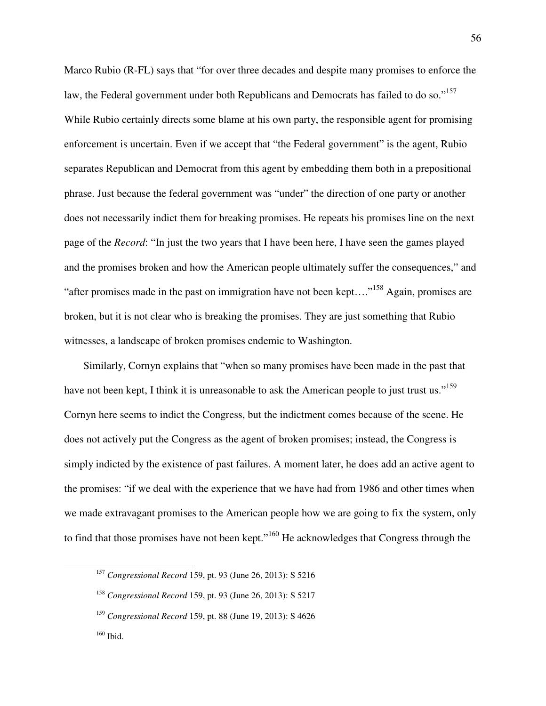Marco Rubio (R-FL) says that "for over three decades and despite many promises to enforce the law, the Federal government under both Republicans and Democrats has failed to do so."<sup>157</sup> While Rubio certainly directs some blame at his own party, the responsible agent for promising enforcement is uncertain. Even if we accept that "the Federal government" is the agent, Rubio separates Republican and Democrat from this agent by embedding them both in a prepositional phrase. Just because the federal government was "under" the direction of one party or another does not necessarily indict them for breaking promises. He repeats his promises line on the next page of the *Record*: "In just the two years that I have been here, I have seen the games played and the promises broken and how the American people ultimately suffer the consequences," and "after promises made in the past on immigration have not been kept…."<sup>158</sup> Again, promises are broken, but it is not clear who is breaking the promises. They are just something that Rubio witnesses, a landscape of broken promises endemic to Washington.

Similarly, Cornyn explains that "when so many promises have been made in the past that have not been kept, I think it is unreasonable to ask the American people to just trust us."<sup>159</sup> Cornyn here seems to indict the Congress, but the indictment comes because of the scene. He does not actively put the Congress as the agent of broken promises; instead, the Congress is simply indicted by the existence of past failures. A moment later, he does add an active agent to the promises: "if we deal with the experience that we have had from 1986 and other times when we made extravagant promises to the American people how we are going to fix the system, only to find that those promises have not been kept."<sup>160</sup> He acknowledges that Congress through the

<sup>157</sup> *Congressional Record* 159, pt. 93 (June 26, 2013): S 5216

<sup>158</sup> *Congressional Record* 159, pt. 93 (June 26, 2013): S 5217

<sup>159</sup> *Congressional Record* 159, pt. 88 (June 19, 2013): S 4626

 $160$  Ibid.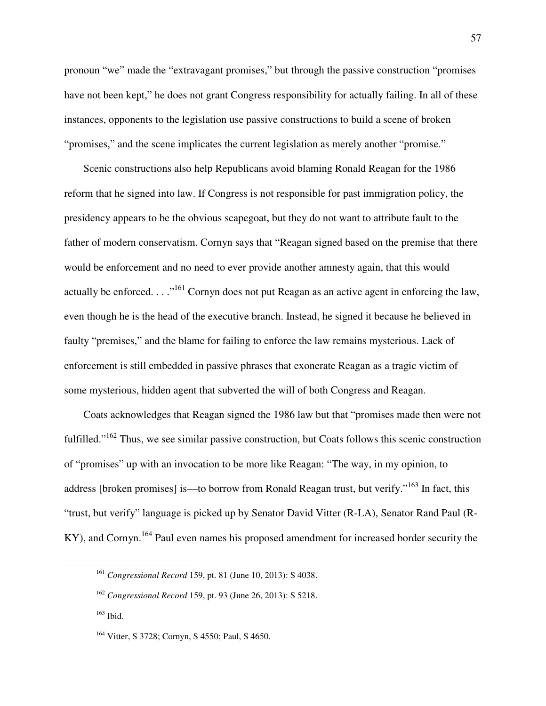pronoun "we" made the "extravagant promises," but through the passive construction "promises have not been kept," he does not grant Congress responsibility for actually failing. In all of these instances, opponents to the legislation use passive constructions to build a scene of broken "promises," and the scene implicates the current legislation as merely another "promise."

Scenic constructions also help Republicans avoid blaming Ronald Reagan for the 1986 reform that he signed into law. If Congress is not responsible for past immigration policy, the presidency appears to be the obvious scapegoat, but they do not want to attribute fault to the father of modern conservatism. Cornyn says that "Reagan signed based on the premise that there would be enforcement and no need to ever provide another amnesty again, that this would actually be enforced.  $\ldots$ <sup>161</sup> Cornyn does not put Reagan as an active agent in enforcing the law, even though he is the head of the executive branch. Instead, he signed it because he believed in faulty "premises," and the blame for failing to enforce the law remains mysterious. Lack of enforcement is still embedded in passive phrases that exonerate Reagan as a tragic victim of some mysterious, hidden agent that subverted the will of both Congress and Reagan.

Coats acknowledges that Reagan signed the 1986 law but that "promises made then were not fulfilled."<sup>162</sup> Thus, we see similar passive construction, but Coats follows this scenic construction of "promises" up with an invocation to be more like Reagan: "The way, in my opinion, to address [broken promises] is—to borrow from Ronald Reagan trust, but verify."<sup>163</sup> In fact, this "trust, but verify" language is picked up by Senator David Vitter (R-LA), Senator Rand Paul (R-KY), and Cornyn.<sup>164</sup> Paul even names his proposed amendment for increased border security the

<sup>161</sup> *Congressional Record* 159, pt. 81 (June 10, 2013): S 4038.

<sup>162</sup> *Congressional Record* 159, pt. 93 (June 26, 2013): S 5218.

 $163$  Ibid.

<sup>&</sup>lt;sup>164</sup> Vitter, S 3728; Cornyn, S 4550; Paul, S 4650.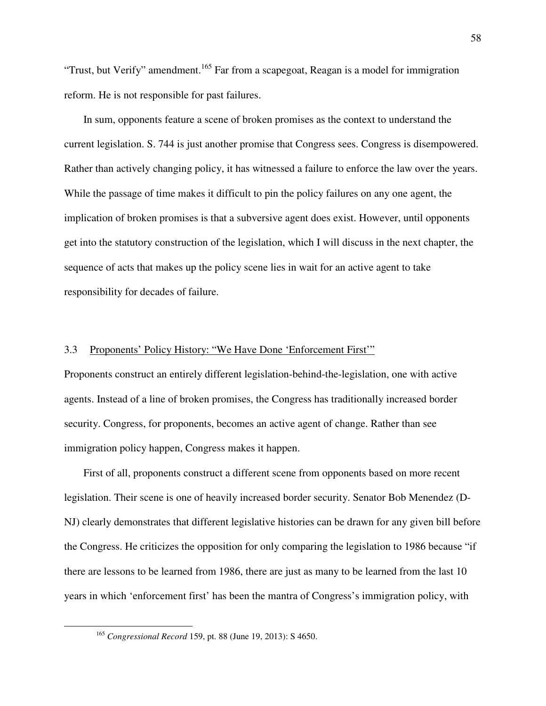"Trust, but Verify" amendment.<sup>165</sup> Far from a scapegoat, Reagan is a model for immigration reform. He is not responsible for past failures.

In sum, opponents feature a scene of broken promises as the context to understand the current legislation. S. 744 is just another promise that Congress sees. Congress is disempowered. Rather than actively changing policy, it has witnessed a failure to enforce the law over the years. While the passage of time makes it difficult to pin the policy failures on any one agent, the implication of broken promises is that a subversive agent does exist. However, until opponents get into the statutory construction of the legislation, which I will discuss in the next chapter, the sequence of acts that makes up the policy scene lies in wait for an active agent to take responsibility for decades of failure.

#### 3.3 Proponents' Policy History: "We Have Done 'Enforcement First'"

Proponents construct an entirely different legislation-behind-the-legislation, one with active agents. Instead of a line of broken promises, the Congress has traditionally increased border security. Congress, for proponents, becomes an active agent of change. Rather than see immigration policy happen, Congress makes it happen.

First of all, proponents construct a different scene from opponents based on more recent legislation. Their scene is one of heavily increased border security. Senator Bob Menendez (D-NJ) clearly demonstrates that different legislative histories can be drawn for any given bill before the Congress. He criticizes the opposition for only comparing the legislation to 1986 because "if there are lessons to be learned from 1986, there are just as many to be learned from the last 10 years in which 'enforcement first' has been the mantra of Congress's immigration policy, with

<sup>165</sup> *Congressional Record* 159, pt. 88 (June 19, 2013): S 4650.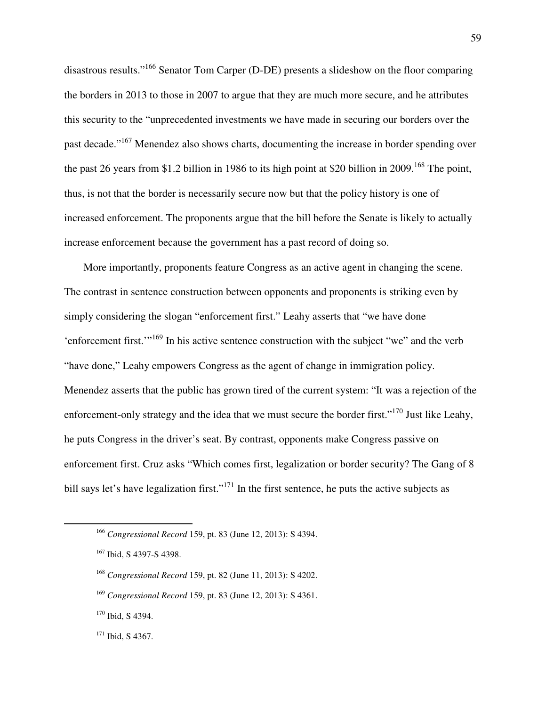disastrous results."<sup>166</sup> Senator Tom Carper (D-DE) presents a slideshow on the floor comparing the borders in 2013 to those in 2007 to argue that they are much more secure, and he attributes this security to the "unprecedented investments we have made in securing our borders over the past decade."<sup>167</sup> Menendez also shows charts, documenting the increase in border spending over the past 26 years from \$1.2 billion in 1986 to its high point at \$20 billion in 2009.<sup>168</sup> The point, thus, is not that the border is necessarily secure now but that the policy history is one of increased enforcement. The proponents argue that the bill before the Senate is likely to actually increase enforcement because the government has a past record of doing so.

More importantly, proponents feature Congress as an active agent in changing the scene. The contrast in sentence construction between opponents and proponents is striking even by simply considering the slogan "enforcement first." Leahy asserts that "we have done 'enforcement first.'"<sup>169</sup> In his active sentence construction with the subject "we" and the verb "have done," Leahy empowers Congress as the agent of change in immigration policy. Menendez asserts that the public has grown tired of the current system: "It was a rejection of the enforcement-only strategy and the idea that we must secure the border first."<sup>170</sup> Just like Leahy, he puts Congress in the driver's seat. By contrast, opponents make Congress passive on enforcement first. Cruz asks "Which comes first, legalization or border security? The Gang of 8 bill says let's have legalization first."<sup>171</sup> In the first sentence, he puts the active subjects as

 $\overline{a}$ 

59

<sup>166</sup> *Congressional Record* 159, pt. 83 (June 12, 2013): S 4394.

<sup>167</sup> Ibid, S 4397-S 4398.

<sup>168</sup> *Congressional Record* 159, pt. 82 (June 11, 2013): S 4202.

<sup>169</sup> *Congressional Record* 159, pt. 83 (June 12, 2013): S 4361.

<sup>&</sup>lt;sup>170</sup> Ibid, S 4394.

<sup>&</sup>lt;sup>171</sup> Ibid, S 4367.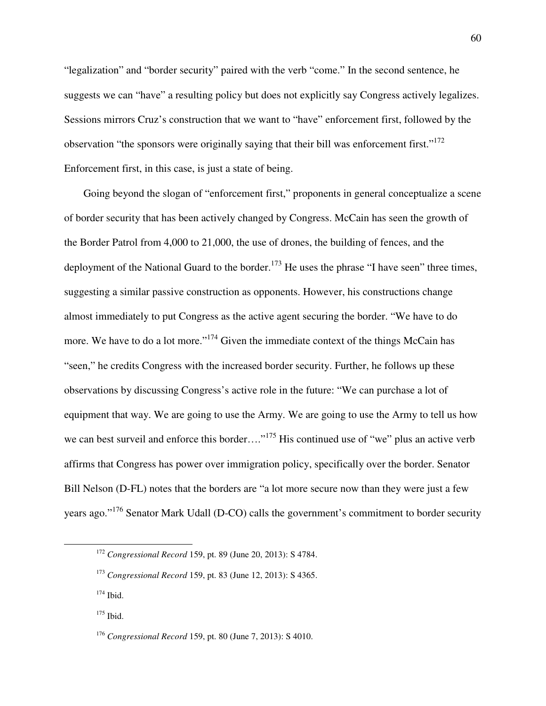"legalization" and "border security" paired with the verb "come." In the second sentence, he suggests we can "have" a resulting policy but does not explicitly say Congress actively legalizes. Sessions mirrors Cruz's construction that we want to "have" enforcement first, followed by the observation "the sponsors were originally saying that their bill was enforcement first."<sup>172</sup> Enforcement first, in this case, is just a state of being.

Going beyond the slogan of "enforcement first," proponents in general conceptualize a scene of border security that has been actively changed by Congress. McCain has seen the growth of the Border Patrol from 4,000 to 21,000, the use of drones, the building of fences, and the deployment of the National Guard to the border.<sup>173</sup> He uses the phrase "I have seen" three times, suggesting a similar passive construction as opponents. However, his constructions change almost immediately to put Congress as the active agent securing the border. "We have to do more. We have to do a lot more."<sup>174</sup> Given the immediate context of the things McCain has "seen," he credits Congress with the increased border security. Further, he follows up these observations by discussing Congress's active role in the future: "We can purchase a lot of equipment that way. We are going to use the Army. We are going to use the Army to tell us how we can best surveil and enforce this border…."<sup>175</sup> His continued use of "we" plus an active verb affirms that Congress has power over immigration policy, specifically over the border. Senator Bill Nelson (D-FL) notes that the borders are "a lot more secure now than they were just a few years ago."<sup>176</sup> Senator Mark Udall (D-CO) calls the government's commitment to border security

<sup>172</sup> *Congressional Record* 159, pt. 89 (June 20, 2013): S 4784.

<sup>173</sup> *Congressional Record* 159, pt. 83 (June 12, 2013): S 4365.

 $174$  Ibid.

<sup>&</sup>lt;sup>175</sup> Ibid.

<sup>176</sup> *Congressional Record* 159, pt. 80 (June 7, 2013): S 4010.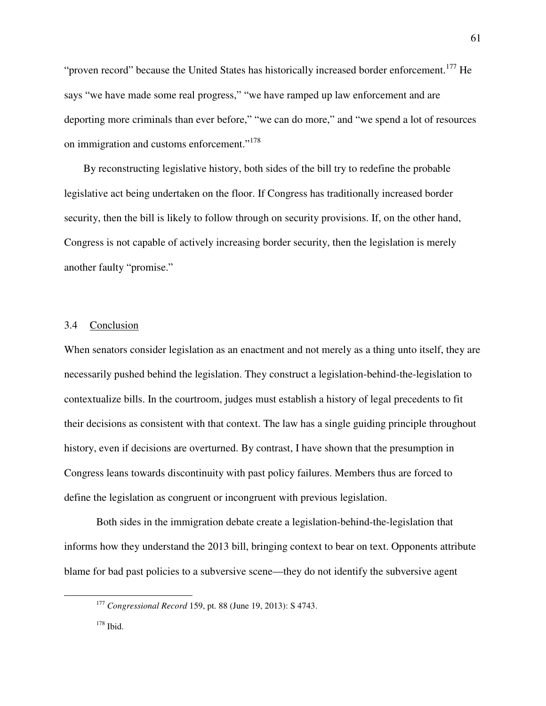"proven record" because the United States has historically increased border enforcement.<sup>177</sup> He says "we have made some real progress," "we have ramped up law enforcement and are deporting more criminals than ever before," "we can do more," and "we spend a lot of resources on immigration and customs enforcement."<sup>178</sup>

By reconstructing legislative history, both sides of the bill try to redefine the probable legislative act being undertaken on the floor. If Congress has traditionally increased border security, then the bill is likely to follow through on security provisions. If, on the other hand, Congress is not capable of actively increasing border security, then the legislation is merely another faulty "promise."

# 3.4 Conclusion

When senators consider legislation as an enactment and not merely as a thing unto itself, they are necessarily pushed behind the legislation. They construct a legislation-behind-the-legislation to contextualize bills. In the courtroom, judges must establish a history of legal precedents to fit their decisions as consistent with that context. The law has a single guiding principle throughout history, even if decisions are overturned. By contrast, I have shown that the presumption in Congress leans towards discontinuity with past policy failures. Members thus are forced to define the legislation as congruent or incongruent with previous legislation.

 Both sides in the immigration debate create a legislation-behind-the-legislation that informs how they understand the 2013 bill, bringing context to bear on text. Opponents attribute blame for bad past policies to a subversive scene—they do not identify the subversive agent

<sup>177</sup> *Congressional Record* 159, pt. 88 (June 19, 2013): S 4743.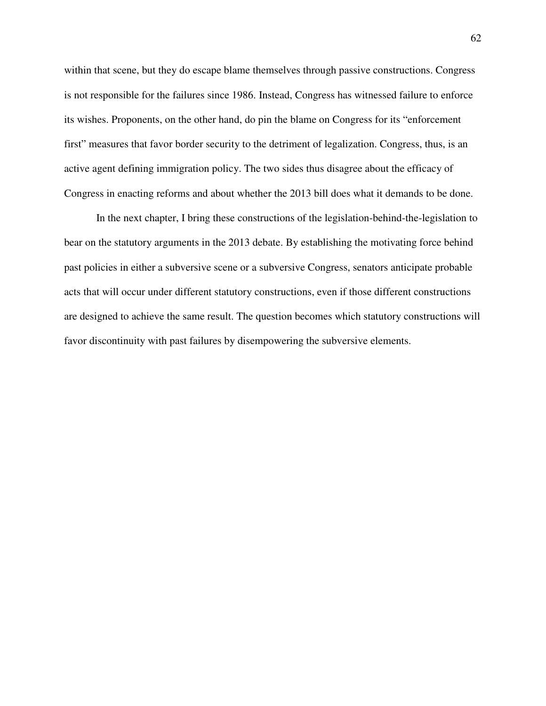within that scene, but they do escape blame themselves through passive constructions. Congress is not responsible for the failures since 1986. Instead, Congress has witnessed failure to enforce its wishes. Proponents, on the other hand, do pin the blame on Congress for its "enforcement first" measures that favor border security to the detriment of legalization. Congress, thus, is an active agent defining immigration policy. The two sides thus disagree about the efficacy of Congress in enacting reforms and about whether the 2013 bill does what it demands to be done.

 In the next chapter, I bring these constructions of the legislation-behind-the-legislation to bear on the statutory arguments in the 2013 debate. By establishing the motivating force behind past policies in either a subversive scene or a subversive Congress, senators anticipate probable acts that will occur under different statutory constructions, even if those different constructions are designed to achieve the same result. The question becomes which statutory constructions will favor discontinuity with past failures by disempowering the subversive elements.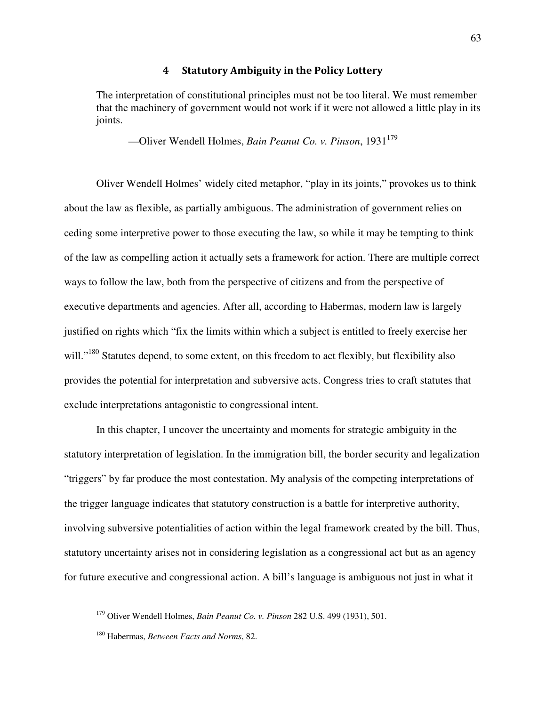### 4 Statutory Ambiguity in the Policy Lottery

The interpretation of constitutional principles must not be too literal. We must remember that the machinery of government would not work if it were not allowed a little play in its joints.

—Oliver Wendell Holmes, *Bain Peanut Co. v. Pinson*, 1931<sup>179</sup>

 Oliver Wendell Holmes' widely cited metaphor, "play in its joints," provokes us to think about the law as flexible, as partially ambiguous. The administration of government relies on ceding some interpretive power to those executing the law, so while it may be tempting to think of the law as compelling action it actually sets a framework for action. There are multiple correct ways to follow the law, both from the perspective of citizens and from the perspective of executive departments and agencies. After all, according to Habermas, modern law is largely justified on rights which "fix the limits within which a subject is entitled to freely exercise her will."<sup>180</sup> Statutes depend, to some extent, on this freedom to act flexibly, but flexibility also provides the potential for interpretation and subversive acts. Congress tries to craft statutes that exclude interpretations antagonistic to congressional intent.

 In this chapter, I uncover the uncertainty and moments for strategic ambiguity in the statutory interpretation of legislation. In the immigration bill, the border security and legalization "triggers" by far produce the most contestation. My analysis of the competing interpretations of the trigger language indicates that statutory construction is a battle for interpretive authority, involving subversive potentialities of action within the legal framework created by the bill. Thus, statutory uncertainty arises not in considering legislation as a congressional act but as an agency for future executive and congressional action. A bill's language is ambiguous not just in what it

<sup>179</sup> Oliver Wendell Holmes, *Bain Peanut Co. v. Pinson* 282 U.S. 499 (1931), 501.

<sup>180</sup> Habermas, *Between Facts and Norms*, 82.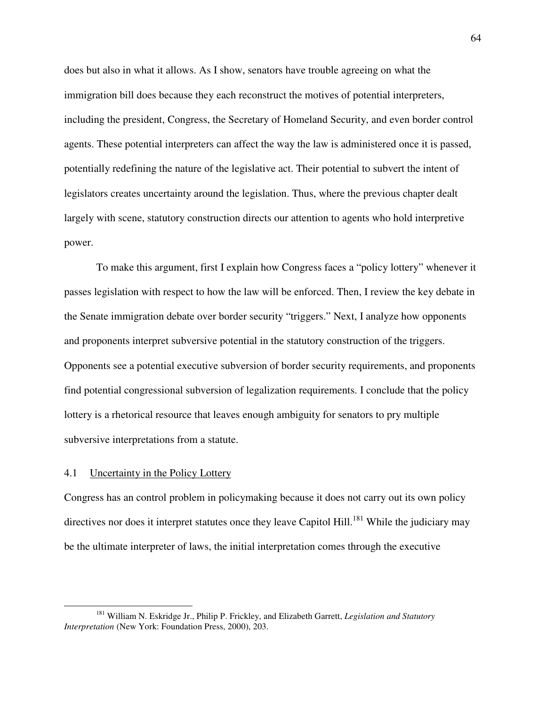does but also in what it allows. As I show, senators have trouble agreeing on what the immigration bill does because they each reconstruct the motives of potential interpreters, including the president, Congress, the Secretary of Homeland Security, and even border control agents. These potential interpreters can affect the way the law is administered once it is passed, potentially redefining the nature of the legislative act. Their potential to subvert the intent of legislators creates uncertainty around the legislation. Thus, where the previous chapter dealt largely with scene, statutory construction directs our attention to agents who hold interpretive power.

 To make this argument, first I explain how Congress faces a "policy lottery" whenever it passes legislation with respect to how the law will be enforced. Then, I review the key debate in the Senate immigration debate over border security "triggers." Next, I analyze how opponents and proponents interpret subversive potential in the statutory construction of the triggers. Opponents see a potential executive subversion of border security requirements, and proponents find potential congressional subversion of legalization requirements. I conclude that the policy lottery is a rhetorical resource that leaves enough ambiguity for senators to pry multiple subversive interpretations from a statute.

#### 4.1 Uncertainty in the Policy Lottery

 $\overline{a}$ 

Congress has an control problem in policymaking because it does not carry out its own policy directives nor does it interpret statutes once they leave Capitol Hill.<sup>181</sup> While the judiciary may be the ultimate interpreter of laws, the initial interpretation comes through the executive

<sup>181</sup> William N. Eskridge Jr., Philip P. Frickley, and Elizabeth Garrett, *Legislation and Statutory Interpretation* (New York: Foundation Press, 2000), 203.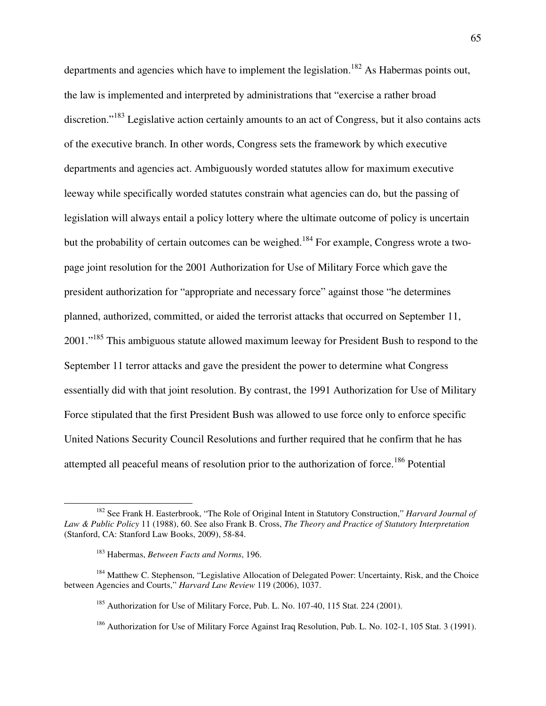departments and agencies which have to implement the legislation.<sup>182</sup> As Habermas points out, the law is implemented and interpreted by administrations that "exercise a rather broad discretion."<sup>183</sup> Legislative action certainly amounts to an act of Congress, but it also contains acts of the executive branch. In other words, Congress sets the framework by which executive departments and agencies act. Ambiguously worded statutes allow for maximum executive leeway while specifically worded statutes constrain what agencies can do, but the passing of legislation will always entail a policy lottery where the ultimate outcome of policy is uncertain but the probability of certain outcomes can be weighed.<sup>184</sup> For example, Congress wrote a twopage joint resolution for the 2001 Authorization for Use of Military Force which gave the president authorization for "appropriate and necessary force" against those "he determines planned, authorized, committed, or aided the terrorist attacks that occurred on September 11, 2001."<sup>185</sup> This ambiguous statute allowed maximum leeway for President Bush to respond to the September 11 terror attacks and gave the president the power to determine what Congress essentially did with that joint resolution. By contrast, the 1991 Authorization for Use of Military Force stipulated that the first President Bush was allowed to use force only to enforce specific United Nations Security Council Resolutions and further required that he confirm that he has attempted all peaceful means of resolution prior to the authorization of force.<sup>186</sup> Potential

<sup>182</sup> See Frank H. Easterbrook, "The Role of Original Intent in Statutory Construction," *Harvard Journal of Law & Public Policy* 11 (1988), 60. See also Frank B. Cross, *The Theory and Practice of Statutory Interpretation* (Stanford, CA: Stanford Law Books, 2009), 58-84.

<sup>183</sup> Habermas, *Between Facts and Norms*, 196.

<sup>&</sup>lt;sup>184</sup> Matthew C. Stephenson, "Legislative Allocation of Delegated Power: Uncertainty, Risk, and the Choice between Agencies and Courts," *Harvard Law Review* 119 (2006), 1037.

<sup>&</sup>lt;sup>185</sup> Authorization for Use of Military Force, Pub. L. No. 107-40, 115 Stat. 224 (2001).

<sup>&</sup>lt;sup>186</sup> Authorization for Use of Military Force Against Iraq Resolution, Pub. L. No. 102-1, 105 Stat. 3 (1991).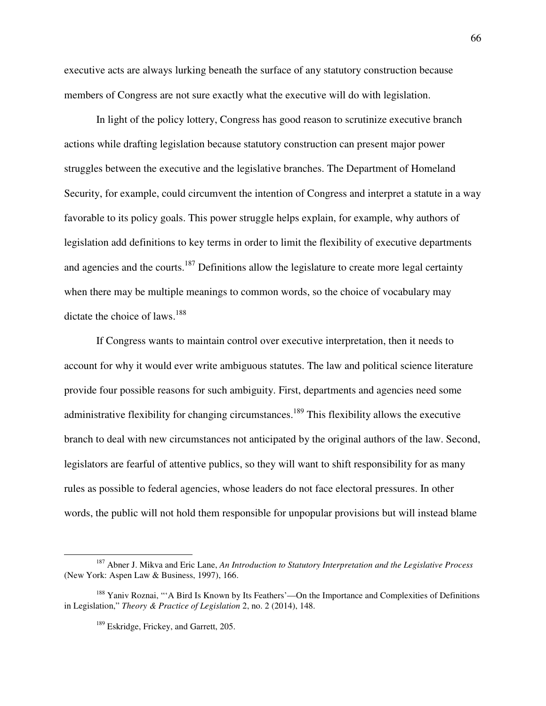executive acts are always lurking beneath the surface of any statutory construction because members of Congress are not sure exactly what the executive will do with legislation.

 In light of the policy lottery, Congress has good reason to scrutinize executive branch actions while drafting legislation because statutory construction can present major power struggles between the executive and the legislative branches. The Department of Homeland Security, for example, could circumvent the intention of Congress and interpret a statute in a way favorable to its policy goals. This power struggle helps explain, for example, why authors of legislation add definitions to key terms in order to limit the flexibility of executive departments and agencies and the courts.<sup>187</sup> Definitions allow the legislature to create more legal certainty when there may be multiple meanings to common words, so the choice of vocabulary may dictate the choice of laws.<sup>188</sup>

 If Congress wants to maintain control over executive interpretation, then it needs to account for why it would ever write ambiguous statutes. The law and political science literature provide four possible reasons for such ambiguity. First, departments and agencies need some administrative flexibility for changing circumstances.<sup>189</sup> This flexibility allows the executive branch to deal with new circumstances not anticipated by the original authors of the law. Second, legislators are fearful of attentive publics, so they will want to shift responsibility for as many rules as possible to federal agencies, whose leaders do not face electoral pressures. In other words, the public will not hold them responsible for unpopular provisions but will instead blame

<sup>187</sup> Abner J. Mikva and Eric Lane, *An Introduction to Statutory Interpretation and the Legislative Process*  (New York: Aspen Law & Business, 1997), 166.

<sup>&</sup>lt;sup>188</sup> Yaniv Roznai, "'A Bird Is Known by Its Feathers'—On the Importance and Complexities of Definitions in Legislation," *Theory & Practice of Legislation* 2, no. 2 (2014), 148.

<sup>&</sup>lt;sup>189</sup> Eskridge, Frickey, and Garrett, 205.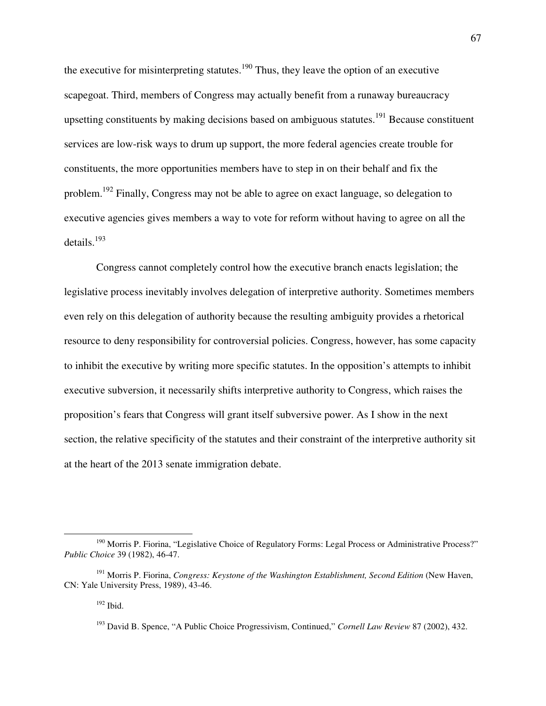the executive for misinterpreting statutes.<sup>190</sup> Thus, they leave the option of an executive scapegoat. Third, members of Congress may actually benefit from a runaway bureaucracy upsetting constituents by making decisions based on ambiguous statutes.<sup>191</sup> Because constituent services are low-risk ways to drum up support, the more federal agencies create trouble for constituents, the more opportunities members have to step in on their behalf and fix the problem.<sup>192</sup> Finally, Congress may not be able to agree on exact language, so delegation to executive agencies gives members a way to vote for reform without having to agree on all the details.<sup>193</sup> 

Congress cannot completely control how the executive branch enacts legislation; the legislative process inevitably involves delegation of interpretive authority. Sometimes members even rely on this delegation of authority because the resulting ambiguity provides a rhetorical resource to deny responsibility for controversial policies. Congress, however, has some capacity to inhibit the executive by writing more specific statutes. In the opposition's attempts to inhibit executive subversion, it necessarily shifts interpretive authority to Congress, which raises the proposition's fears that Congress will grant itself subversive power. As I show in the next section, the relative specificity of the statutes and their constraint of the interpretive authority sit at the heart of the 2013 senate immigration debate.

 $192$  Ibid.

<sup>&</sup>lt;sup>190</sup> Morris P. Fiorina, "Legislative Choice of Regulatory Forms: Legal Process or Administrative Process?" *Public Choice* 39 (1982), 46-47.

<sup>191</sup> Morris P. Fiorina, *Congress: Keystone of the Washington Establishment, Second Edition* (New Haven, CN: Yale University Press, 1989), 43-46.

<sup>193</sup> David B. Spence, "A Public Choice Progressivism, Continued," *Cornell Law Review* 87 (2002), 432.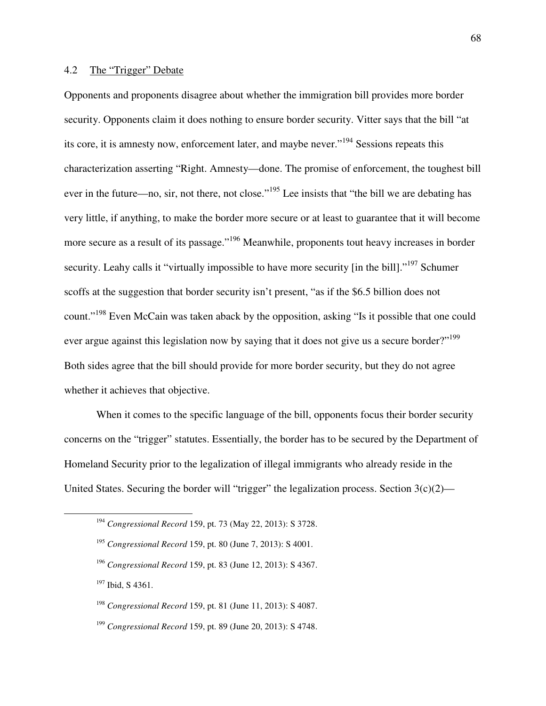## 4.2 The "Trigger" Debate

Opponents and proponents disagree about whether the immigration bill provides more border security. Opponents claim it does nothing to ensure border security. Vitter says that the bill "at its core, it is amnesty now, enforcement later, and maybe never."<sup>194</sup> Sessions repeats this characterization asserting "Right. Amnesty—done. The promise of enforcement, the toughest bill ever in the future—no, sir, not there, not close."<sup>195</sup> Lee insists that "the bill we are debating has very little, if anything, to make the border more secure or at least to guarantee that it will become more secure as a result of its passage."<sup>196</sup> Meanwhile, proponents tout heavy increases in border security. Leahy calls it "virtually impossible to have more security [in the bill]."<sup>197</sup> Schumer scoffs at the suggestion that border security isn't present, "as if the \$6.5 billion does not count."<sup>198</sup> Even McCain was taken aback by the opposition, asking "Is it possible that one could ever argue against this legislation now by saying that it does not give us a secure border?"<sup>199</sup> Both sides agree that the bill should provide for more border security, but they do not agree whether it achieves that objective.

When it comes to the specific language of the bill, opponents focus their border security concerns on the "trigger" statutes. Essentially, the border has to be secured by the Department of Homeland Security prior to the legalization of illegal immigrants who already reside in the United States. Securing the border will "trigger" the legalization process. Section  $3(c)(2)$ —

<sup>197</sup> Ibid, S 4361.

-

<sup>194</sup> *Congressional Record* 159, pt. 73 (May 22, 2013): S 3728.

<sup>195</sup> *Congressional Record* 159, pt. 80 (June 7, 2013): S 4001.

<sup>196</sup> *Congressional Record* 159, pt. 83 (June 12, 2013): S 4367.

<sup>198</sup> *Congressional Record* 159, pt. 81 (June 11, 2013): S 4087.

<sup>199</sup> *Congressional Record* 159, pt. 89 (June 20, 2013): S 4748.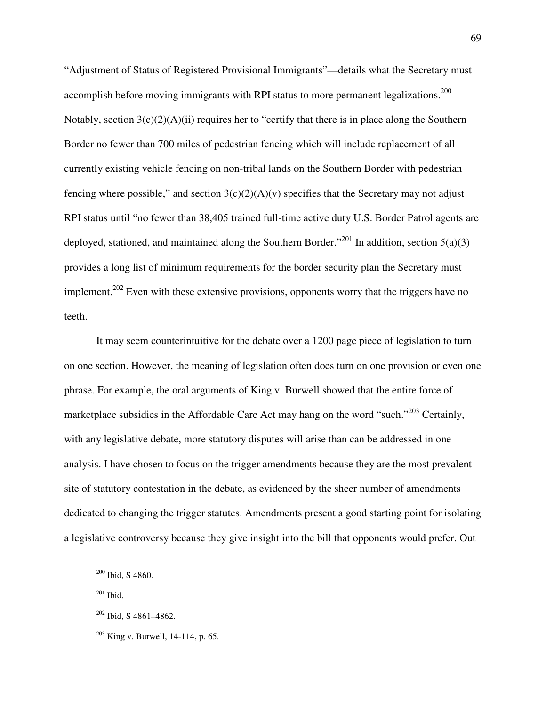"Adjustment of Status of Registered Provisional Immigrants"—details what the Secretary must accomplish before moving immigrants with RPI status to more permanent legalizations.<sup>200</sup> Notably, section  $3(c)(2)(A)(ii)$  requires her to "certify that there is in place along the Southern Border no fewer than 700 miles of pedestrian fencing which will include replacement of all currently existing vehicle fencing on non-tribal lands on the Southern Border with pedestrian fencing where possible," and section  $3(c)(2)(A)(v)$  specifies that the Secretary may not adjust RPI status until "no fewer than 38,405 trained full-time active duty U.S. Border Patrol agents are deployed, stationed, and maintained along the Southern Border."<sup>201</sup> In addition, section 5(a)(3) provides a long list of minimum requirements for the border security plan the Secretary must implement.<sup>202</sup> Even with these extensive provisions, opponents worry that the triggers have no teeth.

It may seem counterintuitive for the debate over a 1200 page piece of legislation to turn on one section. However, the meaning of legislation often does turn on one provision or even one phrase. For example, the oral arguments of King v. Burwell showed that the entire force of marketplace subsidies in the Affordable Care Act may hang on the word "such."<sup>203</sup> Certainly, with any legislative debate, more statutory disputes will arise than can be addressed in one analysis. I have chosen to focus on the trigger amendments because they are the most prevalent site of statutory contestation in the debate, as evidenced by the sheer number of amendments dedicated to changing the trigger statutes. Amendments present a good starting point for isolating a legislative controversy because they give insight into the bill that opponents would prefer. Out

<sup>200</sup> Ibid, S 4860.

 $201$  Ibid.

 $202$  Ibid, S 4861–4862.

 $203$  King v. Burwell, 14-114, p. 65.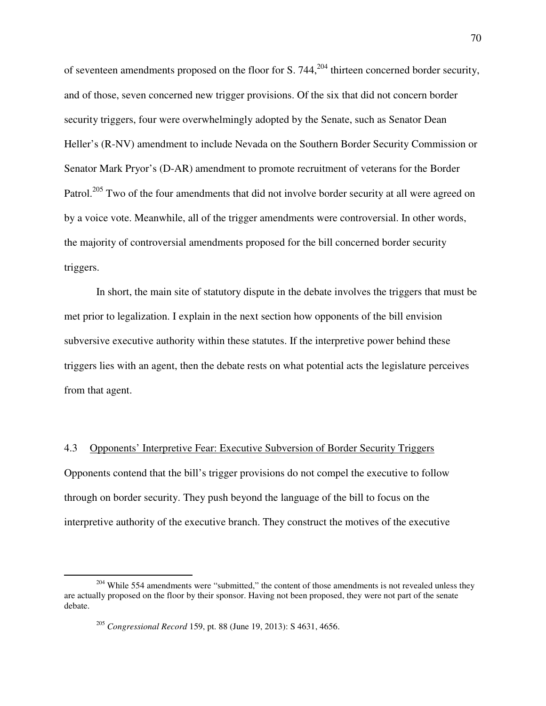of seventeen amendments proposed on the floor for S. 744, $204$  thirteen concerned border security, and of those, seven concerned new trigger provisions. Of the six that did not concern border security triggers, four were overwhelmingly adopted by the Senate, such as Senator Dean Heller's (R-NV) amendment to include Nevada on the Southern Border Security Commission or Senator Mark Pryor's (D-AR) amendment to promote recruitment of veterans for the Border Patrol.<sup>205</sup> Two of the four amendments that did not involve border security at all were agreed on by a voice vote. Meanwhile, all of the trigger amendments were controversial. In other words, the majority of controversial amendments proposed for the bill concerned border security triggers.

In short, the main site of statutory dispute in the debate involves the triggers that must be met prior to legalization. I explain in the next section how opponents of the bill envision subversive executive authority within these statutes. If the interpretive power behind these triggers lies with an agent, then the debate rests on what potential acts the legislature perceives from that agent.

4.3 Opponents' Interpretive Fear: Executive Subversion of Border Security Triggers Opponents contend that the bill's trigger provisions do not compel the executive to follow through on border security. They push beyond the language of the bill to focus on the interpretive authority of the executive branch. They construct the motives of the executive

 $204$  While 554 amendments were "submitted," the content of those amendments is not revealed unless they are actually proposed on the floor by their sponsor. Having not been proposed, they were not part of the senate debate.

<sup>205</sup> *Congressional Record* 159, pt. 88 (June 19, 2013): S 4631, 4656.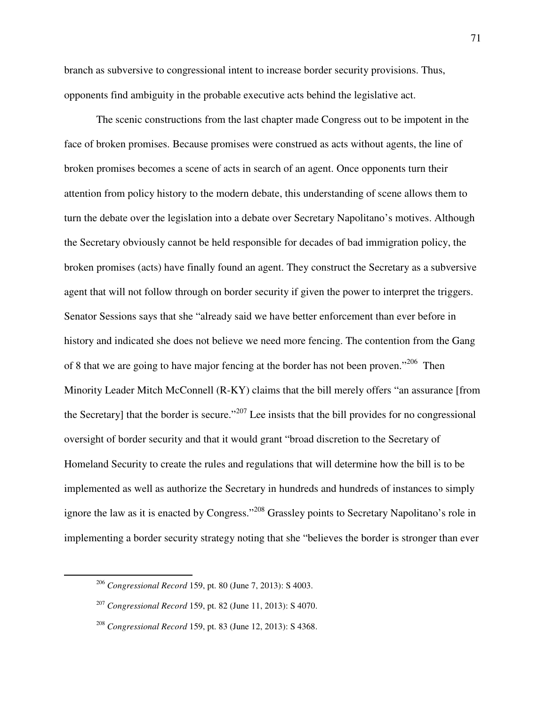branch as subversive to congressional intent to increase border security provisions. Thus, opponents find ambiguity in the probable executive acts behind the legislative act.

 The scenic constructions from the last chapter made Congress out to be impotent in the face of broken promises. Because promises were construed as acts without agents, the line of broken promises becomes a scene of acts in search of an agent. Once opponents turn their attention from policy history to the modern debate, this understanding of scene allows them to turn the debate over the legislation into a debate over Secretary Napolitano's motives. Although the Secretary obviously cannot be held responsible for decades of bad immigration policy, the broken promises (acts) have finally found an agent. They construct the Secretary as a subversive agent that will not follow through on border security if given the power to interpret the triggers. Senator Sessions says that she "already said we have better enforcement than ever before in history and indicated she does not believe we need more fencing. The contention from the Gang of 8 that we are going to have major fencing at the border has not been proven."<sup>206</sup> Then Minority Leader Mitch McConnell (R-KY) claims that the bill merely offers "an assurance [from the Secretary] that the border is secure."<sup>207</sup> Lee insists that the bill provides for no congressional oversight of border security and that it would grant "broad discretion to the Secretary of Homeland Security to create the rules and regulations that will determine how the bill is to be implemented as well as authorize the Secretary in hundreds and hundreds of instances to simply ignore the law as it is enacted by Congress."<sup>208</sup> Grassley points to Secretary Napolitano's role in implementing a border security strategy noting that she "believes the border is stronger than ever

<sup>206</sup> *Congressional Record* 159, pt. 80 (June 7, 2013): S 4003.

<sup>207</sup> *Congressional Record* 159, pt. 82 (June 11, 2013): S 4070.

<sup>208</sup> *Congressional Record* 159, pt. 83 (June 12, 2013): S 4368.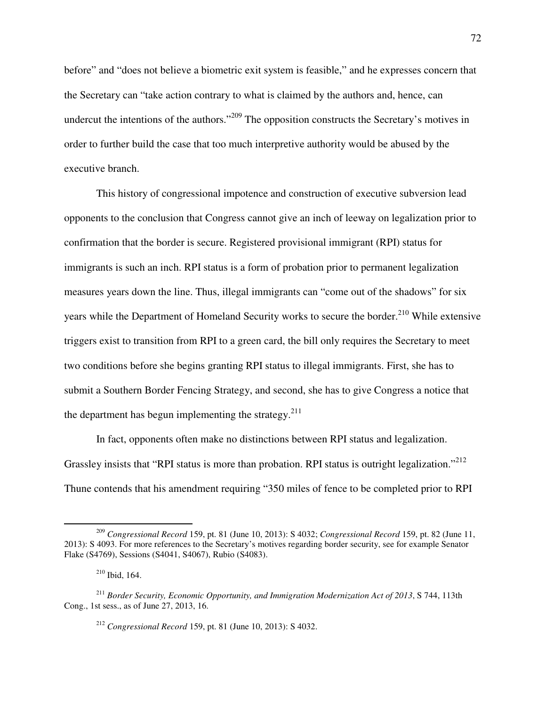before" and "does not believe a biometric exit system is feasible," and he expresses concern that the Secretary can "take action contrary to what is claimed by the authors and, hence, can undercut the intentions of the authors."<sup>209</sup> The opposition constructs the Secretary's motives in order to further build the case that too much interpretive authority would be abused by the executive branch.

 This history of congressional impotence and construction of executive subversion lead opponents to the conclusion that Congress cannot give an inch of leeway on legalization prior to confirmation that the border is secure. Registered provisional immigrant (RPI) status for immigrants is such an inch. RPI status is a form of probation prior to permanent legalization measures years down the line. Thus, illegal immigrants can "come out of the shadows" for six years while the Department of Homeland Security works to secure the border.<sup>210</sup> While extensive triggers exist to transition from RPI to a green card, the bill only requires the Secretary to meet two conditions before she begins granting RPI status to illegal immigrants. First, she has to submit a Southern Border Fencing Strategy, and second, she has to give Congress a notice that the department has begun implementing the strategy. $2^{11}$ 

 In fact, opponents often make no distinctions between RPI status and legalization. Grassley insists that "RPI status is more than probation. RPI status is outright legalization."<sup>212</sup> Thune contends that his amendment requiring "350 miles of fence to be completed prior to RPI

-

<sup>209</sup> *Congressional Record* 159, pt. 81 (June 10, 2013): S 4032; *Congressional Record* 159, pt. 82 (June 11, 2013): S 4093. For more references to the Secretary's motives regarding border security, see for example Senator Flake (S4769), Sessions (S4041, S4067), Rubio (S4083).

<sup>210</sup> Ibid, 164.

<sup>211</sup> *Border Security, Economic Opportunity, and Immigration Modernization Act of 2013*, S 744, 113th Cong., 1st sess., as of June 27, 2013, 16.

<sup>212</sup> *Congressional Record* 159, pt. 81 (June 10, 2013): S 4032.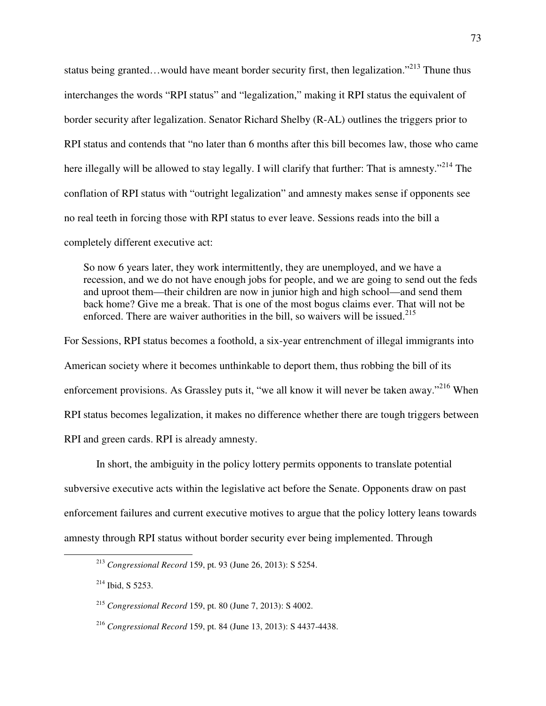status being granted...would have meant border security first, then legalization."<sup>213</sup> Thune thus interchanges the words "RPI status" and "legalization," making it RPI status the equivalent of border security after legalization. Senator Richard Shelby (R-AL) outlines the triggers prior to RPI status and contends that "no later than 6 months after this bill becomes law, those who came here illegally will be allowed to stay legally. I will clarify that further: That is amnesty."<sup>214</sup> The conflation of RPI status with "outright legalization" and amnesty makes sense if opponents see no real teeth in forcing those with RPI status to ever leave. Sessions reads into the bill a completely different executive act:

So now 6 years later, they work intermittently, they are unemployed, and we have a recession, and we do not have enough jobs for people, and we are going to send out the feds and uproot them—their children are now in junior high and high school—and send them back home? Give me a break. That is one of the most bogus claims ever. That will not be enforced. There are waiver authorities in the bill, so waivers will be issued. $^{215}$ 

For Sessions, RPI status becomes a foothold, a six-year entrenchment of illegal immigrants into American society where it becomes unthinkable to deport them, thus robbing the bill of its enforcement provisions. As Grassley puts it, "we all know it will never be taken away."<sup>216</sup> When RPI status becomes legalization, it makes no difference whether there are tough triggers between RPI and green cards. RPI is already amnesty.

 In short, the ambiguity in the policy lottery permits opponents to translate potential subversive executive acts within the legislative act before the Senate. Opponents draw on past enforcement failures and current executive motives to argue that the policy lottery leans towards amnesty through RPI status without border security ever being implemented. Through

 $214$  Ibid, S 5253.

<sup>213</sup> *Congressional Record* 159, pt. 93 (June 26, 2013): S 5254.

<sup>215</sup> *Congressional Record* 159, pt. 80 (June 7, 2013): S 4002.

<sup>216</sup> *Congressional Record* 159, pt. 84 (June 13, 2013): S 4437-4438.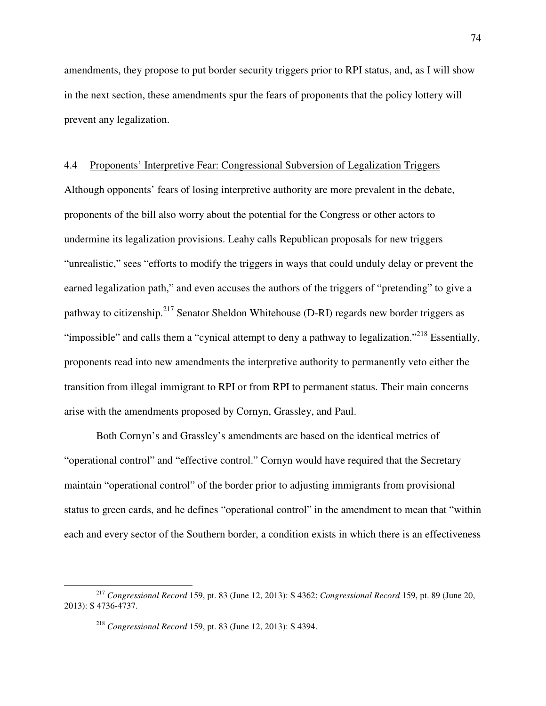amendments, they propose to put border security triggers prior to RPI status, and, as I will show in the next section, these amendments spur the fears of proponents that the policy lottery will prevent any legalization.

# 4.4 Proponents' Interpretive Fear: Congressional Subversion of Legalization Triggers

Although opponents' fears of losing interpretive authority are more prevalent in the debate, proponents of the bill also worry about the potential for the Congress or other actors to undermine its legalization provisions. Leahy calls Republican proposals for new triggers "unrealistic," sees "efforts to modify the triggers in ways that could unduly delay or prevent the earned legalization path," and even accuses the authors of the triggers of "pretending" to give a pathway to citizenship.<sup>217</sup> Senator Sheldon Whitehouse (D-RI) regards new border triggers as "impossible" and calls them a "cynical attempt to deny a pathway to legalization."<sup>218</sup> Essentially, proponents read into new amendments the interpretive authority to permanently veto either the transition from illegal immigrant to RPI or from RPI to permanent status. Their main concerns arise with the amendments proposed by Cornyn, Grassley, and Paul.

 Both Cornyn's and Grassley's amendments are based on the identical metrics of "operational control" and "effective control." Cornyn would have required that the Secretary maintain "operational control" of the border prior to adjusting immigrants from provisional status to green cards, and he defines "operational control" in the amendment to mean that "within each and every sector of the Southern border, a condition exists in which there is an effectiveness

<sup>217</sup> *Congressional Record* 159, pt. 83 (June 12, 2013): S 4362; *Congressional Record* 159, pt. 89 (June 20, 2013): S 4736-4737.

<sup>218</sup> *Congressional Record* 159, pt. 83 (June 12, 2013): S 4394.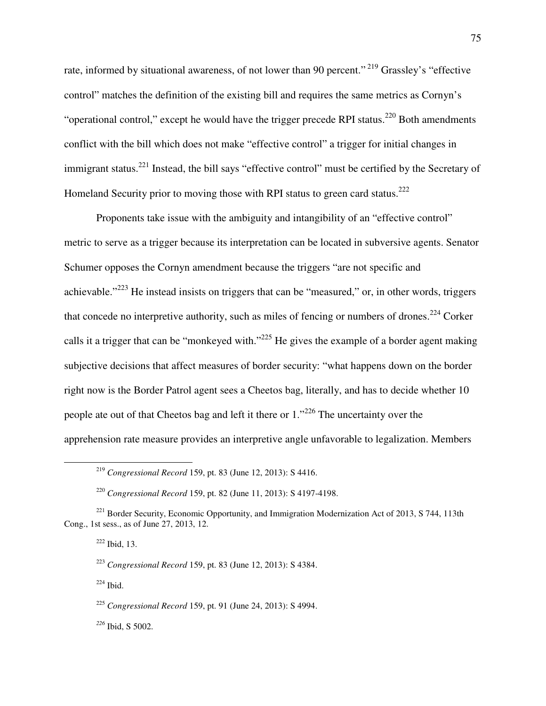rate, informed by situational awareness, of not lower than 90 percent."<sup>219</sup> Grassley's "effective control" matches the definition of the existing bill and requires the same metrics as Cornyn's "operational control," except he would have the trigger precede RPI status.<sup>220</sup> Both amendments conflict with the bill which does not make "effective control" a trigger for initial changes in immigrant status.<sup>221</sup> Instead, the bill says "effective control" must be certified by the Secretary of Homeland Security prior to moving those with RPI status to green card status.<sup>222</sup>

 Proponents take issue with the ambiguity and intangibility of an "effective control" metric to serve as a trigger because its interpretation can be located in subversive agents. Senator Schumer opposes the Cornyn amendment because the triggers "are not specific and achievable."<sup>223</sup> He instead insists on triggers that can be "measured," or, in other words, triggers that concede no interpretive authority, such as miles of fencing or numbers of drones.<sup>224</sup> Corker calls it a trigger that can be "monkeyed with."<sup>225</sup> He gives the example of a border agent making subjective decisions that affect measures of border security: "what happens down on the border right now is the Border Patrol agent sees a Cheetos bag, literally, and has to decide whether 10 people ate out of that Cheetos bag and left it there or 1."<sup>226</sup> The uncertainty over the apprehension rate measure provides an interpretive angle unfavorable to legalization. Members

 $\overline{a}$ 

 $224$  Ibid.

*<sup>226</sup>* Ibid, S 5002.

<sup>219</sup> *Congressional Record* 159, pt. 83 (June 12, 2013): S 4416.

<sup>220</sup> *Congressional Record* 159, pt. 82 (June 11, 2013): S 4197-4198.

<sup>&</sup>lt;sup>221</sup> Border Security, Economic Opportunity, and Immigration Modernization Act of 2013, S 744, 113th Cong., 1st sess., as of June 27, 2013, 12.

 $222$  Ibid, 13.

<sup>223</sup> *Congressional Record* 159, pt. 83 (June 12, 2013): S 4384.

<sup>225</sup> *Congressional Record* 159, pt. 91 (June 24, 2013): S 4994.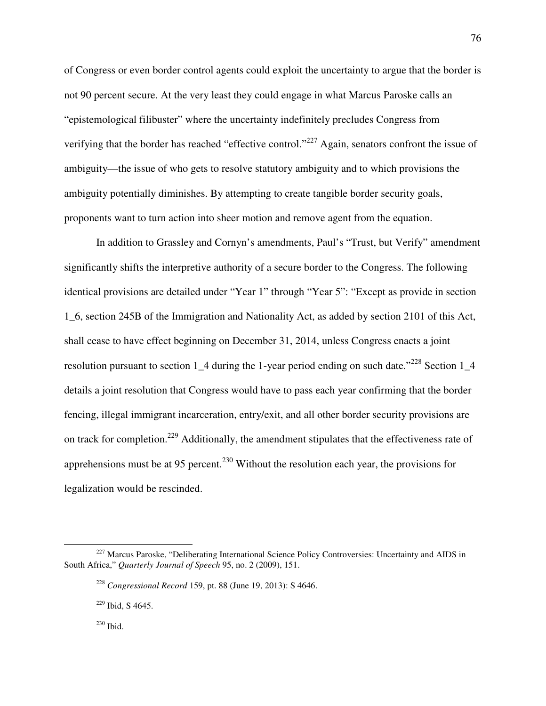of Congress or even border control agents could exploit the uncertainty to argue that the border is not 90 percent secure. At the very least they could engage in what Marcus Paroske calls an "epistemological filibuster" where the uncertainty indefinitely precludes Congress from verifying that the border has reached "effective control."<sup>227</sup> Again, senators confront the issue of ambiguity—the issue of who gets to resolve statutory ambiguity and to which provisions the ambiguity potentially diminishes. By attempting to create tangible border security goals, proponents want to turn action into sheer motion and remove agent from the equation.

 In addition to Grassley and Cornyn's amendments, Paul's "Trust, but Verify" amendment significantly shifts the interpretive authority of a secure border to the Congress. The following identical provisions are detailed under "Year 1" through "Year 5": "Except as provide in section 1\_6, section 245B of the Immigration and Nationality Act, as added by section 2101 of this Act, shall cease to have effect beginning on December 31, 2014, unless Congress enacts a joint resolution pursuant to section 1\_4 during the 1-year period ending on such date."<sup>228</sup> Section 1\_4 details a joint resolution that Congress would have to pass each year confirming that the border fencing, illegal immigrant incarceration, entry/exit, and all other border security provisions are on track for completion.<sup>229</sup> Additionally, the amendment stipulates that the effectiveness rate of apprehensions must be at 95 percent.<sup>230</sup> Without the resolution each year, the provisions for legalization would be rescinded.

<sup>230</sup> Ibid.

<sup>&</sup>lt;sup>227</sup> Marcus Paroske, "Deliberating International Science Policy Controversies: Uncertainty and AIDS in South Africa," *Quarterly Journal of Speech* 95, no. 2 (2009), 151.

<sup>228</sup> *Congressional Record* 159, pt. 88 (June 19, 2013): S 4646.

<sup>229</sup> Ibid, S 4645.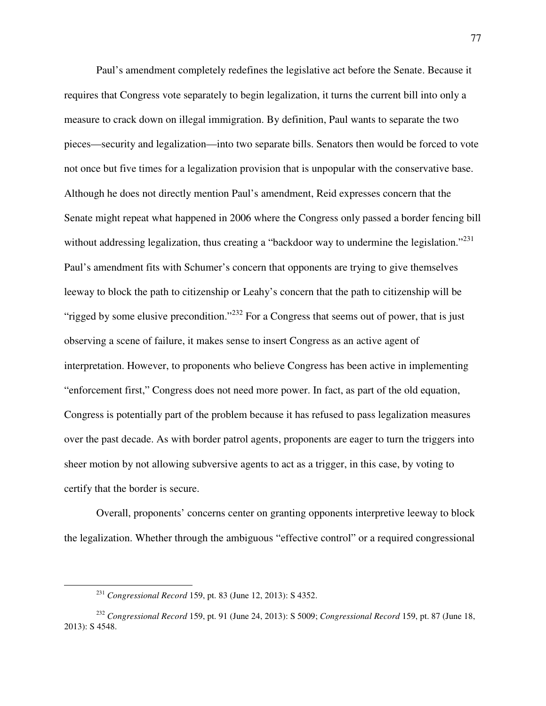Paul's amendment completely redefines the legislative act before the Senate. Because it requires that Congress vote separately to begin legalization, it turns the current bill into only a measure to crack down on illegal immigration. By definition, Paul wants to separate the two pieces—security and legalization—into two separate bills. Senators then would be forced to vote not once but five times for a legalization provision that is unpopular with the conservative base. Although he does not directly mention Paul's amendment, Reid expresses concern that the Senate might repeat what happened in 2006 where the Congress only passed a border fencing bill without addressing legalization, thus creating a "backdoor way to undermine the legislation."<sup>231</sup> Paul's amendment fits with Schumer's concern that opponents are trying to give themselves leeway to block the path to citizenship or Leahy's concern that the path to citizenship will be "rigged by some elusive precondition."<sup>232</sup> For a Congress that seems out of power, that is just observing a scene of failure, it makes sense to insert Congress as an active agent of interpretation. However, to proponents who believe Congress has been active in implementing "enforcement first," Congress does not need more power. In fact, as part of the old equation, Congress is potentially part of the problem because it has refused to pass legalization measures over the past decade. As with border patrol agents, proponents are eager to turn the triggers into sheer motion by not allowing subversive agents to act as a trigger, in this case, by voting to certify that the border is secure.

Overall, proponents' concerns center on granting opponents interpretive leeway to block the legalization. Whether through the ambiguous "effective control" or a required congressional

-

<sup>231</sup> *Congressional Record* 159, pt. 83 (June 12, 2013): S 4352.

<sup>232</sup> *Congressional Record* 159, pt. 91 (June 24, 2013): S 5009; *Congressional Record* 159, pt. 87 (June 18, 2013): S 4548.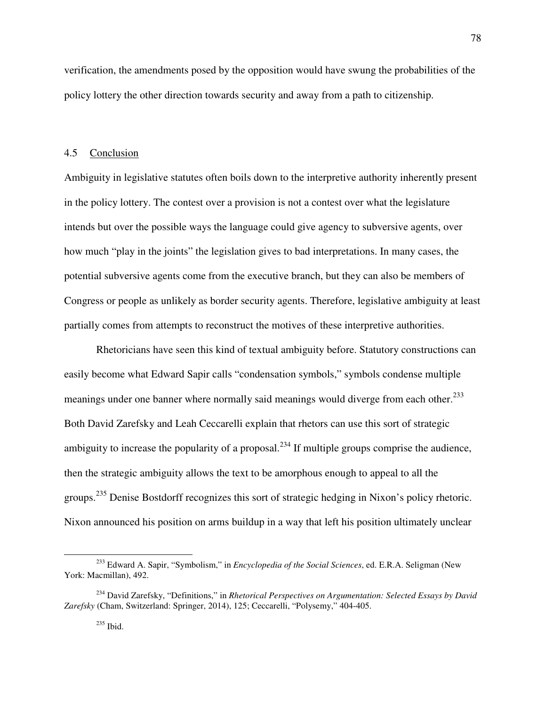verification, the amendments posed by the opposition would have swung the probabilities of the policy lottery the other direction towards security and away from a path to citizenship.

## 4.5 Conclusion

Ambiguity in legislative statutes often boils down to the interpretive authority inherently present in the policy lottery. The contest over a provision is not a contest over what the legislature intends but over the possible ways the language could give agency to subversive agents, over how much "play in the joints" the legislation gives to bad interpretations. In many cases, the potential subversive agents come from the executive branch, but they can also be members of Congress or people as unlikely as border security agents. Therefore, legislative ambiguity at least partially comes from attempts to reconstruct the motives of these interpretive authorities.

 Rhetoricians have seen this kind of textual ambiguity before. Statutory constructions can easily become what Edward Sapir calls "condensation symbols," symbols condense multiple meanings under one banner where normally said meanings would diverge from each other.<sup>233</sup> Both David Zarefsky and Leah Ceccarelli explain that rhetors can use this sort of strategic ambiguity to increase the popularity of a proposal.<sup>234</sup> If multiple groups comprise the audience, then the strategic ambiguity allows the text to be amorphous enough to appeal to all the groups.<sup>235</sup> Denise Bostdorff recognizes this sort of strategic hedging in Nixon's policy rhetoric. Nixon announced his position on arms buildup in a way that left his position ultimately unclear

78

<sup>233</sup> Edward A. Sapir, "Symbolism," in *Encyclopedia of the Social Sciences*, ed. E.R.A. Seligman (New York: Macmillan), 492.

<sup>234</sup> David Zarefsky, "Definitions," in *Rhetorical Perspectives on Argumentation: Selected Essays by David Zarefsky* (Cham, Switzerland: Springer, 2014), 125; Ceccarelli, "Polysemy," 404-405.

<sup>235</sup> Ibid.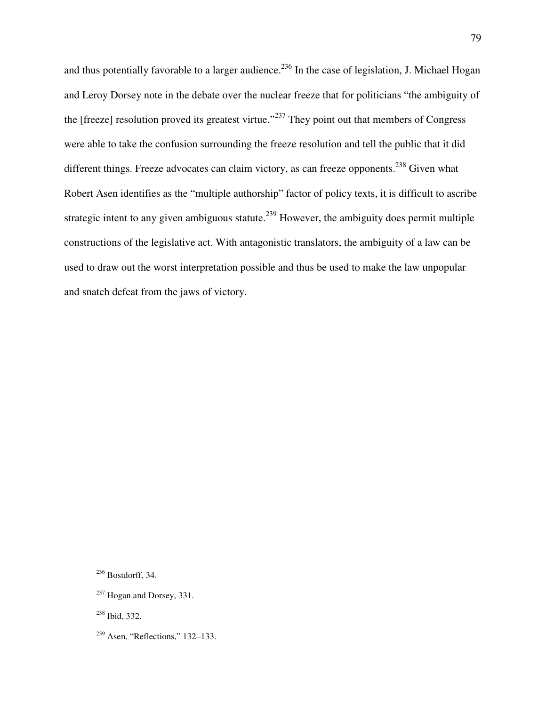and thus potentially favorable to a larger audience.<sup>236</sup> In the case of legislation, J. Michael Hogan and Leroy Dorsey note in the debate over the nuclear freeze that for politicians "the ambiguity of the [freeze] resolution proved its greatest virtue."<sup>237</sup> They point out that members of Congress were able to take the confusion surrounding the freeze resolution and tell the public that it did different things. Freeze advocates can claim victory, as can freeze opponents.<sup>238</sup> Given what Robert Asen identifies as the "multiple authorship" factor of policy texts, it is difficult to ascribe strategic intent to any given ambiguous statute.<sup>239</sup> However, the ambiguity does permit multiple constructions of the legislative act. With antagonistic translators, the ambiguity of a law can be used to draw out the worst interpretation possible and thus be used to make the law unpopular and snatch defeat from the jaws of victory.

<u>.</u>

<sup>238</sup> Ibid, 332.

 $236$  Bostdorff, 34.

 $237$  Hogan and Dorsey, 331.

<sup>239</sup> Asen, "Reflections," 132–133.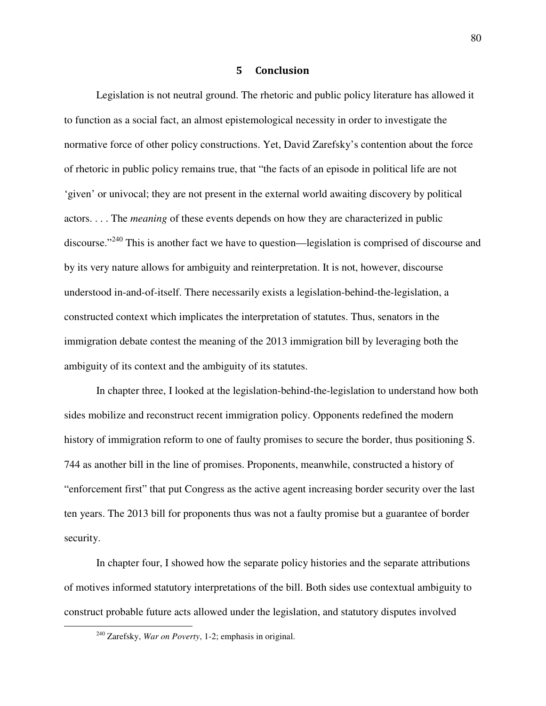#### 5 Conclusion

Legislation is not neutral ground. The rhetoric and public policy literature has allowed it to function as a social fact, an almost epistemological necessity in order to investigate the normative force of other policy constructions. Yet, David Zarefsky's contention about the force of rhetoric in public policy remains true, that "the facts of an episode in political life are not 'given' or univocal; they are not present in the external world awaiting discovery by political actors. . . . The *meaning* of these events depends on how they are characterized in public discourse."<sup>240</sup> This is another fact we have to question—legislation is comprised of discourse and by its very nature allows for ambiguity and reinterpretation. It is not, however, discourse understood in-and-of-itself. There necessarily exists a legislation-behind-the-legislation, a constructed context which implicates the interpretation of statutes. Thus, senators in the immigration debate contest the meaning of the 2013 immigration bill by leveraging both the ambiguity of its context and the ambiguity of its statutes.

In chapter three, I looked at the legislation-behind-the-legislation to understand how both sides mobilize and reconstruct recent immigration policy. Opponents redefined the modern history of immigration reform to one of faulty promises to secure the border, thus positioning S. 744 as another bill in the line of promises. Proponents, meanwhile, constructed a history of "enforcement first" that put Congress as the active agent increasing border security over the last ten years. The 2013 bill for proponents thus was not a faulty promise but a guarantee of border security.

In chapter four, I showed how the separate policy histories and the separate attributions of motives informed statutory interpretations of the bill. Both sides use contextual ambiguity to construct probable future acts allowed under the legislation, and statutory disputes involved

<sup>240</sup> Zarefsky, *War on Poverty*, 1-2; emphasis in original.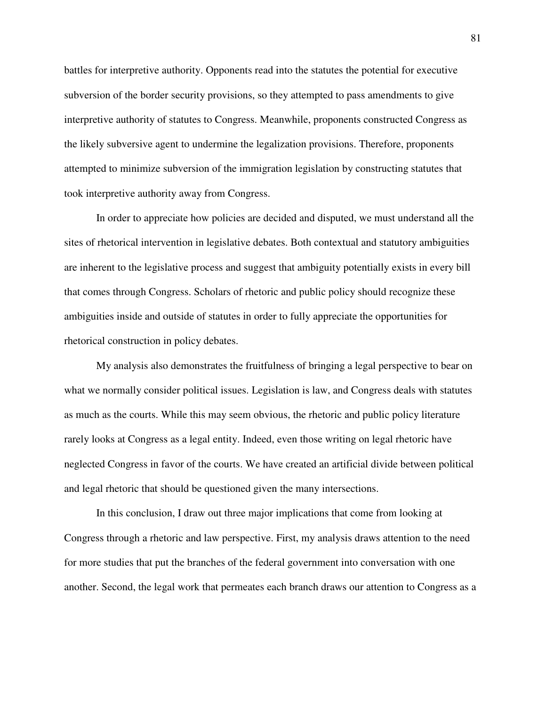battles for interpretive authority. Opponents read into the statutes the potential for executive subversion of the border security provisions, so they attempted to pass amendments to give interpretive authority of statutes to Congress. Meanwhile, proponents constructed Congress as the likely subversive agent to undermine the legalization provisions. Therefore, proponents attempted to minimize subversion of the immigration legislation by constructing statutes that took interpretive authority away from Congress.

In order to appreciate how policies are decided and disputed, we must understand all the sites of rhetorical intervention in legislative debates. Both contextual and statutory ambiguities are inherent to the legislative process and suggest that ambiguity potentially exists in every bill that comes through Congress. Scholars of rhetoric and public policy should recognize these ambiguities inside and outside of statutes in order to fully appreciate the opportunities for rhetorical construction in policy debates.

My analysis also demonstrates the fruitfulness of bringing a legal perspective to bear on what we normally consider political issues. Legislation is law, and Congress deals with statutes as much as the courts. While this may seem obvious, the rhetoric and public policy literature rarely looks at Congress as a legal entity. Indeed, even those writing on legal rhetoric have neglected Congress in favor of the courts. We have created an artificial divide between political and legal rhetoric that should be questioned given the many intersections.

In this conclusion, I draw out three major implications that come from looking at Congress through a rhetoric and law perspective. First, my analysis draws attention to the need for more studies that put the branches of the federal government into conversation with one another. Second, the legal work that permeates each branch draws our attention to Congress as a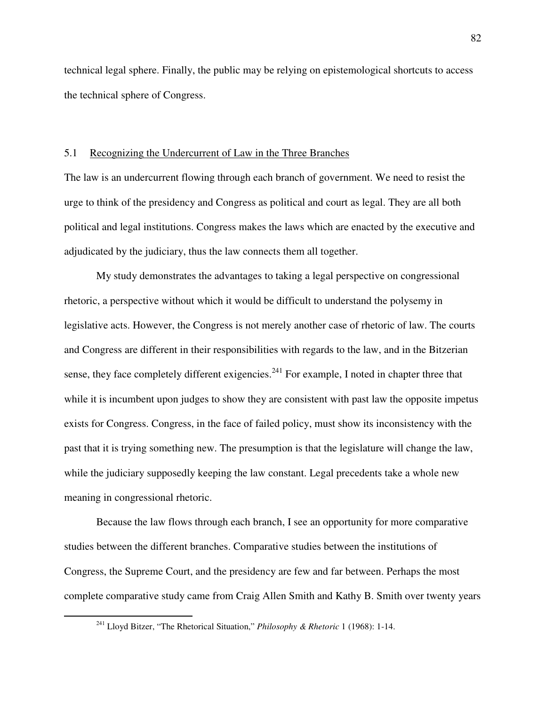technical legal sphere. Finally, the public may be relying on epistemological shortcuts to access the technical sphere of Congress.

#### 5.1 Recognizing the Undercurrent of Law in the Three Branches

The law is an undercurrent flowing through each branch of government. We need to resist the urge to think of the presidency and Congress as political and court as legal. They are all both political and legal institutions. Congress makes the laws which are enacted by the executive and adjudicated by the judiciary, thus the law connects them all together.

 My study demonstrates the advantages to taking a legal perspective on congressional rhetoric, a perspective without which it would be difficult to understand the polysemy in legislative acts. However, the Congress is not merely another case of rhetoric of law. The courts and Congress are different in their responsibilities with regards to the law, and in the Bitzerian sense, they face completely different exigencies.<sup>241</sup> For example, I noted in chapter three that while it is incumbent upon judges to show they are consistent with past law the opposite impetus exists for Congress. Congress, in the face of failed policy, must show its inconsistency with the past that it is trying something new. The presumption is that the legislature will change the law, while the judiciary supposedly keeping the law constant. Legal precedents take a whole new meaning in congressional rhetoric.

 Because the law flows through each branch, I see an opportunity for more comparative studies between the different branches. Comparative studies between the institutions of Congress, the Supreme Court, and the presidency are few and far between. Perhaps the most complete comparative study came from Craig Allen Smith and Kathy B. Smith over twenty years

<sup>241</sup> Lloyd Bitzer, "The Rhetorical Situation," *Philosophy & Rhetoric* 1 (1968): 1-14.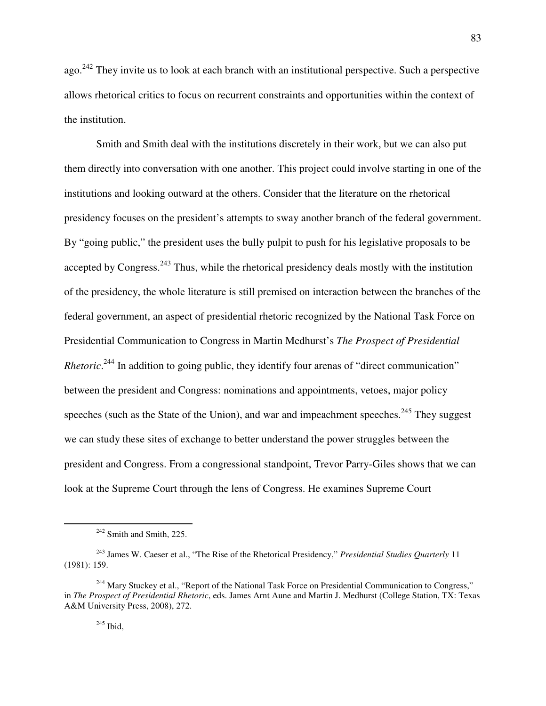ago.<sup>242</sup> They invite us to look at each branch with an institutional perspective. Such a perspective allows rhetorical critics to focus on recurrent constraints and opportunities within the context of the institution.

 Smith and Smith deal with the institutions discretely in their work, but we can also put them directly into conversation with one another. This project could involve starting in one of the institutions and looking outward at the others. Consider that the literature on the rhetorical presidency focuses on the president's attempts to sway another branch of the federal government. By "going public," the president uses the bully pulpit to push for his legislative proposals to be accepted by Congress.<sup>243</sup> Thus, while the rhetorical presidency deals mostly with the institution of the presidency, the whole literature is still premised on interaction between the branches of the federal government, an aspect of presidential rhetoric recognized by the National Task Force on Presidential Communication to Congress in Martin Medhurst's *The Prospect of Presidential Rhetoric*.<sup>244</sup> In addition to going public, they identify four arenas of "direct communication" between the president and Congress: nominations and appointments, vetoes, major policy speeches (such as the State of the Union), and war and impeachment speeches.<sup>245</sup> They suggest we can study these sites of exchange to better understand the power struggles between the president and Congress. From a congressional standpoint, Trevor Parry-Giles shows that we can look at the Supreme Court through the lens of Congress. He examines Supreme Court

 $242$  Smith and Smith, 225.

<sup>243</sup> James W. Caeser et al., "The Rise of the Rhetorical Presidency," *Presidential Studies Quarterly* 11 (1981): 159.

<sup>&</sup>lt;sup>244</sup> Mary Stuckey et al., "Report of the National Task Force on Presidential Communication to Congress," in *The Prospect of Presidential Rhetoric*, eds. James Arnt Aune and Martin J. Medhurst (College Station, TX: Texas A&M University Press, 2008), 272.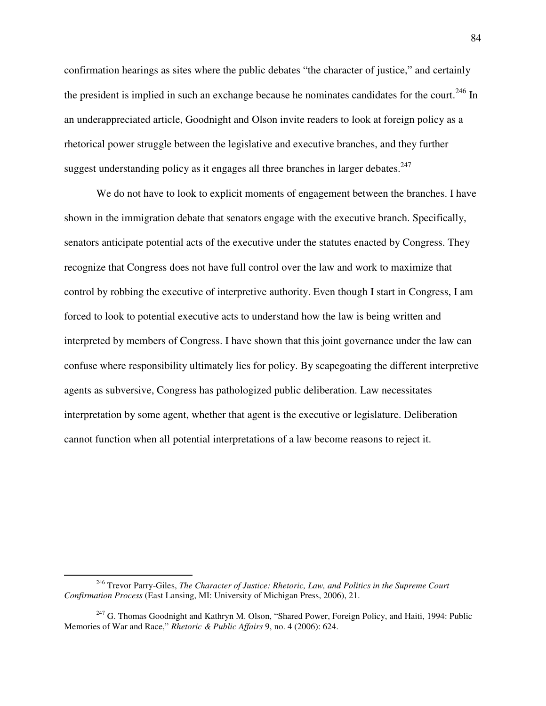confirmation hearings as sites where the public debates "the character of justice," and certainly the president is implied in such an exchange because he nominates candidates for the court.<sup>246</sup> In an underappreciated article, Goodnight and Olson invite readers to look at foreign policy as a rhetorical power struggle between the legislative and executive branches, and they further suggest understanding policy as it engages all three branches in larger debates. $247$ 

 We do not have to look to explicit moments of engagement between the branches. I have shown in the immigration debate that senators engage with the executive branch. Specifically, senators anticipate potential acts of the executive under the statutes enacted by Congress. They recognize that Congress does not have full control over the law and work to maximize that control by robbing the executive of interpretive authority. Even though I start in Congress, I am forced to look to potential executive acts to understand how the law is being written and interpreted by members of Congress. I have shown that this joint governance under the law can confuse where responsibility ultimately lies for policy. By scapegoating the different interpretive agents as subversive, Congress has pathologized public deliberation. Law necessitates interpretation by some agent, whether that agent is the executive or legislature. Deliberation cannot function when all potential interpretations of a law become reasons to reject it.

-

<sup>246</sup> Trevor Parry-Giles, *The Character of Justice: Rhetoric, Law, and Politics in the Supreme Court Confirmation Process* (East Lansing, MI: University of Michigan Press, 2006), 21.

<sup>&</sup>lt;sup>247</sup> G. Thomas Goodnight and Kathryn M. Olson, "Shared Power, Foreign Policy, and Haiti, 1994: Public Memories of War and Race," *Rhetoric & Public Affairs* 9, no. 4 (2006): 624.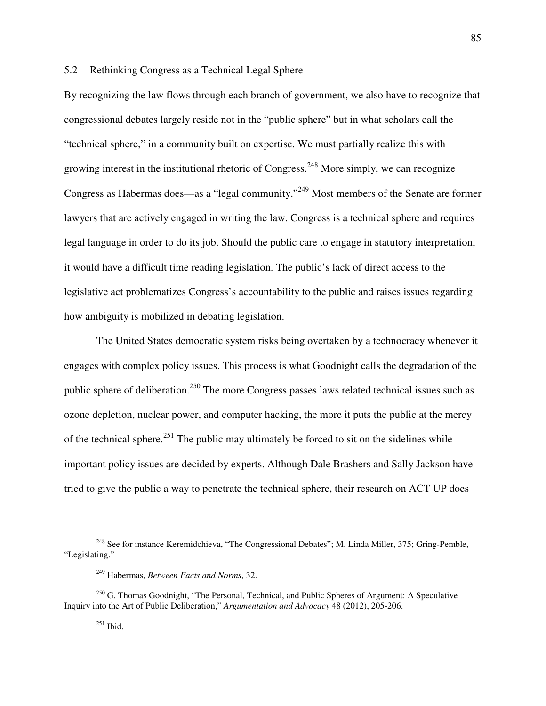### 5.2 Rethinking Congress as a Technical Legal Sphere

By recognizing the law flows through each branch of government, we also have to recognize that congressional debates largely reside not in the "public sphere" but in what scholars call the "technical sphere," in a community built on expertise. We must partially realize this with growing interest in the institutional rhetoric of Congress.<sup>248</sup> More simply, we can recognize Congress as Habermas does—as a "legal community."<sup>249</sup> Most members of the Senate are former lawyers that are actively engaged in writing the law. Congress is a technical sphere and requires legal language in order to do its job. Should the public care to engage in statutory interpretation, it would have a difficult time reading legislation. The public's lack of direct access to the legislative act problematizes Congress's accountability to the public and raises issues regarding how ambiguity is mobilized in debating legislation.

The United States democratic system risks being overtaken by a technocracy whenever it engages with complex policy issues. This process is what Goodnight calls the degradation of the public sphere of deliberation.<sup>250</sup> The more Congress passes laws related technical issues such as ozone depletion, nuclear power, and computer hacking, the more it puts the public at the mercy of the technical sphere.<sup>251</sup> The public may ultimately be forced to sit on the sidelines while important policy issues are decided by experts. Although Dale Brashers and Sally Jackson have tried to give the public a way to penetrate the technical sphere, their research on ACT UP does

<sup>&</sup>lt;sup>248</sup> See for instance Keremidchieva, "The Congressional Debates"; M. Linda Miller, 375; Gring-Pemble, "Legislating."

<sup>249</sup> Habermas, *Between Facts and Norms*, 32.

 $250$  G. Thomas Goodnight, "The Personal, Technical, and Public Spheres of Argument: A Speculative Inquiry into the Art of Public Deliberation," *Argumentation and Advocacy* 48 (2012), 205-206.

 $^{251}$  Ibid.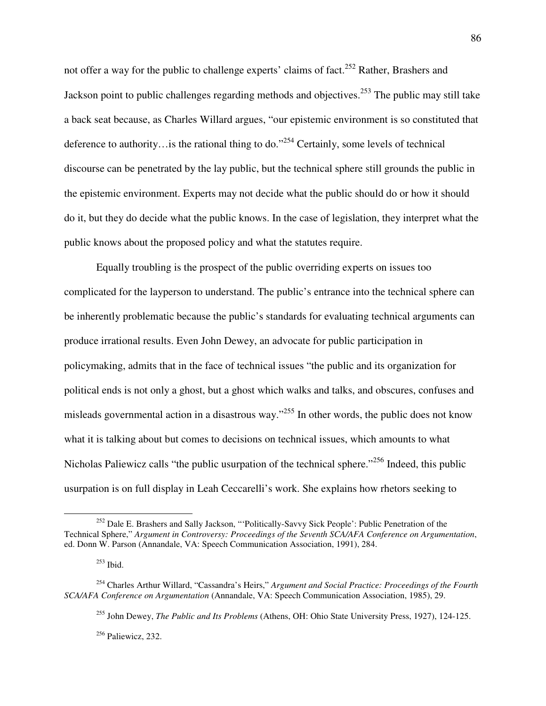not offer a way for the public to challenge experts' claims of fact.<sup>252</sup> Rather, Brashers and Jackson point to public challenges regarding methods and objectives.<sup>253</sup> The public may still take a back seat because, as Charles Willard argues, "our epistemic environment is so constituted that deference to authority…is the rational thing to do."<sup>254</sup> Certainly, some levels of technical discourse can be penetrated by the lay public, but the technical sphere still grounds the public in the epistemic environment. Experts may not decide what the public should do or how it should do it, but they do decide what the public knows. In the case of legislation, they interpret what the public knows about the proposed policy and what the statutes require.

Equally troubling is the prospect of the public overriding experts on issues too complicated for the layperson to understand. The public's entrance into the technical sphere can be inherently problematic because the public's standards for evaluating technical arguments can produce irrational results. Even John Dewey, an advocate for public participation in policymaking, admits that in the face of technical issues "the public and its organization for political ends is not only a ghost, but a ghost which walks and talks, and obscures, confuses and misleads governmental action in a disastrous way."<sup>255</sup> In other words, the public does not know what it is talking about but comes to decisions on technical issues, which amounts to what Nicholas Paliewicz calls "the public usurpation of the technical sphere."<sup>256</sup> Indeed, this public usurpation is on full display in Leah Ceccarelli's work. She explains how rhetors seeking to

 $\overline{a}$ 

<sup>255</sup> John Dewey, *The Public and Its Problems* (Athens, OH: Ohio State University Press, 1927), 124-125.

<sup>256</sup> Paliewicz, 232.

<sup>&</sup>lt;sup>252</sup> Dale E. Brashers and Sally Jackson, "'Politically-Savvy Sick People': Public Penetration of the Technical Sphere," *Argument in Controversy: Proceedings of the Seventh SCA/AFA Conference on Argumentation*, ed. Donn W. Parson (Annandale, VA: Speech Communication Association, 1991), 284.

 $253$  Ibid.

<sup>254</sup> Charles Arthur Willard, "Cassandra's Heirs," *Argument and Social Practice: Proceedings of the Fourth SCA/AFA Conference on Argumentation* (Annandale, VA: Speech Communication Association, 1985), 29.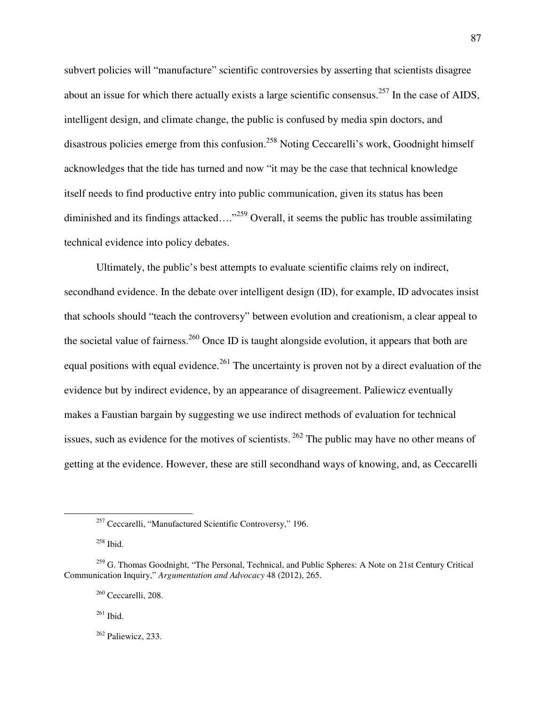subvert policies will "manufacture" scientific controversies by asserting that scientists disagree about an issue for which there actually exists a large scientific consensus.<sup>257</sup> In the case of AIDS, intelligent design, and climate change, the public is confused by media spin doctors, and disastrous policies emerge from this confusion.<sup>258</sup> Noting Ceccarelli's work, Goodnight himself acknowledges that the tide has turned and now "it may be the case that technical knowledge itself needs to find productive entry into public communication, given its status has been diminished and its findings attacked...."<sup>259</sup> Overall, it seems the public has trouble assimilating technical evidence into policy debates.

Ultimately, the public's best attempts to evaluate scientific claims rely on indirect, secondhand evidence. In the debate over intelligent design (ID), for example, ID advocates insist that schools should "teach the controversy" between evolution and creationism, a clear appeal to the societal value of fairness.<sup>260</sup> Once ID is taught alongside evolution, it appears that both are equal positions with equal evidence.<sup>261</sup> The uncertainty is proven not by a direct evaluation of the evidence but by indirect evidence, by an appearance of disagreement. Paliewicz eventually makes a Faustian bargain by suggesting we use indirect methods of evaluation for technical issues, such as evidence for the motives of scientists.<sup>262</sup> The public may have no other means of getting at the evidence. However, these are still secondhand ways of knowing, and, as Ceccarelli

 $\overline{a}$ 

 $261$  Ibid.

<sup>257</sup> Ceccarelli, "Manufactured Scientific Controversy," 196.

<sup>258</sup> Ibid.

<sup>&</sup>lt;sup>259</sup> G. Thomas Goodnight, "The Personal, Technical, and Public Spheres: A Note on 21st Century Critical Communication Inquiry," *Argumentation and Advocacy* 48 (2012), 265.

<sup>260</sup> Ceccarelli, 208.

 $262$  Paliewicz, 233.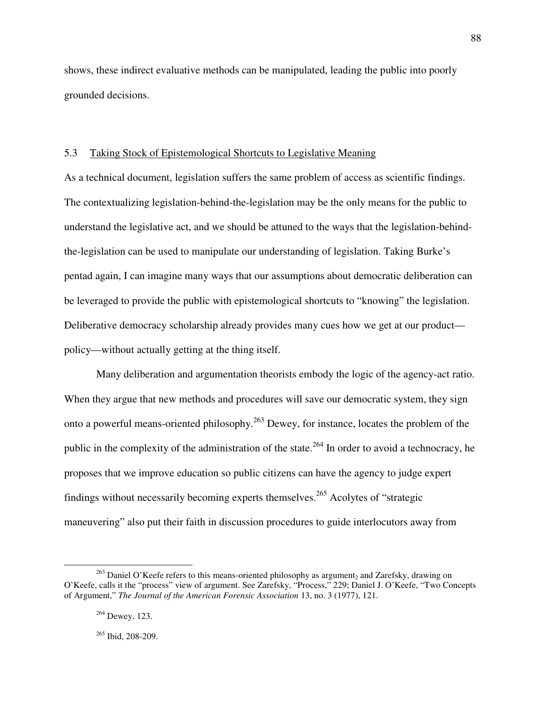shows, these indirect evaluative methods can be manipulated, leading the public into poorly grounded decisions.

# 5.3 Taking Stock of Epistemological Shortcuts to Legislative Meaning

As a technical document, legislation suffers the same problem of access as scientific findings. The contextualizing legislation-behind-the-legislation may be the only means for the public to understand the legislative act, and we should be attuned to the ways that the legislation-behindthe-legislation can be used to manipulate our understanding of legislation. Taking Burke's pentad again, I can imagine many ways that our assumptions about democratic deliberation can be leveraged to provide the public with epistemological shortcuts to "knowing" the legislation. Deliberative democracy scholarship already provides many cues how we get at our product policy—without actually getting at the thing itself.

Many deliberation and argumentation theorists embody the logic of the agency-act ratio. When they argue that new methods and procedures will save our democratic system, they sign onto a powerful means-oriented philosophy.<sup>263</sup> Dewey, for instance, locates the problem of the public in the complexity of the administration of the state.<sup>264</sup> In order to avoid a technocracy, he proposes that we improve education so public citizens can have the agency to judge expert findings without necessarily becoming experts themselves.<sup>265</sup> Acolytes of "strategic maneuvering" also put their faith in discussion procedures to guide interlocutors away from

<u>.</u>

88

 $^{263}$  Daniel O'Keefe refers to this means-oriented philosophy as argument<sub>2</sub> and Zarefsky, drawing on O'Keefe, calls it the "process" view of argument. See Zarefsky, "Process," 229; Daniel J. O'Keefe, "Two Concepts of Argument," *The Journal of the American Forensic Association* 13, no. 3 (1977), 121.

 $264$  Dewey, 123.

 $265$  Ibid, 208-209.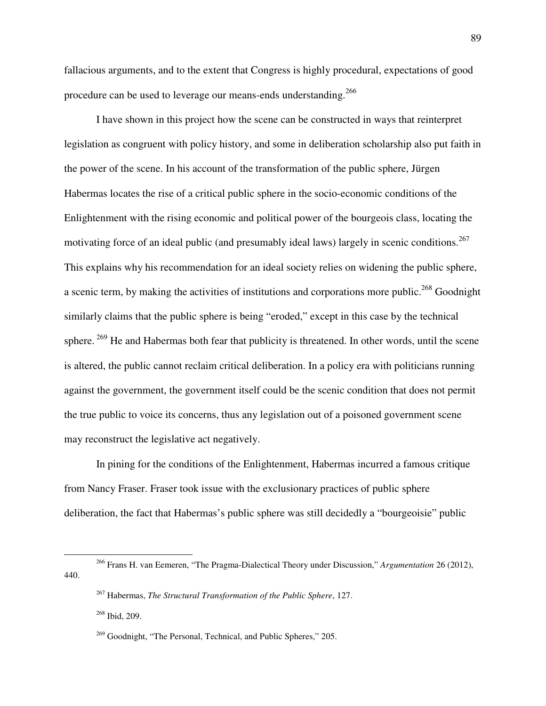fallacious arguments, and to the extent that Congress is highly procedural, expectations of good procedure can be used to leverage our means-ends understanding.<sup>266</sup>

I have shown in this project how the scene can be constructed in ways that reinterpret legislation as congruent with policy history, and some in deliberation scholarship also put faith in the power of the scene. In his account of the transformation of the public sphere, Jürgen Habermas locates the rise of a critical public sphere in the socio-economic conditions of the Enlightenment with the rising economic and political power of the bourgeois class, locating the motivating force of an ideal public (and presumably ideal laws) largely in scenic conditions.<sup>267</sup> This explains why his recommendation for an ideal society relies on widening the public sphere, a scenic term, by making the activities of institutions and corporations more public.<sup>268</sup> Goodnight similarly claims that the public sphere is being "eroded," except in this case by the technical sphere.<sup>269</sup> He and Habermas both fear that publicity is threatened. In other words, until the scene is altered, the public cannot reclaim critical deliberation. In a policy era with politicians running against the government, the government itself could be the scenic condition that does not permit the true public to voice its concerns, thus any legislation out of a poisoned government scene may reconstruct the legislative act negatively.

In pining for the conditions of the Enlightenment, Habermas incurred a famous critique from Nancy Fraser. Fraser took issue with the exclusionary practices of public sphere deliberation, the fact that Habermas's public sphere was still decidedly a "bourgeoisie" public

<sup>266</sup> Frans H. van Eemeren, "The Pragma-Dialectical Theory under Discussion," *Argumentation* 26 (2012), 440.

<sup>267</sup> Habermas, *The Structural Transformation of the Public Sphere*, 127.

<sup>268</sup> Ibid, 209.

 $^{269}$  Goodnight, "The Personal, Technical, and Public Spheres," 205.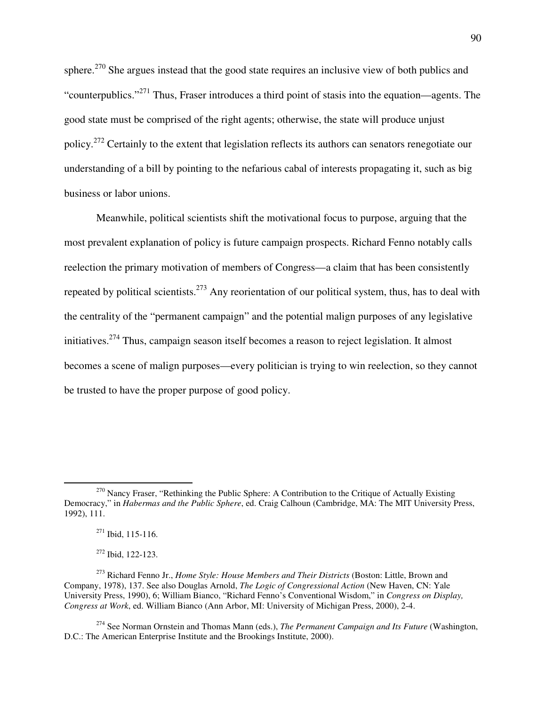sphere.<sup>270</sup> She argues instead that the good state requires an inclusive view of both publics and "counterpublics."<sup>271</sup> Thus, Fraser introduces a third point of stasis into the equation—agents. The good state must be comprised of the right agents; otherwise, the state will produce unjust policy.<sup>272</sup> Certainly to the extent that legislation reflects its authors can senators renegotiate our understanding of a bill by pointing to the nefarious cabal of interests propagating it, such as big business or labor unions.

Meanwhile, political scientists shift the motivational focus to purpose, arguing that the most prevalent explanation of policy is future campaign prospects. Richard Fenno notably calls reelection the primary motivation of members of Congress—a claim that has been consistently repeated by political scientists.<sup>273</sup> Any reorientation of our political system, thus, has to deal with the centrality of the "permanent campaign" and the potential malign purposes of any legislative initiatives.<sup>274</sup> Thus, campaign season itself becomes a reason to reject legislation. It almost becomes a scene of malign purposes—every politician is trying to win reelection, so they cannot be trusted to have the proper purpose of good policy.

 $270$  Nancy Fraser, "Rethinking the Public Sphere: A Contribution to the Critique of Actually Existing Democracy," in *Habermas and the Public Sphere*, ed. Craig Calhoun (Cambridge, MA: The MIT University Press, 1992), 111.

<sup>271</sup> Ibid, 115-116.

<sup>272</sup> Ibid, 122-123.

<sup>273</sup> Richard Fenno Jr., *Home Style: House Members and Their Districts* (Boston: Little, Brown and Company, 1978), 137. See also Douglas Arnold, *The Logic of Congressional Action* (New Haven, CN: Yale University Press, 1990), 6; William Bianco, "Richard Fenno's Conventional Wisdom," in *Congress on Display, Congress at Work*, ed. William Bianco (Ann Arbor, MI: University of Michigan Press, 2000), 2-4.

<sup>274</sup> See Norman Ornstein and Thomas Mann (eds.), *The Permanent Campaign and Its Future* (Washington, D.C.: The American Enterprise Institute and the Brookings Institute, 2000).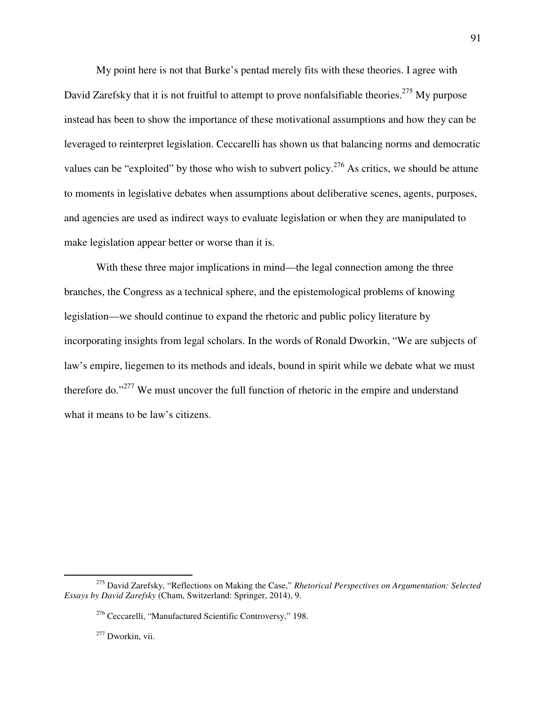My point here is not that Burke's pentad merely fits with these theories. I agree with David Zarefsky that it is not fruitful to attempt to prove nonfalsifiable theories.<sup>275</sup> My purpose instead has been to show the importance of these motivational assumptions and how they can be leveraged to reinterpret legislation. Ceccarelli has shown us that balancing norms and democratic values can be "exploited" by those who wish to subvert policy.<sup>276</sup> As critics, we should be attune to moments in legislative debates when assumptions about deliberative scenes, agents, purposes, and agencies are used as indirect ways to evaluate legislation or when they are manipulated to make legislation appear better or worse than it is.

 With these three major implications in mind—the legal connection among the three branches, the Congress as a technical sphere, and the epistemological problems of knowing legislation—we should continue to expand the rhetoric and public policy literature by incorporating insights from legal scholars. In the words of Ronald Dworkin, "We are subjects of law's empire, liegemen to its methods and ideals, bound in spirit while we debate what we must therefore do."<sup>277</sup> We must uncover the full function of rhetoric in the empire and understand what it means to be law's citizens.

<sup>275</sup> David Zarefsky, "Reflections on Making the Case," *Rhetorical Perspectives on Argumentation: Selected Essays by David Zarefsky* (Cham, Switzerland: Springer, 2014), 9.

<sup>276</sup> Ceccarelli, "Manufactured Scientific Controversy," 198.

<sup>277</sup> Dworkin, vii.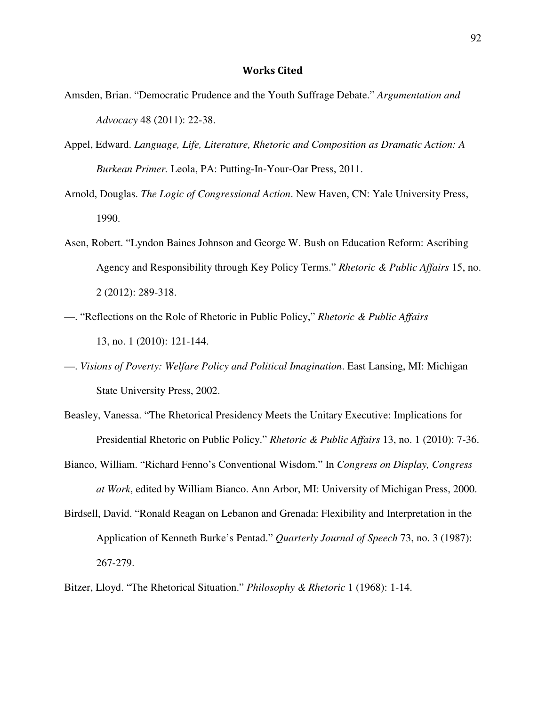## Works Cited

- Amsden, Brian. "Democratic Prudence and the Youth Suffrage Debate." *Argumentation and Advocacy* 48 (2011): 22-38.
- Appel, Edward. *Language, Life, Literature, Rhetoric and Composition as Dramatic Action: A Burkean Primer.* Leola, PA: Putting-In-Your-Oar Press, 2011.
- Arnold, Douglas. *The Logic of Congressional Action*. New Haven, CN: Yale University Press, 1990.
- Asen, Robert. "Lyndon Baines Johnson and George W. Bush on Education Reform: Ascribing Agency and Responsibility through Key Policy Terms." *Rhetoric & Public Affairs* 15, no. 2 (2012): 289-318.
- —. "Reflections on the Role of Rhetoric in Public Policy," *Rhetoric & Public Affairs*  13, no. 1 (2010): 121-144.
- —. *Visions of Poverty: Welfare Policy and Political Imagination*. East Lansing, MI: Michigan State University Press, 2002.
- Beasley, Vanessa. "The Rhetorical Presidency Meets the Unitary Executive: Implications for Presidential Rhetoric on Public Policy." *Rhetoric & Public Affairs* 13, no. 1 (2010): 7-36.
- Bianco, William. "Richard Fenno's Conventional Wisdom." In *Congress on Display, Congress at Work*, edited by William Bianco. Ann Arbor, MI: University of Michigan Press, 2000.
- Birdsell, David. "Ronald Reagan on Lebanon and Grenada: Flexibility and Interpretation in the Application of Kenneth Burke's Pentad." *Quarterly Journal of Speech* 73, no. 3 (1987): 267-279.
- Bitzer, Lloyd. "The Rhetorical Situation." *Philosophy & Rhetoric* 1 (1968): 1-14.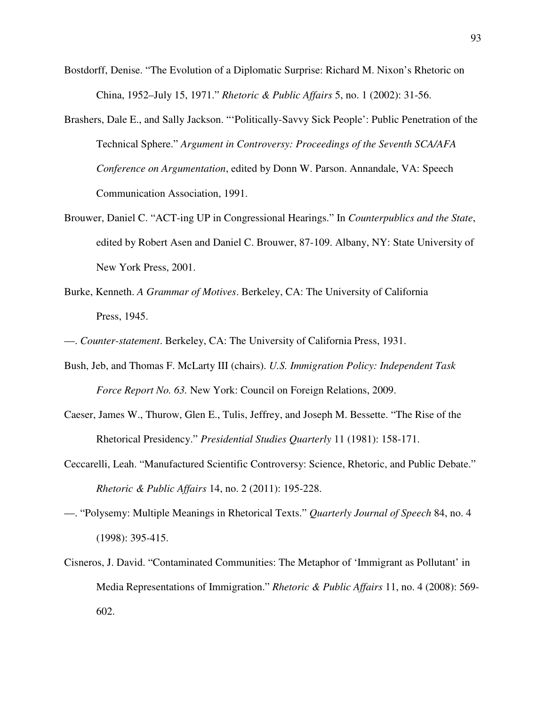- Bostdorff, Denise. "The Evolution of a Diplomatic Surprise: Richard M. Nixon's Rhetoric on China, 1952–July 15, 1971." *Rhetoric & Public Affairs* 5, no. 1 (2002): 31-56.
- Brashers, Dale E., and Sally Jackson. "'Politically-Savvy Sick People': Public Penetration of the Technical Sphere." *Argument in Controversy: Proceedings of the Seventh SCA/AFA Conference on Argumentation*, edited by Donn W. Parson. Annandale, VA: Speech Communication Association, 1991.
- Brouwer, Daniel C. "ACT-ing UP in Congressional Hearings." In *Counterpublics and the State*, edited by Robert Asen and Daniel C. Brouwer, 87-109. Albany, NY: State University of New York Press, 2001.
- Burke, Kenneth. *A Grammar of Motives*. Berkeley, CA: The University of California Press, 1945.
- —. *Counter-statement*. Berkeley, CA: The University of California Press, 1931.
- Bush, Jeb, and Thomas F. McLarty III (chairs). *U.S. Immigration Policy: Independent Task Force Report No. 63.* New York: Council on Foreign Relations, 2009.
- Caeser, James W., Thurow, Glen E., Tulis, Jeffrey, and Joseph M. Bessette. "The Rise of the Rhetorical Presidency." *Presidential Studies Quarterly* 11 (1981): 158-171.
- Ceccarelli, Leah. "Manufactured Scientific Controversy: Science, Rhetoric, and Public Debate." *Rhetoric & Public Affairs* 14, no. 2 (2011): 195-228.
- —. "Polysemy: Multiple Meanings in Rhetorical Texts." *Quarterly Journal of Speech* 84, no. 4 (1998): 395-415.
- Cisneros, J. David. "Contaminated Communities: The Metaphor of 'Immigrant as Pollutant' in Media Representations of Immigration." *Rhetoric & Public Affairs* 11, no. 4 (2008): 569- 602.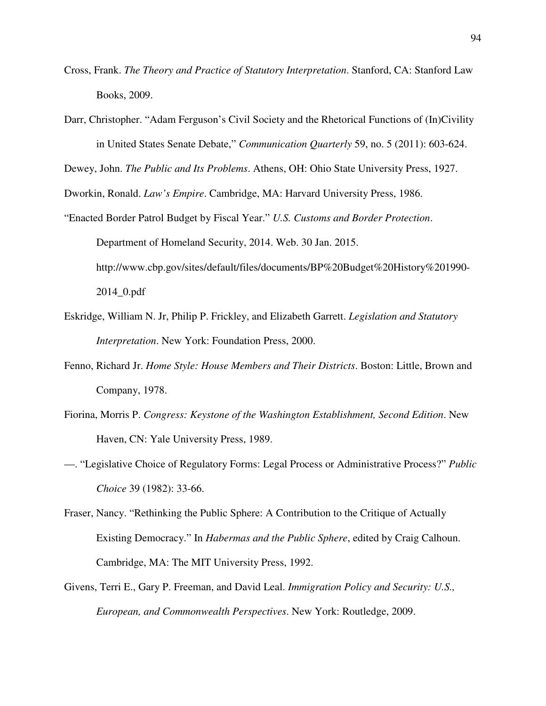- Cross, Frank. *The Theory and Practice of Statutory Interpretation*. Stanford, CA: Stanford Law Books, 2009.
- Darr, Christopher. "Adam Ferguson's Civil Society and the Rhetorical Functions of (In)Civility in United States Senate Debate," *Communication Quarterly* 59, no. 5 (2011): 603-624.

Dewey, John. *The Public and Its Problems*. Athens, OH: Ohio State University Press, 1927.

Dworkin, Ronald. *Law's Empire*. Cambridge, MA: Harvard University Press, 1986.

- "Enacted Border Patrol Budget by Fiscal Year." *U.S. Customs and Border Protection*. Department of Homeland Security, 2014. Web. 30 Jan. 2015. http://www.cbp.gov/sites/default/files/documents/BP%20Budget%20History%201990- 2014\_0.pdf
- Eskridge, William N. Jr, Philip P. Frickley, and Elizabeth Garrett. *Legislation and Statutory Interpretation*. New York: Foundation Press, 2000.
- Fenno, Richard Jr. *Home Style: House Members and Their Districts*. Boston: Little, Brown and Company, 1978.
- Fiorina, Morris P. *Congress: Keystone of the Washington Establishment, Second Edition*. New Haven, CN: Yale University Press, 1989.
- —. "Legislative Choice of Regulatory Forms: Legal Process or Administrative Process?" *Public Choice* 39 (1982): 33-66.
- Fraser, Nancy. "Rethinking the Public Sphere: A Contribution to the Critique of Actually Existing Democracy." In *Habermas and the Public Sphere*, edited by Craig Calhoun. Cambridge, MA: The MIT University Press, 1992.
- Givens, Terri E., Gary P. Freeman, and David Leal. *Immigration Policy and Security: U.S., European, and Commonwealth Perspectives*. New York: Routledge, 2009.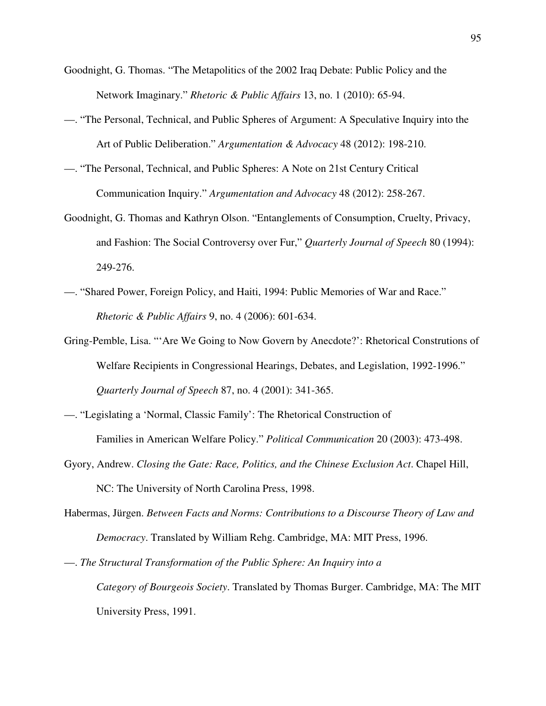- Goodnight, G. Thomas. "The Metapolitics of the 2002 Iraq Debate: Public Policy and the Network Imaginary." *Rhetoric & Public Affairs* 13, no. 1 (2010): 65-94.
- —. "The Personal, Technical, and Public Spheres of Argument: A Speculative Inquiry into the Art of Public Deliberation." *Argumentation & Advocacy* 48 (2012): 198-210.
- —. "The Personal, Technical, and Public Spheres: A Note on 21st Century Critical Communication Inquiry." *Argumentation and Advocacy* 48 (2012): 258-267.
- Goodnight, G. Thomas and Kathryn Olson. "Entanglements of Consumption, Cruelty, Privacy, and Fashion: The Social Controversy over Fur," *Quarterly Journal of Speech* 80 (1994): 249-276.
- —. "Shared Power, Foreign Policy, and Haiti, 1994: Public Memories of War and Race." *Rhetoric & Public Affairs* 9, no. 4 (2006): 601-634.
- Gring-Pemble, Lisa. "'Are We Going to Now Govern by Anecdote?': Rhetorical Construtions of Welfare Recipients in Congressional Hearings, Debates, and Legislation, 1992-1996." *Quarterly Journal of Speech* 87, no. 4 (2001): 341-365.
- —. "Legislating a 'Normal, Classic Family': The Rhetorical Construction of Families in American Welfare Policy." *Political Communication* 20 (2003): 473-498.
- Gyory, Andrew. *Closing the Gate: Race, Politics, and the Chinese Exclusion Act*. Chapel Hill, NC: The University of North Carolina Press, 1998.
- Habermas, Jürgen. *Between Facts and Norms: Contributions to a Discourse Theory of Law and Democracy*. Translated by William Rehg. Cambridge, MA: MIT Press, 1996.
- —. *The Structural Transformation of the Public Sphere: An Inquiry into a Category of Bourgeois Society*. Translated by Thomas Burger. Cambridge, MA: The MIT University Press, 1991.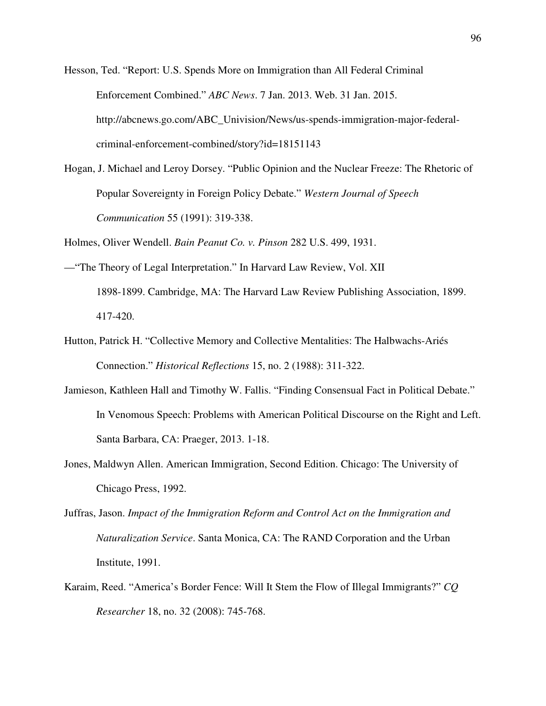Hesson, Ted. "Report: U.S. Spends More on Immigration than All Federal Criminal Enforcement Combined." *ABC News*. 7 Jan. 2013. Web. 31 Jan. 2015. http://abcnews.go.com/ABC\_Univision/News/us-spends-immigration-major-federalcriminal-enforcement-combined/story?id=18151143

Hogan, J. Michael and Leroy Dorsey. "Public Opinion and the Nuclear Freeze: The Rhetoric of Popular Sovereignty in Foreign Policy Debate." *Western Journal of Speech Communication* 55 (1991): 319-338.

Holmes, Oliver Wendell. *Bain Peanut Co. v. Pinson* 282 U.S. 499, 1931.

- —"The Theory of Legal Interpretation." In Harvard Law Review, Vol. XII 1898-1899. Cambridge, MA: The Harvard Law Review Publishing Association, 1899. 417-420.
- Hutton, Patrick H. "Collective Memory and Collective Mentalities: The Halbwachs-Ariés Connection." *Historical Reflections* 15, no. 2 (1988): 311-322.
- Jamieson, Kathleen Hall and Timothy W. Fallis. "Finding Consensual Fact in Political Debate." In Venomous Speech: Problems with American Political Discourse on the Right and Left. Santa Barbara, CA: Praeger, 2013. 1-18.
- Jones, Maldwyn Allen. American Immigration, Second Edition. Chicago: The University of Chicago Press, 1992.
- Juffras, Jason. *Impact of the Immigration Reform and Control Act on the Immigration and Naturalization Service*. Santa Monica, CA: The RAND Corporation and the Urban Institute, 1991.
- Karaim, Reed. "America's Border Fence: Will It Stem the Flow of Illegal Immigrants?" *CQ Researcher* 18, no. 32 (2008): 745-768.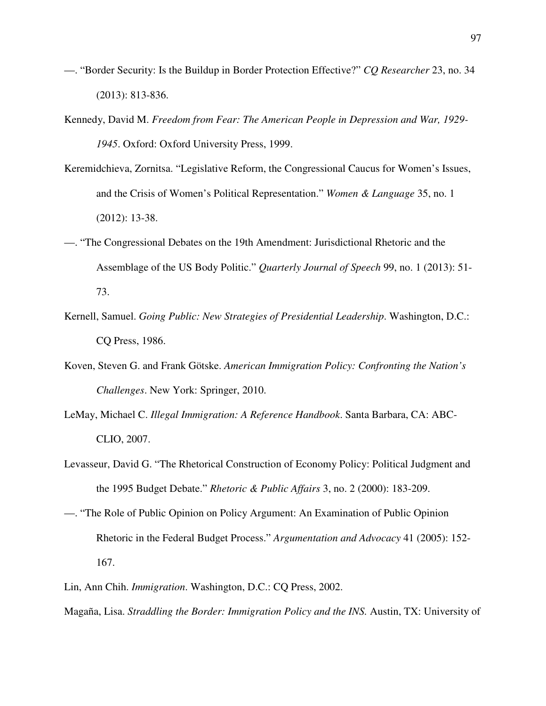- —. "Border Security: Is the Buildup in Border Protection Effective?" *CQ Researcher* 23, no. 34 (2013): 813-836.
- Kennedy, David M. *Freedom from Fear: The American People in Depression and War, 1929- 1945*. Oxford: Oxford University Press, 1999.
- Keremidchieva, Zornitsa. "Legislative Reform, the Congressional Caucus for Women's Issues, and the Crisis of Women's Political Representation." *Women & Language* 35, no. 1 (2012): 13-38.
- —. "The Congressional Debates on the 19th Amendment: Jurisdictional Rhetoric and the Assemblage of the US Body Politic." *Quarterly Journal of Speech* 99, no. 1 (2013): 51- 73.
- Kernell, Samuel. *Going Public: New Strategies of Presidential Leadership*. Washington, D.C.: CQ Press, 1986.
- Koven, Steven G. and Frank Götske. *American Immigration Policy: Confronting the Nation's Challenges*. New York: Springer, 2010.
- LeMay, Michael C. *Illegal Immigration: A Reference Handbook*. Santa Barbara, CA: ABC-CLIO, 2007.
- Levasseur, David G. "The Rhetorical Construction of Economy Policy: Political Judgment and the 1995 Budget Debate." *Rhetoric & Public Affairs* 3, no. 2 (2000): 183-209.
- —. "The Role of Public Opinion on Policy Argument: An Examination of Public Opinion Rhetoric in the Federal Budget Process." *Argumentation and Advocacy* 41 (2005): 152- 167.
- Lin, Ann Chih. *Immigration*. Washington, D.C.: CQ Press, 2002.
- Magaña, Lisa. *Straddling the Border: Immigration Policy and the INS.* Austin, TX: University of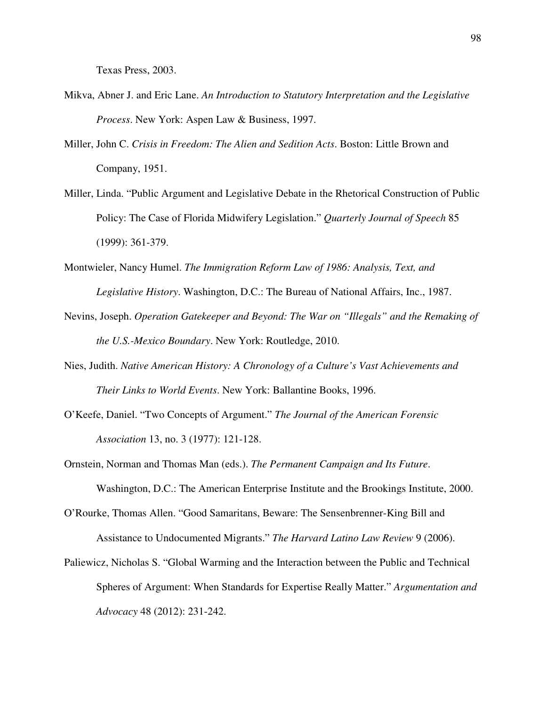Texas Press, 2003.

- Mikva, Abner J. and Eric Lane. *An Introduction to Statutory Interpretation and the Legislative Process*. New York: Aspen Law & Business, 1997.
- Miller, John C. *Crisis in Freedom: The Alien and Sedition Acts*. Boston: Little Brown and Company, 1951.
- Miller, Linda. "Public Argument and Legislative Debate in the Rhetorical Construction of Public Policy: The Case of Florida Midwifery Legislation." *Quarterly Journal of Speech* 85 (1999): 361-379.
- Montwieler, Nancy Humel. *The Immigration Reform Law of 1986: Analysis, Text, and Legislative History*. Washington, D.C.: The Bureau of National Affairs, Inc., 1987.
- Nevins, Joseph. *Operation Gatekeeper and Beyond: The War on "Illegals" and the Remaking of the U.S.-Mexico Boundary*. New York: Routledge, 2010.
- Nies, Judith. *Native American History: A Chronology of a Culture's Vast Achievements and Their Links to World Events*. New York: Ballantine Books, 1996.
- O'Keefe, Daniel. "Two Concepts of Argument." *The Journal of the American Forensic Association* 13, no. 3 (1977): 121-128.
- Ornstein, Norman and Thomas Man (eds.). *The Permanent Campaign and Its Future*. Washington, D.C.: The American Enterprise Institute and the Brookings Institute, 2000.
- O'Rourke, Thomas Allen. "Good Samaritans, Beware: The Sensenbrenner-King Bill and Assistance to Undocumented Migrants." *The Harvard Latino Law Review* 9 (2006).
- Paliewicz, Nicholas S. "Global Warming and the Interaction between the Public and Technical Spheres of Argument: When Standards for Expertise Really Matter." *Argumentation and Advocacy* 48 (2012): 231-242.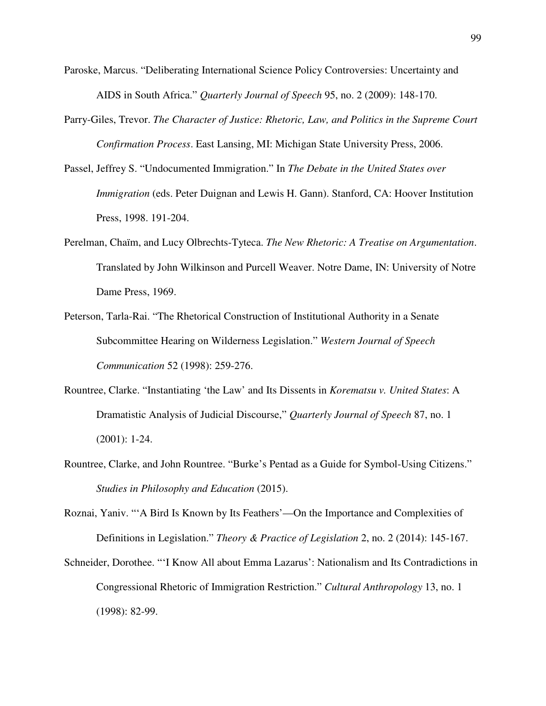- Paroske, Marcus. "Deliberating International Science Policy Controversies: Uncertainty and AIDS in South Africa." *Quarterly Journal of Speech* 95, no. 2 (2009): 148-170.
- Parry-Giles, Trevor. *The Character of Justice: Rhetoric, Law, and Politics in the Supreme Court Confirmation Process*. East Lansing, MI: Michigan State University Press, 2006.
- Passel, Jeffrey S. "Undocumented Immigration." In *The Debate in the United States over Immigration* (eds. Peter Duignan and Lewis H. Gann). Stanford, CA: Hoover Institution Press, 1998. 191-204.
- Perelman, Chaïm, and Lucy Olbrechts-Tyteca. *The New Rhetoric: A Treatise on Argumentation*. Translated by John Wilkinson and Purcell Weaver. Notre Dame, IN: University of Notre Dame Press, 1969.
- Peterson, Tarla-Rai. "The Rhetorical Construction of Institutional Authority in a Senate Subcommittee Hearing on Wilderness Legislation." *Western Journal of Speech Communication* 52 (1998): 259-276.
- Rountree, Clarke. "Instantiating 'the Law' and Its Dissents in *Korematsu v. United States*: A Dramatistic Analysis of Judicial Discourse," *Quarterly Journal of Speech* 87, no. 1 (2001): 1-24.
- Rountree, Clarke, and John Rountree. "Burke's Pentad as a Guide for Symbol-Using Citizens." *Studies in Philosophy and Education* (2015).

Roznai, Yaniv. "'A Bird Is Known by Its Feathers'—On the Importance and Complexities of Definitions in Legislation." *Theory & Practice of Legislation* 2, no. 2 (2014): 145-167.

Schneider, Dorothee. "'I Know All about Emma Lazarus': Nationalism and Its Contradictions in Congressional Rhetoric of Immigration Restriction." *Cultural Anthropology* 13, no. 1 (1998): 82-99.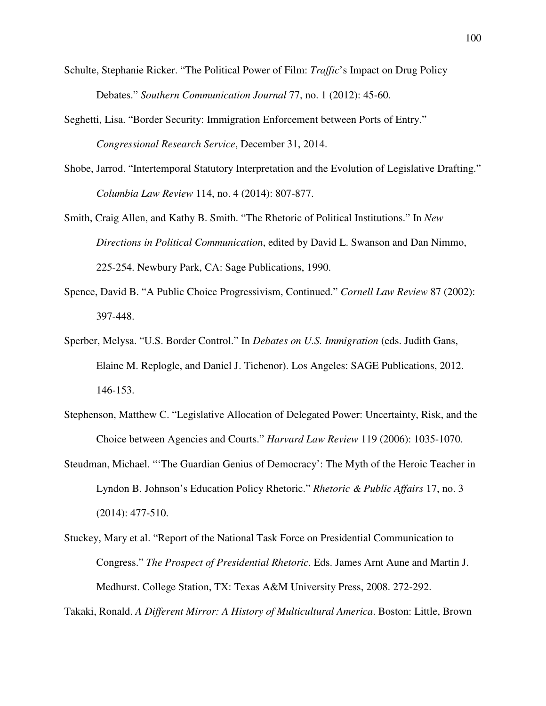- Schulte, Stephanie Ricker. "The Political Power of Film: *Traffic*'s Impact on Drug Policy Debates." *Southern Communication Journal* 77, no. 1 (2012): 45-60.
- Seghetti, Lisa. "Border Security: Immigration Enforcement between Ports of Entry." *Congressional Research Service*, December 31, 2014.
- Shobe, Jarrod. "Intertemporal Statutory Interpretation and the Evolution of Legislative Drafting." *Columbia Law Review* 114, no. 4 (2014): 807-877.
- Smith, Craig Allen, and Kathy B. Smith. "The Rhetoric of Political Institutions." In *New Directions in Political Communication*, edited by David L. Swanson and Dan Nimmo, 225-254. Newbury Park, CA: Sage Publications, 1990.
- Spence, David B. "A Public Choice Progressivism, Continued." *Cornell Law Review* 87 (2002): 397-448.
- Sperber, Melysa. "U.S. Border Control." In *Debates on U.S. Immigration* (eds. Judith Gans, Elaine M. Replogle, and Daniel J. Tichenor). Los Angeles: SAGE Publications, 2012. 146-153.
- Stephenson, Matthew C. "Legislative Allocation of Delegated Power: Uncertainty, Risk, and the Choice between Agencies and Courts." *Harvard Law Review* 119 (2006): 1035-1070.
- Steudman, Michael. "'The Guardian Genius of Democracy': The Myth of the Heroic Teacher in Lyndon B. Johnson's Education Policy Rhetoric." *Rhetoric & Public Affairs* 17, no. 3 (2014): 477-510.
- Stuckey, Mary et al. "Report of the National Task Force on Presidential Communication to Congress." *The Prospect of Presidential Rhetoric*. Eds. James Arnt Aune and Martin J. Medhurst. College Station, TX: Texas A&M University Press, 2008. 272-292.

Takaki, Ronald. *A Different Mirror: A History of Multicultural America*. Boston: Little, Brown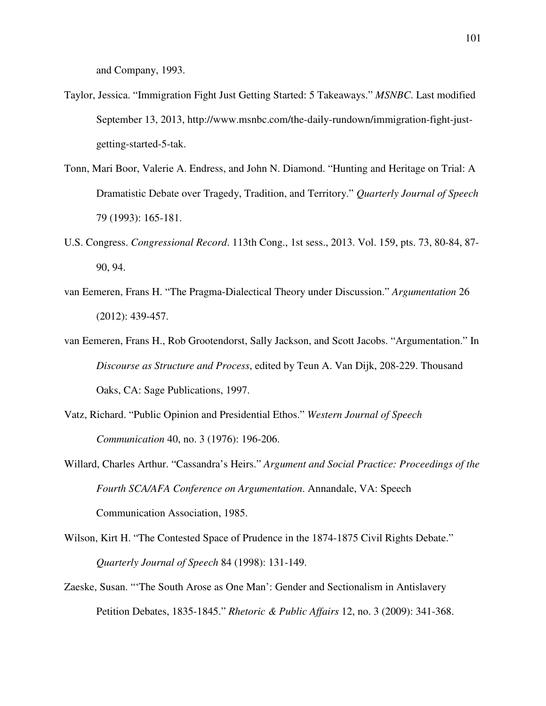and Company, 1993.

- Taylor, Jessica. "Immigration Fight Just Getting Started: 5 Takeaways." *MSNBC*. Last modified September 13, 2013, http://www.msnbc.com/the-daily-rundown/immigration-fight-justgetting-started-5-tak.
- Tonn, Mari Boor, Valerie A. Endress, and John N. Diamond. "Hunting and Heritage on Trial: A Dramatistic Debate over Tragedy, Tradition, and Territory." *Quarterly Journal of Speech*  79 (1993): 165-181.
- U.S. Congress. *Congressional Record*. 113th Cong., 1st sess., 2013. Vol. 159, pts. 73, 80-84, 87- 90, 94.
- van Eemeren, Frans H. "The Pragma-Dialectical Theory under Discussion." *Argumentation* 26 (2012): 439-457.
- van Eemeren, Frans H., Rob Grootendorst, Sally Jackson, and Scott Jacobs. "Argumentation." In *Discourse as Structure and Process*, edited by Teun A. Van Dijk, 208-229. Thousand Oaks, CA: Sage Publications, 1997.
- Vatz, Richard. "Public Opinion and Presidential Ethos." *Western Journal of Speech Communication* 40, no. 3 (1976): 196-206.
- Willard, Charles Arthur. "Cassandra's Heirs." *Argument and Social Practice: Proceedings of the Fourth SCA/AFA Conference on Argumentation*. Annandale, VA: Speech Communication Association, 1985.
- Wilson, Kirt H. "The Contested Space of Prudence in the 1874-1875 Civil Rights Debate." *Quarterly Journal of Speech* 84 (1998): 131-149.
- Zaeske, Susan. "'The South Arose as One Man': Gender and Sectionalism in Antislavery Petition Debates, 1835-1845." *Rhetoric & Public Affairs* 12, no. 3 (2009): 341-368.